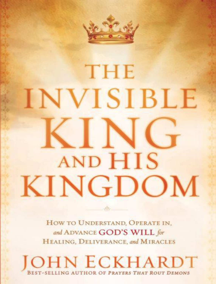

# **THE INVISIBLE**  $\blacksquare$ AND HIS **KINGDOM**

HOW TO UNDERSTAND, OPERATE IN, and ADVANCE GOD'S WILL for HEALING, DELIVERANCE, and MIRACLES

**OHN ECKHARDT** LING AUTHOR OF PRAYERS THAT ROUT DEMONS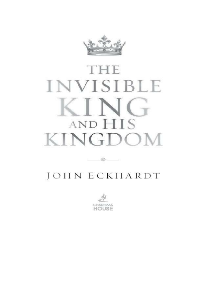

# **THE** INVISIBLE  $\sum$ AND HIS **KINGDOM**

#### **JOHN ECKHARDT**

 $Mr$ 

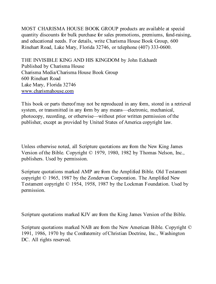MOST CHARISMA HOUSE BOOK GROUP products are available at special quantity discounts for bulk purchase for sales promotions, premiums, fund-raising,<br>and educational needs. For details, write Charisma House Book Group, 600<br>Rinehart Road, Lake Mary, Florida 32746, or telephone (407) 333-06

THE INVISIBLE KING AND HIS KINGDOM by John Eckhardt Published by Charisma House Charisma Media/Charisma House Book Group 600 Rinehart Road Lake Mary, Florida 32746 www.charismahouse.com

This book or parts thereof may not be reproduced in any form, stored in a retrieval system, or transmitted in any form by any means—electronic, mechanical, photocopy, recording, or otherwise—without prior written permission of the publisher, except as provided by United States of America copyright law.

Unless otherwise noted, all Scripture quotations are from the New King James Version of the Bible. Copyright © 1979, 1980, 1982 by Thomas Nelson, Inc., publishers. Used by permission.

Scripture quotations marked AMP are from the Amplified Bible. Old Testament copyright © 1965, 1987 by the Zondervan Corporation. The Amplified New Testament copyright © 1954, 1958, 1987 by the Lockman Foundation. Used by permission.

Scripture quotations marked KJV are from the King James Version of the Bible.

Scripture quotations marked NAB are from the New American Bible. Copyright © 1991, 1986, 1970 by the Confraternity of Christian Doctrine, Inc., Washington DC. All rights reserved.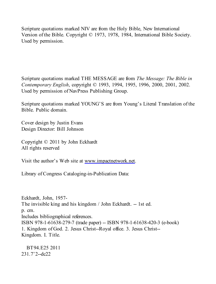Scripture quotations marked NIV are from the Holy Bible, New International Version of the Bible. Copyright © 1973, 1978, 1984, International Bible Society. Used by permission.

Scripture quotations marked THE MESSAGE are from *The Message: The Bible in*<br>Contemporary English, copyright © 1993, 1994, 1995, 1996, 2000, 2001, 2002.<br>Used by permission of NavPress Publishing Group.

Scripture quotations marked YOUNG'S are from Young's Literal Translation of the Bible. Public domain.

Cover design by Justin Evans Design Director: Bill Johnson

Copyright © 2011 by John Eckhardt All rights reserved

Visit the author's Web site at www.impactnetwork.net.

Library of Congress Cataloging-in-Publication Data:

Eckhardt, John, 1957- The invisible king and his kingdom / John Eckhardt. -- 1st ed. p. cm. Includes bibliographical references. ISBN 978-1-61638-279-7 (trade paper) -- ISBN 978-1-61638-420-3 (e-book) 1. Kingdom of God. 2. Jesus Christ--Royal office. 3. Jesus Christ-- Kingdom. I. Title.

BT94.E25 2011  $231.7'2 - dc22$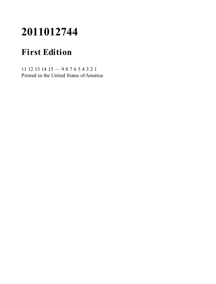### **2011012744**

#### **First Edition**

11 12 13 14 15 — 9 8 7 6 5 4 3 2 1 Printed in the United States of America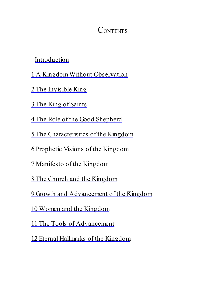**CONTENTS** 

Introduction

A KingdomWithout Observation

The Invisible King

The King of Saints

The Role of the Good Shepherd

The Characteristics of the Kingdom

Prophetic Visions of the Kingdom

Manifesto of the Kingdom

The Church and the Kingdom

Growth and Advancement of the Kingdom

Women and the Kingdom

The Tools of Advancement

Eternal Hallmarks of the Kingdom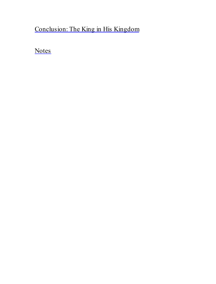Conclusion: The King in His Kingdom

Notes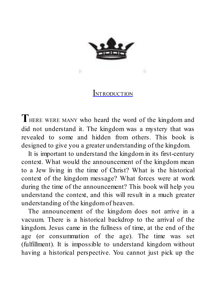

**INTRODUCTION** 

**T**HERE WERE MANY who heard the word of the kingdom and did not understand it. The kingdom was a mystery that was revealed to some and hidden from others. This book is designed to give you a greater understanding of the kingdom.

It is important to understand the kingdom in its first-century context. What would the announcement of the kingdom mean to a Jew living in the time of Christ? What is the historical context of the kingdom message? What forces were at work during the time of the announcement? This book will help you understand the context, and this will result in a much greater understanding of the kingdomof heaven.

The announcement of the kingdom does not arrive in a vacuum. There is a historical backdrop to the arrival of the kingdom. Jesus came in the fullness of time, at the end of the age (or consummation of the age). The time was set (fulfillment). It is impossible to understand kingdom without having a historical perspective. You cannot just pick up the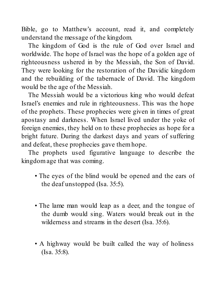Bible, go to Matthew's account, read it, and completely understand the message of the kingdom.

The kingdom of God is the rule of God over Israel and worldwide. The hope of Israel was the hope of a golden age of righteousness ushered in by the Messiah, the Son of David. They were looking for the restoration of the Davidic kingdom and the rebuilding of the tabernacle of David. The kingdom would be the age of the Messiah.

The Messiah would be a victorious king who would defeat Israel's enemies and rule in righteousness. This was the hope of the prophets. These prophecies were given in times of great apostasy and darkness. When Israel lived under the yoke of foreign enemies, they held on to these prophecies as hope for a bright future. During the darkest days and years of suffering and defeat, these prophecies gave themhope.

The prophets used figurative language to describe the kingdomage that was coming.

- The eyes of the blind would be opened and the ears of the deaf unstopped (Isa. 35:5).
- The lame man would leap as a deer, and the tongue of the dumb would sing. Waters would break out in the wilderness and streams in the desert (Isa. 35:6).
- A highway would be built called the way of holiness (Isa. 35:8).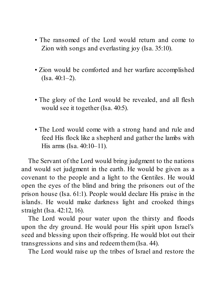- The ransomed of the Lord would return and come to Zion with songs and everlasting joy (Isa. 35:10).
- Zion would be comforted and her warfare accomplished (Isa. 40:1–2).
- The glory of the Lord would be revealed, and all flesh would see it together (Isa. 40:5).
- The Lord would come with a strong hand and rule and feed His flock like a shepherd and gather the lambs with His arms (Isa. 40:10–11).

The Servant of the Lord would bring judgment to the nations and would set judgment in the earth. He would be given as a covenant to the people and a light to the Gentiles. He would open the eyes of the blind and bring the prisoners out of the prison house (Isa. 61:1). People would declare His praise in the islands. He would make darkness light and crooked things straight (Isa. 42:12, 16).

The Lord would pour water upon the thirsty and floods upon the dry ground. He would pour His spirit upon Israel's seed and blessing upon their offspring. He would blot out their transgressions and sins and redeemthem(Isa. 44).

The Lord would raise up the tribes of Israel and restore the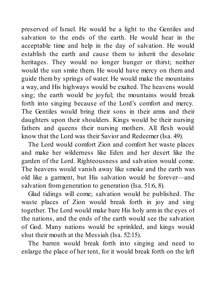preserved of Israel. He would be a light to the Gentiles and salvation to the ends of the earth. He would hear in the acceptable time and help in the day of salvation. He would establish the earth and cause them to inherit the desolate heritages. They would no longer hunger or thirst; neither would the sun smite them. He would have mercy on them and guide them by springs of water. He would make the mountains a way, and His highways would be exalted. The heavens would sing; the earth would be joyful; the mountains would break forth into singing because of the Lord's comfort and mercy. The Gentiles would bring their sons in their arms and their daughters upon their shoulders. Kings would be their nursing fathers and queens their nursing mothers. All flesh would know that the Lord was their Savior and Redeemer (Isa. 49).

The Lord would comfort Zion and comfort her waste places and make her wilderness like Eden and her desert like the garden of the Lord. Righteousness and salvation would come. The heavens would vanish away like smoke and the earth wax old like a garment, but His salvation would be forever—and salvation from generation to generation (Isa. 51:6, 8).

Glad tidings will come; salvation would be published. The waste places of Zion would break forth in joy and sing together. The Lord would make bare His holy armin the eyes of the nations, and the ends of the earth would see the salvation of God. Many nations would be sprinkled, and kings would shut their mouth at the Messiah (Isa. 52:15).

The barren would break forth into singing and need to enlarge the place of her tent, for it would break forth on the left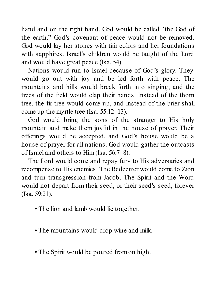hand and on the right hand. God would be called "the God of the earth." God's covenant of peace would not be removed. God would lay her stones with fair colors and her foundations with sapphires. Israel's children would be taught of the Lord and would have great peace (Isa. 54).

Nations would run to Israel because of God's glory. They would go out with joy and be led forth with peace. The mountains and hills would break forth into singing, and the trees of the field would clap their hands. Instead of the thorn tree, the fir tree would come up, and instead of the brier shall come up the myrtle tree (Isa. 55:12–13).

God would bring the sons of the stranger to His holy mountain and make them joyful in the house of prayer. Their offerings would be accepted, and God's house would be a house of prayer for all nations. God would gather the outcasts of Israel and others to Him(Isa. 56:7–8).

The Lord would come and repay fury to His adversaries and recompense to His enemies. The Redeemer would come to Zion and turn transgression from Jacob. The Spirit and the Word would not depart from their seed, or their seed's seed, forever (Isa. 59:21).

- The lion and lamb would lie together.
- The mountains would drop wine and milk.
- The Spirit would be poured fromon high.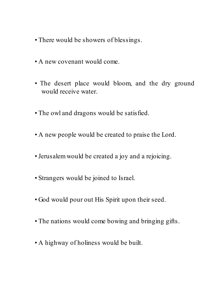- There would be showers of blessings.
- A new covenant would come.
- The desert place would bloom, and the dry ground would receive water.
- The owl and dragons would be satisfied.
- A new people would be created to praise the Lord.
- •Jerusalemwould be created a joy and a rejoicing.
- Strangers would be joined to Israel.
- God would pour out His Spirit upon their seed.
- The nations would come bowing and bringing gifts.
- A highway of holiness would be built.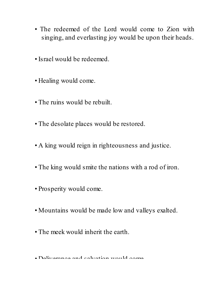- The redeemed of the Lord would come to Zion with singing, and everlasting joy would be upon their heads.
- Israel would be redeemed.
- Healing would come.
- The ruins would be rebuilt.
- The desolate places would be restored.
- A king would reign in righteousness and justice.
- The king would smite the nations with a rod of iron.
- Prosperity would come.
- Mountains would be made low and valleys exalted.
- The meek would inherit the earth.
- Deliverance and salvation would come.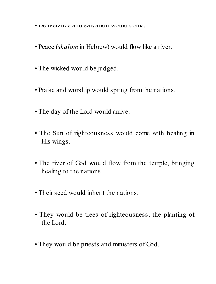• Deliverance and salvation would come.

- Peace (*shalom* in Hebrew) would flow like a river.
- The wicked would be judged.
- Praise and worship would spring fromthe nations.
- The day of the Lord would arrive.
- The Sun of righteousness would come with healing in His wings.
- The river of God would flow from the temple, bringing healing to the nations.
- Their seed would inherit the nations.
- They would be trees of righteousness, the planting of the Lord.
- They would be priests and ministers of God.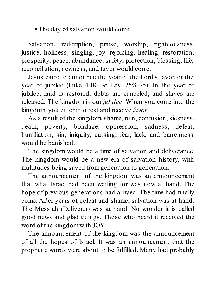• The day of salvation would come.

Salvation, redemption, praise, worship, righteousness, justice, holiness, singing, joy, rejoicing, healing, restoration, prosperity, peace, abundance, safety, protection, blessing, life, reconciliation, newness, and favor would come.

Jesus came to announce the year of the Lord's favor, or the year of jubilee (Luke 4:18–19; Lev. 25:8–25). In the year of jubilee, land is restored, debts are canceled, and slaves are released. The kingdom is our *jubilee*. When you come into the kingdom, you enter into rest and receive *favor*.

As a result of the kingdom, shame, ruin, confusion, sickness, death, poverty, bondage, oppression, sadness, defeat, humiliation, sin, iniquity, cursing, fear, lack, and barrenness would be banished.

The kingdom would be a time of salvation and deliverance. The kingdom would be a new era of salvation history, with multitudes being saved fromgeneration to generation.

The announcement of the kingdom was an announcement that what Israel had been waiting for was now at hand. The hope of previous generations had arrived. The time had finally come. After years of defeat and shame, salvation was at hand. The Messiah (Deliverer) was at hand. No wonder it is called good news and glad tidings. Those who heard it received the word of the kingdomwith JOY.

The announcement of the kingdom was the announcement of all the hopes of Israel. It was an announcement that the prophetic words were about to be fulfilled. Many had probably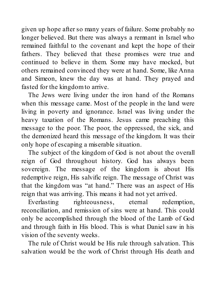given up hope after so many years of failure. Some probably no longer believed. But there was always a remnant in Israel who remained faithful to the covenant and kept the hope of their fathers. They believed that these promises were true and continued to believe in them. Some may have mocked, but others remained convinced they were at hand. Some, like Anna and Simeon, knew the day was at hand. They prayed and fasted for the kingdomto arrive.

The Jews were living under the iron hand of the Romans when this message came. Most of the people in the land were living in poverty and ignorance. Israel was living under the heavy taxation of the Romans. Jesus came preaching this message to the poor. The poor, the oppressed, the sick, and the demonized heard this message of the kingdom. It was their only hope of escaping a miserable situation.

The subject of the kingdom of God is not about the overall reign of God throughout history. God has always been sovereign. The message of the kingdom is about His redemptive reign, His salvific reign. The message of Christ was that the kingdom was "at hand." There was an aspect of His reign that was arriving. This means it had not yet arrived.

Everlasting righteousness, eternal redemption, reconciliation, and remission of sins were at hand. This could only be accomplished through the blood of the Lamb of God and through faith in His blood. This is what Daniel saw in his vision of the seventy weeks.

The rule of Christ would be His rule through salvation. This salvation would be the work of Christ through His death and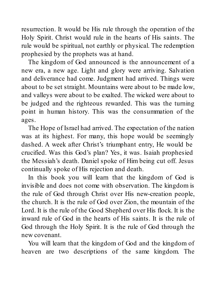resurrection. It would be His rule through the operation of the Holy Spirit. Christ would rule in the hearts of His saints. The rule would be spiritual, not earthly or physical. The redemption prophesied by the prophets was at hand.

The kingdom of God announced is the announcement of a new era, a new age. Light and glory were arriving. Salvation and deliverance had come. Judgment had arrived. Things were about to be set straight. Mountains were about to be made low, and valleys were about to be exalted. The wicked were about to be judged and the righteous rewarded. This was the turning point in human history. This was the consummation of the ages.

The Hope of Israel had arrived. The expectation of the nation was at its highest. For many, this hope would be seemingly dashed. A week after Christ's triumphant entry, He would be crucified. Was this God's plan? Yes, it was. Isaiah prophesied the Messiah's death. Daniel spoke of Him being cut off. Jesus continually spoke of His rejection and death.

In this book you will learn that the kingdom of God is invisible and does not come with observation. The kingdom is the rule of God through Christ over His new-creation people, the church. It is the rule of God over Zion, the mountain of the Lord. It is the rule of the Good Shepherd over His flock. It is the inward rule of God in the hearts of His saints. It is the rule of God through the Holy Spirit. It is the rule of God through the new covenant.

You will learn that the kingdom of God and the kingdom of heaven are two descriptions of the same kingdom. The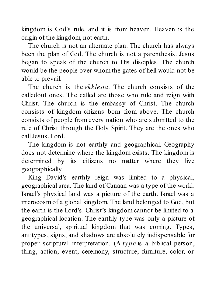kingdom is God's rule, and it is from heaven. Heaven is the origin of the kingdom, not earth.

The church is not an alternate plan. The church has always been the plan of God. The church is not a parenthesis. Jesus began to speak of the church to His disciples. The church would be the people over whom the gates of hell would not be able to prevail.

The church is the *ekklesia*. The church consists of the calledout ones. The called are those who rule and reign with Christ. The church is the embassy of Christ. The church consists of kingdom citizens born from above. The church consists of people from every nation who are submitted to the rule of Christ through the Holy Spirit. They are the ones who callJesus, Lord.

The kingdom is not earthly and geographical. Geography does not determine where the kingdom exists. The kingdom is determined by its citizens no matter where they live geographically.

King David's earthly reign was limited to a physical, geographical area. The land of Canaan was a type of the world. Israel's physical land was a picture of the earth. Israel was a microcosm of a global kingdom. The land belonged to God, but the earth is the Lord's. Christ's kingdom cannot be limited to a geographical location. The earthly type was only a picture of the universal, spiritual kingdom that was coming. Types, antitypes, signs, and shadows are absolutely indispensable for proper scriptural interpretation. (A *type* is a biblical person, thing, action, event, ceremony, structure, furniture, color, or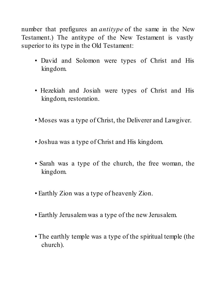number that prefigures an *antitype* of the same in the New Testament.) The antitype of the New Testament is vastly superior to its type in the Old Testament:

- David and Solomon were types of Christ and His kingdom.
- Hezekiah and Josiah were types of Christ and His kingdom, restoration.
- Moses was a type of Christ, the Deliverer and Lawgiver.
- •Joshua was a type of Christ and His kingdom.
- Sarah was a type of the church, the free woman, the kingdom.
- Earthly Zion was a type of heavenly Zion.
- Earthly Jerusalemwas a type of the new Jerusalem.
- The earthly temple was a type of the spiritual temple (the church).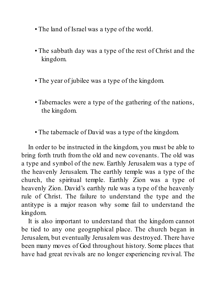- The land of Israel was a type of the world.
- The sabbath day was a type of the rest of Christ and the kingdom.
- The year of jubilee was a type of the kingdom.
- Tabernacles were a type of the gathering of the nations, the kingdom.
- The tabernacle of David was a type of the kingdom.

In order to be instructed in the kingdom, you must be able to bring forth truth from the old and new covenants. The old was a type and symbol of the new. Earthly Jerusalem was a type of the heavenly Jerusalem. The earthly temple was a type of the church, the spiritual temple. Earthly Zion was a type of heavenly Zion. David's earthly rule was a type of the heavenly rule of Christ. The failure to understand the type and the antitype is a major reason why some fail to understand the kingdom.

It is also important to understand that the kingdom cannot be tied to any one geographical place. The church began in Jerusalem, but eventually Jerusalemwas destroyed. There have been many moves of God throughout history. Some places that have had great revivals are no longer experiencing revival. The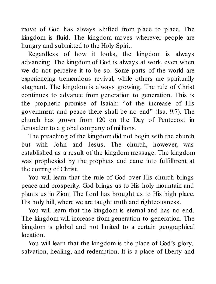move of God has always shifted from place to place. The kingdom is fluid. The kingdom moves wherever people are hungry and submitted to the Holy Spirit.

Regardless of how it looks, the kingdom is always advancing. The kingdom of God is always at work, even when we do not perceive it to be so. Some parts of the world are experiencing tremendous revival, while others are spiritually stagnant. The kingdom is always growing. The rule of Christ continues to advance from generation to generation. This is the prophetic promise of Isaiah: "of the increase of His government and peace there shall be no end" (Isa. 9:7). The church has grown from 120 on the Day of Pentecost in Jerusalemto a global company of millions.

The preaching of the kingdom did not begin with the church but with John and Jesus. The church, however, was established as a result of the kingdom message. The kingdom was prophesied by the prophets and came into fulfillment at the coming of Christ.

You will learn that the rule of God over His church brings peace and prosperity. God brings us to His holy mountain and plants us in Zion. The Lord has brought us to His high place, His holy hill, where we are taught truth and righteousness.

You will learn that the kingdom is eternal and has no end. The kingdom will increase from generation to generation. The kingdom is global and not limited to a certain geographical location.

You will learn that the kingdom is the place of God's glory, salvation, healing, and redemption. It is a place of liberty and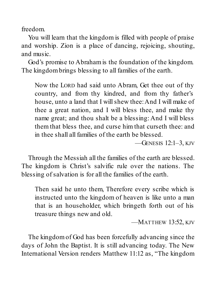freedom.

You will learn that the kingdom is filled with people of praise and worship. Zion is a place of dancing, rejoicing, shouting, and music.

God's promise to Abrahamis the foundation of the kingdom. The kingdombrings blessing to all families of the earth.

Now the LORD had said unto Abram, Get thee out of thy country, and from thy kindred, and from thy father's house, unto a land that I will shew thee: And I will make of thee a great nation, and I will bless thee, and make thy name great; and thou shalt be a blessing: And I will bless them that bless thee, and curse him that curseth thee: and in thee shall all families of the earth be blessed.

—GENESIS 12:1–3, KJV

Through the Messiah all the families of the earth are blessed. The kingdom is Christ's salvific rule over the nations. The blessing of salvation is for all the families of the earth.

Then said he unto them, Therefore every scribe which is instructed unto the kingdom of heaven is like unto a man that is an householder, which bringeth forth out of his treasure things new and old.

—MATTHEW 13:52, KJV

The kingdomof God has been forcefully advancing since the days of John the Baptist. It is still advancing today. The New International Version renders Matthew 11:12 as, "The kingdom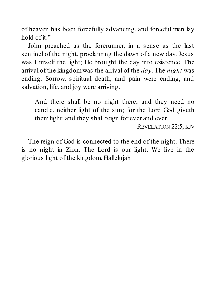of heaven has been forcefully advancing, and forceful men lay hold of it."

John preached as the forerunner, in a sense as the last sentinel of the night, proclaiming the dawn of a new day. Jesus was Himself the light; He brought the day into existence. The arrival of the kingdomwas the arrival of the *day*. The *night* was ending. Sorrow, spiritual death, and pain were ending, and salvation, life, and joy were arriving.

And there shall be no night there; and they need no candle, neither light of the sun; for the Lord God giveth themlight: and they shall reign for ever and ever.

—REVELATION 22:5, KJV

The reign of God is connected to the end of the night. There is no night in Zion. The Lord is our light. We live in the glorious light of the kingdom. Hallelujah!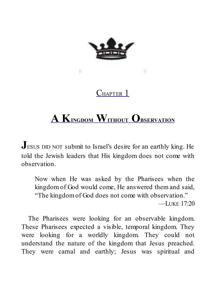

CHAPTER<sub>1</sub>

## **A KINGDOM WITHOUT OBSERVATION**

**J**ESUS DID NOT submit to Israel's desire for an earthly king. He told the Jewish leaders that His kingdom does not come with observation.

Now when He was asked by the Pharisees when the kingdom of God would come, He answered them and said, "The kingdomof God does not come with observation." —LUKE 17:20

The Pharisees were looking for an observable kingdom. These Pharisees expected a visible, temporal kingdom. They were looking for a worldly kingdom. They could not understand the nature of the kingdom that Jesus preached. They were carnal and earthly; Jesus was spiritual and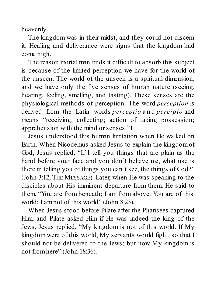heavenly.

The kingdom was in their midst, and they could not discern it. Healing and deliverance were signs that the kingdom had come nigh.

The reason mortal man finds it difficult to absorb this subject is because of the limited perception we have for the world of the unseen. The world of the unseen is a spiritual dimension, and we have only the five senses of human nature (seeing, hearing, feeling, smelling, and tasting). These senses are the physiological methods of perception. The word *perception* is derived from the Latin words *perceptio* a n d *percipio* and means "receiving, collecting; action of taking possession; apprehension with the mind or senses."1

Jesus understood this human limitation when He walked on Earth. When Nicodemus asked Jesus to explain the kingdom of God, Jesus replied, "If I tell you things that are plain as the hand before your face and you don't believe me, what use is there in telling you of things you can't see, the things of God?" (John 3:12, THE MESSAGE). Later, when He was speaking to the disciples about His imminent departure from them, He said to them, "You are from beneath; I am from above. You are of this world; I amnot of this world" (John 8:23).

When Jesus stood before Pilate after the Pharisees captured Him, and Pilate asked Him if He was indeed the king of the Jews, Jesus replied, "My kingdom is not of this world. If My kingdom were of this world, My servants would fight, so that I should not be delivered to the Jews; but now My kingdom is not fromhere" (John 18:36).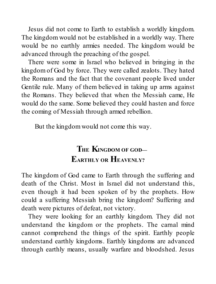Jesus did not come to Earth to establish a worldly kingdom. The kingdom would not be established in a worldly way. There would be no earthly armies needed. The kingdom would be advanced through the preaching of the gospel.

There were some in Israel who believed in bringing in the kingdom of God by force. They were called zealots. They hated the Romans and the fact that the covenant people lived under Gentile rule. Many of them believed in taking up arms against the Romans. They believed that when the Messiah came, He would do the same. Some believed they could hasten and force the coming of Messiah through armed rebellion.

But the kingdomwould not come this way.

#### **THE KINGDOM** OF COD— **EARTHLY OR HEAVENLY?**

The kingdom of God came to Earth through the suffering and death of the Christ. Most in Israel did not understand this, even though it had been spoken of by the prophets. How could a suffering Messiah bring the kingdom? Suffering and death were pictures of defeat, not victory.

They were looking for an earthly kingdom. They did not understand the kingdom or the prophets. The carnal mind cannot comprehend the things of the spirit. Earthly people understand earthly kingdoms. Earthly kingdoms are advanced through earthly means, usually warfare and bloodshed. Jesus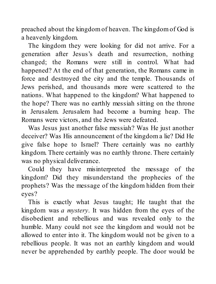preached about the kingdom of heaven. The kingdom of God is a heavenly kingdom.

The kingdom they were looking for did not arrive. For a generation after Jesus's death and resurrection, nothing changed; the Romans were still in control. What had happened? At the end of that generation, the Romans came in force and destroyed the city and the temple. Thousands of Jews perished, and thousands more were scattered to the nations. What happened to the kingdom? What happened to the hope? There was no earthly messiah sitting on the throne in Jerusalem. Jerusalem had become a burning heap. The Romans were victors, and the Jews were defeated.

Was Jesus just another false messiah? Was He just another deceiver? Was His announcement of the kingdom a lie? Did He give false hope to Israel? There certainly was no earthly kingdom. There certainly was no earthly throne. There certainly was no physical deliverance.

Could they have misinterpreted the message of the kingdom? Did they misunderstand the prophecies of the prophets? Was the message of the kingdom hidden from their eyes?

This is exactly what Jesus taught; He taught that the kingdom was *a mystery*. It was hidden from the eyes of the disobedient and rebellious and was revealed only to the humble. Many could not see the kingdom and would not be allowed to enter into it. The kingdom would not be given to a rebellious people. It was not an earthly kingdom and would never be apprehended by earthly people. The door would be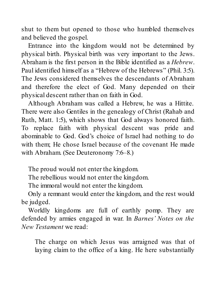shut to them but opened to those who humbled themselves and believed the gospel.

Entrance into the kingdom would not be determined by physical birth. Physical birth was very important to the Jews. Abraham is the first person in the Bible identified as a *Hebrew*. Paul identified himself as a "Hebrew of the Hebrews" (Phil. 3:5). The Jews considered themselves the descendants of Abraham and therefore the elect of God. Many depended on their physical descent rather than on faith in God.

Although Abraham was called a Hebrew, he was a Hittite. There were also Gentiles in the genealogy of Christ (Rahab and Ruth, Matt. 1:5), which shows that God always honored faith. To replace faith with physical descent was pride and abominable to God. God's choice of Israel had nothing to do with them; He chose Israel because of the covenant He made with Abraham. (See Deuteronomy 7:6–8.)

The proud would not enter the kingdom.

The rebellious would not enter the kingdom.

The immoral would not enter the kingdom.

Only a remnant would enter the kingdom, and the rest would be judged.

Worldly kingdoms are full of earthly pomp. They are defended by armies engaged in war. In *Barnes' Notes on the New Testament* we read:

The charge on which Jesus was arraigned was that of laying claim to the office of a king. He here substantially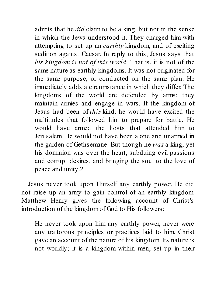admits that he *did* claim to be a king, but not in the sense in which the Jews understood it. They charged him with attempting to set up an *earthly* kingdom, and of exciting sedition against Caesar. In reply to this, Jesus says that *his kingdom is not of this world*. That is, it is not of the same nature as earthly kingdoms. It was not originated for the same purpose, or conducted on the same plan. He immediately adds a circumstance in which they differ. The kingdoms of the world are defended by arms; they maintain armies and engage in wars. If the kingdom of Jesus had been of *this* kind, he would have excited the multitudes that followed him to prepare for battle. He would have armed the hosts that attended him to Jerusalem. He would not have been alone and unarmed in the garden of Gethsemane. But though he *was* a king, yet his dominion was over the heart, subduing evil passions and corrupt desires, and bringing the soul to the love of peace and unity.2

Jesus never took upon Himself any earthly power. He did not raise up an army to gain control of an earthly kingdom. Matthew Henry gives the following account of Christ's introduction of the kingdomof God to His followers:

He never took upon him any earthly power, never were any traitorous principles or practices laid to him. Christ gave an account of the nature of his kingdom. Its nature is not worldly; it is a kingdom within men, set up in their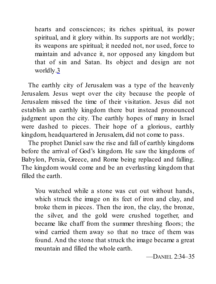hearts and consciences; its riches spiritual, its power spiritual, and it glory within. Its supports are not worldly; its weapons are spiritual; it needed not, nor used, force to maintain and advance it, nor opposed any kingdom but that of sin and Satan. Its object and design are not worldly.3

The earthly city of Jerusalem was a type of the heavenly Jerusalem. Jesus wept over the city because the people of Jerusalem missed the time of their visitation. Jesus did not establish an earthly kingdom there but instead pronounced judgment upon the city. The earthly hopes of many in Israel were dashed to pieces. Their hope of a glorious, earthly kingdom, headquartered in Jerusalem, did not come to pass.

The prophet Daniel saw the rise and fall of earthly kingdoms before the arrival of God's kingdom. He saw the kingdoms of Babylon, Persia, Greece, and Rome being replaced and falling. The kingdom would come and be an everlasting kingdom that filled the earth.

You watched while a stone was cut out without hands, which struck the image on its feet of iron and clay, and broke them in pieces. Then the iron, the clay, the bronze, the silver, and the gold were crushed together, and became like chaff from the summer threshing floors; the wind carried them away so that no trace of them was found. And the stone that struck the image became a great mountain and filled the whole earth.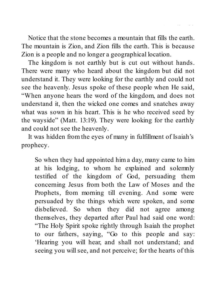Notice that the stone becomes a mountain that fills the earth. The mountain is Zion, and Zion fills the earth. This is because Zion is a people and no longer a geographical location.

The kingdom is not earthly but is cut out without hands. There were many who heard about the kingdom but did not understand it. They were looking for the earthly and could not see the heavenly. Jesus spoke of these people when He said, "When anyone hears the word of the kingdom, and does not understand it, then the wicked one comes and snatches away what was sown in his heart. This is he who received seed by the wayside" (Matt. 13:19). They were looking for the earthly and could not see the heavenly.

It was hidden from the eyes of many in fulfillment of Isaiah's prophecy.

So when they had appointed him a day, many came to him at his lodging, to whom he explained and solemnly testified of the kingdom of God, persuading them concerning Jesus from both the Law of Moses and the Prophets, from morning till evening. And some were persuaded by the things which were spoken, and some disbelieved. So when they did not agree among themselves, they departed after Paul had said one word: "The Holy Spirit spoke rightly through Isaiah the prophet to our fathers, saying, "Go to this people and say: 'Hearing you will hear, and shall not understand; and seeing you will see, and not perceive; for the hearts of this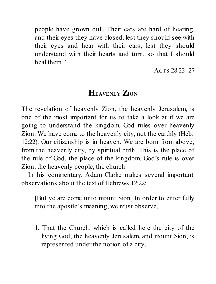people have grown dull. Their ears are hard of hearing, and their eyes they have closed, lest they should see with their eyes and hear with their ears, lest they should understand with their hearts and turn, so that I should heal them<sup>"</sup>

 $-$ ACTS 28:23-27

#### **HEAVENLY ZION**

The revelation of heavenly Zion, the heavenly Jerusalem, is one of the most important for us to take a look at if we are going to understand the kingdom. God rules over heavenly Zion. We have come to the heavenly city, not the earthly (Heb. 12:22). Our citizenship is in heaven. We are born from above, from the heavenly city, by spiritual birth. This is the place of the rule of God, the place of the kingdom. God's rule is over Zion, the heavenly people, the church.

In his commentary, Adam Clarke makes several important observations about the text of Hebrews 12:22:

[But ye are come unto mount Sion] In order to enter fully into the apostle's meaning, we must observe

1. That the Church, which is called here the city of the living God, the heavenly Jerusalem, and mount Sion, is represented under the notion of a city.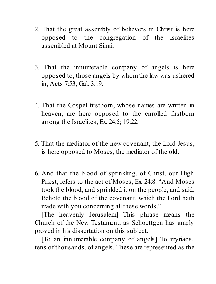- 2. That the great assembly of believers in Christ is here opposed to the congregation of the Israelites assembled at Mount Sinai.
- 3. That the innumerable company of angels is here opposed to, those angels by whomthe law was ushered in, Acts 7:53; Gal. 3:19.
- 4. That the Gospel firstborn, whose names are written in heaven, are here opposed to the enrolled firstborn among the Israelites, Ex. 24:5; 19:22.
- 5. That the mediator of the new covenant, the Lord Jesus, is here opposed to Moses, the mediator of the old.
- 6. And that the blood of sprinkling, of Christ, our High Priest, refers to the act of Moses, Ex. 24:8: "And Moses took the blood, and sprinkled it on the people, and said, Behold the blood of the covenant, which the Lord hath made with you concerning all these words."

[The heavenly Jerusalem] This phrase means the Church of the New Testament, as Schoettgen has amply proved in his dissertation on this subject.

[To an innumerable company of angels] To myriads, tens of thousands, of angels. These are represented as the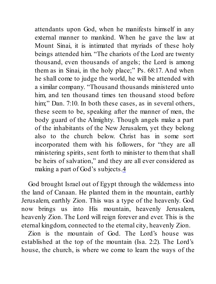attendants upon God, when he manifests himself in any external manner to mankind. When he gave the law at Mount Sinai, it is intimated that myriads of these holy beings attended him. "The chariots of the Lord are twenty thousand, even thousands of angels; the Lord is among them as in Sinai, in the holy place;" Ps. 68:17. And when he shall come to judge the world, he will be attended with a similar company. "Thousand thousands ministered unto him, and ten thousand times ten thousand stood before him;" Dan. 7:10. In both these cases, as in several others, these seem to be, speaking after the manner of men, the body guard of the Almighty. Though angels make a part of the inhabitants of the New Jerusalem, yet they belong also to the church below. Christ has in some sort incorporated them with his followers, for "they are all ministering spirits, sent forth to minister to them that shall be heirs of salvation," and they are all ever considered as making a part of God's subjects.4

God brought Israel out of Egypt through the wilderness into the land of Canaan. He planted them in the mountain, earthly Jerusalem, earthly Zion. This was a type of the heavenly. God now brings us into His mountain, heavenly Jerusalem, heavenly Zion. The Lord will reign forever and ever. This is the eternal kingdom, connected to the eternal city, heavenly Zion.

Zion is the mountain of God. The Lord's house was established at the top of the mountain (Isa. 2:2). The Lord's house, the church, is where we come to learn the ways of the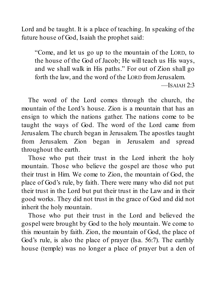Lord and be taught. It is a place of teaching. In speaking of the future house of God, Isaiah the prophet said:

"Come, and let us go up to the mountain of the LORD, to the house of the God of Jacob; He will teach us His ways, and we shall walk in His paths." For out of Zion shall go forth the law, and the word of the LORD fromJerusalem.

 $-$ ISAIAH  $2:3$ 

The word of the Lord comes through the church, the mountain of the Lord's house. Zion is a mountain that has an ensign to which the nations gather. The nations come to be taught the ways of God. The word of the Lord came from Jerusalem. The church began in Jerusalem. The apostles taught from Jerusalem. Zion began in Jerusalem and spread throughout the earth.

Those who put their trust in the Lord inherit the holy mountain. Those who believe the gospel are those who put their trust in Him. We come to Zion, the mountain of God, the place of God's rule, by faith. There were many who did not put their trust in the Lord but put their trust in the Law and in their good works. They did not trust in the grace of God and did not inherit the holy mountain.

Those who put their trust in the Lord and believed the gospel were brought by God to the holy mountain. We come to this mountain by faith. Zion, the mountain of God, the place of God's rule, is also the place of prayer (Isa. 56:7). The earthly house (temple) was no longer a place of prayer but a den of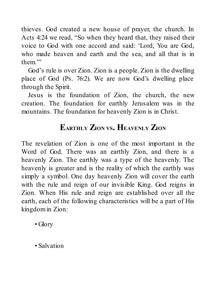thieves. God created a new house of prayer, the church. In Acts 4:24 we read, "So when they heard that, they raised their voice to God with one accord and said: 'Lord, You are God, who made heaven and earth and the sea, and all that is in them"

God's rule is over Zion. Zion is a people. Zion is the dwelling place of God (Ps. 76:2). We are now God's dwelling place through the Spirit.

Jesus is the foundation of Zion, the church, the new creation. The foundation for earthly Jerusalem was in the mountains. The foundation for heavenly Zion is in Christ.

# **EARTHLY ZION VS. HEAVENLY ZION**

The revelation of Zion is one of the most important in the Word of God. There was an earthly Zion, and there is a heavenly Zion. The earthly was a type of the heavenly. The heavenly is greater and is the reality of which the earthly was simply a symbol. One day heavenly Zion will cover the earth with the rule and reign of our invisible King. God reigns in Zion. When His rule and reign are established over all the earth, each of the following characteristics will be a part of His kingdomin Zion:

• Glory

• Salvation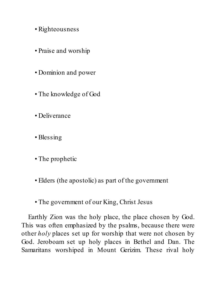- Righteousness
- Praise and worship
- Dominion and power
- The knowledge of God
- Deliverance
- Blessing
- The prophetic
- Elders (the apostolic) as part of the government
- The government of our King, Christ Jesus

Earthly Zion was the holy place, the place chosen by God. This was often emphasized by the psalms, because there were other *holy* places set up for worship that were not chosen by God. Jeroboam set up holy places in Bethel and Dan. The Samaritans worshiped in Mount Gerizim. These rival holy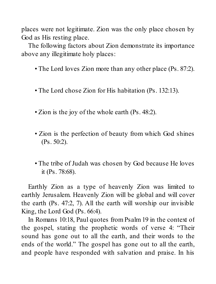places were not legitimate. Zion was the only place chosen by God as His resting place.

The following factors about Zion demonstrate its importance above any illegitimate holy places:

- The Lord loves Zion more than any other place (Ps. 87:2).
- The Lord chose Zion for His habitation (Ps. 132:13).
- Zion is the joy of the whole earth (Ps. 48:2).
- Zion is the perfection of beauty from which God shines (Ps. 50:2).
- The tribe of Judah was chosen by God because He loves it (Ps. 78:68).

Earthly Zion as a type of heavenly Zion was limited to earthly Jerusalem. Heavenly Zion will be global and will cover the earth (Ps. 47:2, 7). All the earth will worship our invisible King, the Lord God (Ps. 66:4).

In Romans 10:18, Paul quotes from Psalm 19 in the context of the gospel, stating the prophetic words of verse 4: "Their sound has gone out to all the earth, and their words to the ends of the world." The gospel has gone out to all the earth, and people have responded with salvation and praise. In his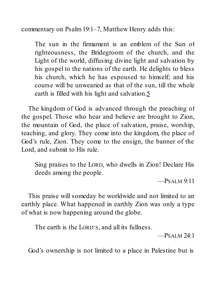commentary on Psalm19:1–7, Matthew Henry adds this:

The sun in the firmament is an emblem of the Sun of righteousness, the Bridegroom of the church, and the Light of the world, diffusing divine light and salvation by his gospel to the nations of the earth. He delights to bless his church, which he has espoused to himself; and his course will be unwearied as that of the sun, till the whole earth is filled with his light and salvation.5

The kingdom of God is advanced through the preaching of the gospel. Those who hear and believe are brought to Zion, the mountain of God, the place of salvation, praise, worship, teaching, and glory. They come into the kingdom, the place of God's rule, Zion. They come to the ensign, the banner of the Lord, and submit to His rule.

Sing praises to the LORD, who dwells in Zion! Declare His deeds among the people.

—PSALM 9:11

This praise will someday be worldwide and not limited to an earthly place. What happened in earthly Zion was only a type of what is now happening around the globe.

The earth is the LORD'S, and all its fullness.

—PSALM 24:1

God's ownership is not limited to a place in Palestine but is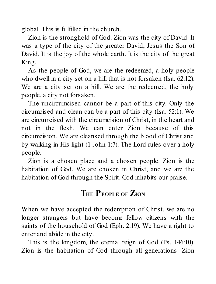global. This is fulfilled in the church.

Zion is the stronghold of God. Zion was the city of David. It was a type of the city of the greater David, Jesus the Son of David. It is the joy of the whole earth. It is the city of the great King.

As the people of God, we are the redeemed, a holy people who dwell in a city set on a hill that is not forsaken (Isa. 62:12). We are a city set on a hill. We are the redeemed, the holy people, a city not forsaken.

The uncircumcised cannot be a part of this city. Only the circumcised and clean can be a part of this city (Isa. 52:1). We are circumcised with the circumcision of Christ, in the heart and not in the flesh. We can enter Zion because of this circumcision. We are cleansed through the blood of Christ and by walking in His light (1 John 1:7). The Lord rules over a holy people.

Zion is a chosen place and a chosen people. Zion is the habitation of God. We are chosen in Christ, and we are the habitation of God through the Spirit. God inhabits our praise.

# **THE PEOPLE OF ZION**

When we have accepted the redemption of Christ, we are no longer strangers but have become fellow citizens with the saints of the household of God (Eph. 2:19). We have a right to enter and abide in the city.

This is the kingdom, the eternal reign of God (Ps. 146:10). Zion is the habitation of God through all generations. Zion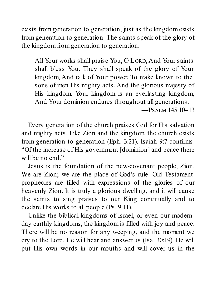exists from generation to generation, just as the kingdom exists from generation to generation. The saints speak of the glory of the kingdom from generation to generation.

All Your works shall praise You, O LORD, And Your saints shall bless You. They shall speak of the glory of Your kingdom, And talk of Your power, To make known to the sons of men His mighty acts, And the glorious majesty of His kingdom. Your kingdom is an everlasting kingdom, And Your dominion endures throughout all generations.

—PSALM 145:10–13

Every generation of the church praises God for His salvation and mighty acts. Like Zion and the kingdom, the church exists from generation to generation (Eph. 3:21). Isaiah 9:7 confirms: "Of the increase of His government [dominion] and peace there will be no end."

Jesus is the foundation of the new-covenant people, Zion. We are Zion; we are the place of God's rule. Old Testament prophecies are filled with expressions of the glories of our heavenly Zion. It is truly a glorious dwelling, and it will cause the saints to sing praises to our King continually and to declare His works to all people (Ps. 9:11).

Unlike the biblical kingdoms of Israel, or even our modernday earthly kingdoms, the kingdom is filled with joy and peace. There will be no reason for any weeping, and the moment we cry to the Lord, He will hear and answer us (Isa. 30:19). He will put His own words in our mouths and will cover us in the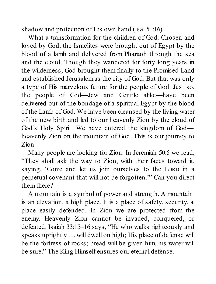shadow and protection of His own hand (Isa. 51:16).

What a transformation for the children of God. Chosen and loved by God, the Israelites were brought out of Egypt by the blood of a lamb and delivered from Pharaoh through the sea and the cloud. Though they wandered for forty long years in the wilderness, God brought them finally to the Promised Land and established Jerusalemas the city of God. But that was only a type of His marvelous future for the people of God. Just so, the people of God—Jew and Gentile alike—have been delivered out of the bondage of a spiritual Egypt by the blood of the Lamb of God. We have been cleansed by the living water of the new birth and led to our heavenly Zion by the cloud of God's Holy Spirit. We have entered the kingdom of God heavenly Zion on the mountain of God. This is our journey to Zion.

Many people are looking for Zion. In Jeremiah 50:5 we read, "They shall ask the way to Zion, with their faces toward it, saying, 'Come and let us join ourselves to the LORD in a perpetual covenant that will not be forgotten.'" Can you direct them there?

A mountain is a symbol of power and strength. A mountain is an elevation, a high place. It is a place of safety, security, a place easily defended. In Zion we are protected from the enemy. Heavenly Zion cannot be invaded, conquered, or defeated. Isaiah 33:15–16 says, "He who walks righteously and speaks uprightly …will dwell on high; His place of defense will be the fortress of rocks; bread will be given him, his water will be sure." The King Himself ensures our eternal defense.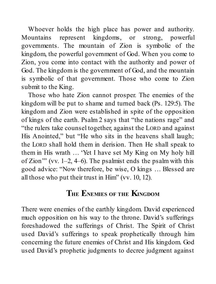Whoever holds the high place has power and authority. Mountains represent kingdoms, or strong, powerful governments. The mountain of Zion is symbolic of the kingdom, the powerful government of God. When you come to Zion, you come into contact with the authority and power of God. The kingdom is the government of God, and the mountain is symbolic of that government. Those who come to Zion submit to the King.

Those who hate Zion cannot prosper. The enemies of the kingdom will be put to shame and turned back (Ps. 129:5). The kingdom and Zion were established in spite of the opposition of kings of the earth. Psalm 2 says that "the nations rage" and "the rulers take counsel together, against the LORD and against His Anointed," but "He who sits in the heavens shall laugh; the LORD shall hold them in derision. Then He shall speak to them in His wrath … 'Yet I have set My King on My holy hill of Zion'" (vv. 1–2, 4–6). The psalmist ends the psalm with this good advice: "Now therefore, be wise, O kings … Blessed are all those who put their trust in Him" (vv. 10, 12).

#### **THE ENEMIES OF THE KINGDOM**

There were enemies of the earthly kingdom. David experienced much opposition on his way to the throne. David's sufferings foreshadowed the sufferings of Christ. The Spirit of Christ used David's sufferings to speak prophetically through him concerning the future enemies of Christ and His kingdom. God used David's prophetic judgments to decree judgment against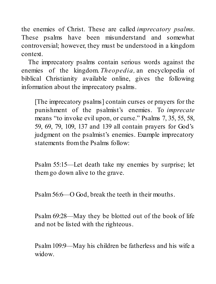the enemies of Christ. These are called *imprecatory psalms*. These psalms have been misunderstand and somewhat controversial; however, they must be understood in a kingdom context.

The imprecatory psalms contain serious words against the enemies of the kingdom. *Theopedia,* an encyclopedia of biblical Christianity available online, gives the following information about the imprecatory psalms.

[The imprecatory psalms] contain curses or prayers for the punishment of the psalmist's enemies. To *imprecate* means "to invoke evil upon, or curse." Psalms 7, 35, 55, 58, 59, 69, 79, 109, 137 and 139 all contain prayers for God's judgment on the psalmist's enemies. Example imprecatory statements fromthe Psalms follow:

Psalm 55:15—Let death take my enemies by surprise; let themgo down alive to the grave.

Psalm56:6—O God, break the teeth in their mouths.

Psalm 69:28—May they be blotted out of the book of life and not be listed with the righteous.

Psalm109:9—May his children be fatherless and his wife a widow.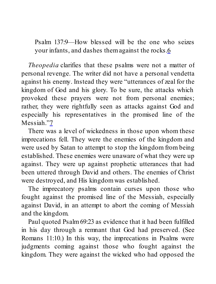Psalm 137:9—How blessed will be the one who seizes your infants, and dashes themagainst the rocks.6

*Theopedia* clarifies that these psalms were not a matter of personal revenge. The writer did not have a personal vendetta against his enemy. Instead they were "utterances of zeal for the kingdom of God and his glory. To be sure, the attacks which provoked these prayers were not from personal enemies; rather, they were rightfully seen as attacks against God and especially his representatives in the promised line of the Messiah."<sub>7</sub>

There was a level of wickedness in those upon whom these imprecations fell. They were the enemies of the kingdom and were used by Satan to attempt to stop the kingdom from being established. These enemies were unaware of what they were up against. They were up against prophetic utterances that had been uttered through David and others. The enemies of Christ were destroyed, and His kingdomwas established.

The imprecatory psalms contain curses upon those who fought against the promised line of the Messiah, especially against David, in an attempt to abort the coming of Messiah and the kingdom.

Paul quoted Psalm69:23 as evidence that it had been fulfilled in his day through a remnant that God had preserved. (See Romans 11:10.) In this way, the imprecations in Psalms were judgments coming against those who fought against the kingdom. They were against the wicked who had opposed the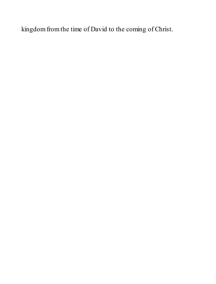kingdomfromthe time of David to the coming of Christ.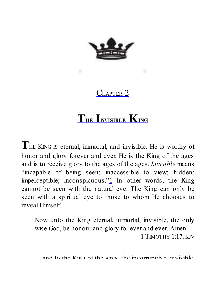

# **THE INVISIBLE KING**

**T**HE <sup>K</sup>ING IS eternal, immortal, and invisible. He is worthy of honor and glory forever and ever. He is the King of the ages and is to receive glory to the ages of the ages. *Invisible* means "incapable of being seen; inaccessible to view; hidden; imperceptible; inconspicuous."1 In other words, the King cannot be seen with the natural eye. The King can only be seen with a spiritual eye to those to whom He chooses to reveal Himself.

Now unto the King eternal, immortal, invisible, the only wise God, be honour and glory for ever and ever. Amen. —1 TIMOTHY 1:17, KJV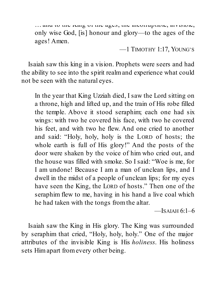… and to the King of the ages, the incorruptible, invisible, only wise God, [is] honour and glory—to the ages of the ages! Amen.

—1 TIMOTHY 1:17, YOUNG'S

Isaiah saw this king in a vision. Prophets were seers and had the ability to see into the spirit realmand experience what could not be seen with the natural eyes.

In the year that King Uzziah died, I saw the Lord sitting on a throne, high and lifted up, and the train of His robe filled the temple. Above it stood seraphim; each one had six wings: with two he covered his face, with two he covered his feet, and with two he flew. And one cried to another and said: "Holy, holy, holy is the LORD of hosts; the whole earth is full of His glory!" And the posts of the door were shaken by the voice of him who cried out, and the house was filled with smoke. So I said: "Woe is me, for I am undone! Because I am a man of unclean lips, and I dwell in the midst of a people of unclean lips; for my eyes have seen the King, the LORD of hosts." Then one of the seraphim flew to me, having in his hand a live coal which he had taken with the tongs fromthe altar.

 $-$ Is  $\Delta$ IAH 6:1–6

Isaiah saw the King in His glory. The King was surrounded by seraphim that cried, "Holy, holy, holy." One of the major attributes of the invisible King is His *holiness*. His holiness sets Himapart fromevery other being.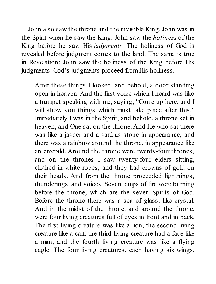John also saw the throne and the invisible King. John was in the Spirit when he saw the King. John saw the *holiness* of the King before he saw His *judgments*. The holiness of God is revealed before judgment comes to the land. The same is true in Revelation; John saw the holiness of the King before His judgments. God's judgments proceed fromHis holiness.

After these things I looked, and behold, a door standing open in heaven. And the first voice which I heard was like a trumpet speaking with me, saying, "Come up here, and I will show you things which must take place after this." Immediately I was in the Spirit; and behold, a throne set in heaven, and One sat on the throne. And He who sat there was like a jasper and a sardius stone in appearance; and there was a rainbow around the throne, in appearance like an emerald. Around the throne were twenty-four thrones, and on the thrones I saw twenty-four elders sitting, clothed in white robes; and they had crowns of gold on their heads. And from the throne proceeded lightnings, thunderings, and voices. Seven lamps of fire were burning before the throne, which are the seven Spirits of God. Before the throne there was a sea of glass, like crystal. And in the midst of the throne, and around the throne, were four living creatures full of eyes in front and in back. The first living creature was like a lion, the second living creature like a calf, the third living creature had a face like a man, and the fourth living creature was like a flying eagle. The four living creatures, each having six wings,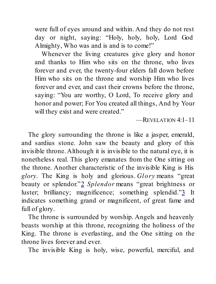were full of eyes around and within. And they do not rest day or night, saying: "Holy, holy, holy, Lord God Almighty, Who was and is and is to come!"

Whenever the living creatures give glory and honor and thanks to Him who sits on the throne, who lives forever and ever, the twenty-four elders fall down before Him who sits on the throne and worship Him who lives forever and ever, and cast their crowns before the throne, saying: "You are worthy, O Lord, To receive glory and honor and power; For You created all things, And by Your will they exist and were created."

—REVELATION 4:1–11

The glory surrounding the throne is like a jasper, emerald, and sardius stone. John saw the beauty and glory of this invisible throne. Although it is invisible to the natural eye, it is nonetheless real. This glory emanates from the One sitting on the throne. Another characteristic of the invisible King is His *glory*. The King is holy and glorious. *Glory* means "great beauty or splendor."2 *Splendor* means "great brightness or luster; brilliancy; magnificence; something splendid."3 It indicates something grand or magnificent, of great fame and full of glory.

The throne is surrounded by worship. Angels and heavenly beasts worship at this throne, recognizing the holiness of the King. The throne is everlasting, and the One sitting on the throne lives forever and ever.

The invisible King is holy, wise, powerful, merciful, and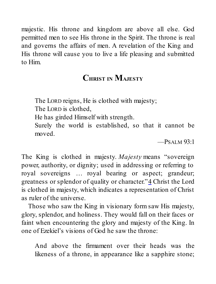majestic. His throne and kingdom are above all else. God permitted men to see His throne in the Spirit. The throne is real and governs the affairs of men. A revelation of the King and His throne will cause you to live a life pleasing and submitted to Him.

#### **CHRIST IN MAJESTY**

The LORD reigns, He is clothed with majesty;

The LORD is clothed,

He has girded Himself with strength.

Surely the world is established, so that it cannot be moved.

—PSALM 93:1

The King is clothed in majesty. *Majesty* means "sovereign power, authority, or dignity; used in addressing or referring to royal sovereigns … royal bearing or aspect; grandeur; greatness or splendor of quality or character."4 Christ the Lord is clothed in majesty, which indicates a representation of Christ as ruler of the universe.

Those who saw the King in visionary form saw His majesty, glory, splendor, and holiness. They would fall on their faces or faint when encountering the glory and majesty of the King. In one of Ezekiel's visions of God he saw the throne:

And above the firmament over their heads was the likeness of a throne, in appearance like a sapphire stone;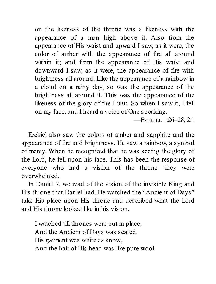on the likeness of the throne was a likeness with the appearance of a man high above it. Also from the appearance of His waist and upward I saw, as it were, the color of amber with the appearance of fire all around within it; and from the appearance of His waist and downward I saw, as it were, the appearance of fire with brightness all around. Like the appearance of a rainbow in a cloud on a rainy day, so was the appearance of the brightness all around it. This was the appearance of the likeness of the glory of the LORD. So when I saw it, I fell on my face, and I heard a voice of One speaking.

—EZEKIEL 1:26–28, 2:1

Ezekiel also saw the colors of amber and sapphire and the appearance of fire and brightness. He saw a rainbow, a symbol of mercy. When he recognized that he was seeing the glory of the Lord, he fell upon his face. This has been the response of everyone who had a vision of the throne—they were overwhelmed.

In Daniel 7, we read of the vision of the invisible King and His throne that Daniel had. He watched the "Ancient of Days" take His place upon His throne and described what the Lord and His throne looked like in his vision.

I watched till thrones were put in place, And the Ancient of Days was seated; His garment was white as snow, And the hair of His head was like pure wool.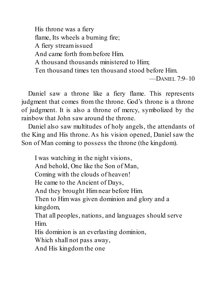His throne was a fiery flame. Its wheels a burning fire: A fiery streamissued And came forth frombefore Him. A thousand thousands ministered to Him; Ten thousand times ten thousand stood before Him.

—DANIEL 7:9–10

Daniel saw a throne like a fiery flame. This represents judgment that comes from the throne. God's throne is a throne of judgment. It is also a throne of mercy, symbolized by the rainbow that John saw around the throne.

Daniel also saw multitudes of holy angels, the attendants of the King and His throne. As his vision opened, Daniel saw the Son of Man coming to possess the throne (the kingdom).

I was watching in the night visions, And behold, One like the Son of Man, Coming with the clouds of heaven! He came to the Ancient of Days, And they brought Himnear before Him. Then to Himwas given dominion and glory and a kingdom, That all peoples, nations, and languages should serve Him. His dominion is an everlasting dominion, Which shall not pass away, And His kingdomthe one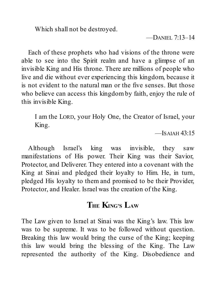Which shall not be destroyed.

—DANIEL 7:13–14

Each of these prophets who had visions of the throne were able to see into the Spirit realm and have a glimpse of an invisible King and His throne. There are millions of people who live and die without ever experiencing this kingdom, because it is not evident to the natural man or the five senses. But those who believe can access this kingdom by faith, enjoy the rule of this invisible King.

I am the LORD, your Holy One, the Creator of Israel, your King.

 $-$ Isaiah 43:15

Although Israel's king was invisible, they saw manifestations of His power. Their King was their Savior, Protector, and Deliverer. They entered into a covenant with the King at Sinai and pledged their loyalty to Him. He, in turn, pledged His loyalty to them and promised to be their Provider, Protector, and Healer. Israel was the creation of the King.

#### **THE KING'S LAW**

The Law given to Israel at Sinai was the King's law. This law was to be supreme. It was to be followed without question. Breaking this law would bring the curse of the King; keeping this law would bring the blessing of the King. The Law represented the authority of the King. Disobedience and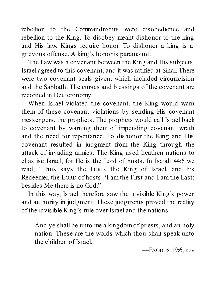rebellion to the Commandments were disobedience and rebellion to the King. To disobey meant dishonor to the king and His law. Kings require honor. To dishonor a king is a grievous offense. A king's honor is paramount.

The Law was a covenant between the King and His subjects. Israel agreed to this covenant, and it was ratified at Sinai. There were two covenant seals given, which included circumcision and the Sabbath. The curses and blessings of the covenant are recorded in Deuteronomy.

When Israel violated the covenant, the King would warn them of these covenant violations by sending His covenant messengers, the prophets. The prophets would call Israel back to covenant by warning them of impending covenant wrath and the need for repentance. To dishonor the King and His covenant resulted in judgment from the King through the attack of invading armies. The King used heathen nations to chastise Israel, for He is the Lord of hosts. In Isaiah 44:6 we read, "Thus says the LORD, the King of Israel, and his Redeemer, the LORD of hosts: 'I am the First and I am the Last; besides Me there is no God."

In this way, Israel therefore saw the invisible King's power and authority in judgment. These judgments proved the reality of the invisible King's rule over Israel and the nations.

And ye shall be unto me a kingdomof priests, and an holy nation. These are the words which thou shalt speak unto the children of Israel.

—EXODUS 19:6, KJV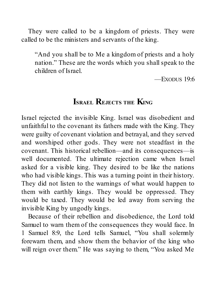They were called to be a kingdom of priests. They were called to be the ministers and servants of the king.

"And you shall be to Me a kingdom of priests and a holy nation." These are the words which you shall speak to the children of Israel.

—EXODUS 19:6

#### **ISRAEL REJECTS THE KING**

Israel rejected the invisible King. Israel was disobedient and unfaithful to the covenant its fathers made with the King. They were guilty of covenant violation and betrayal, and they served and worshiped other gods. They were not steadfast in the covenant. This historical rebellion—and its consequences—is well documented. The ultimate rejection came when Israel asked for a visible king. They desired to be like the nations who had visible kings. This was a turning point in their history. They did not listen to the warnings of what would happen to them with earthly kings. They would be oppressed. They would be taxed. They would be led away from serving the invisible King by ungodly kings.

Because of their rebellion and disobedience, the Lord told Samuel to warn them of the consequences they would face. In 1 Samuel 8:9, the Lord tells Samuel, "You shall solemnly forewarn them, and show them the behavior of the king who will reign over them." He was saying to them, "You asked Me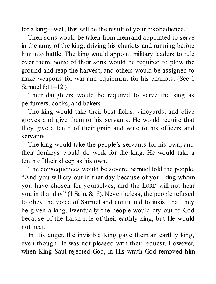for a king—well, this will be the result of your disobedience."

Their sons would be taken fromthemand appointed to serve in the army of the king, driving his chariots and running before him into battle. The king would appoint military leaders to rule over them. Some of their sons would be required to plow the ground and reap the harvest, and others would be assigned to make weapons for war and equipment for his chariots. (See 1 Samuel 8:11–12.)

Their daughters would be required to serve the king as perfumers, cooks, and bakers.

The king would take their best fields, vineyards, and olive groves and give them to his servants. He would require that they give a tenth of their grain and wine to his officers and servants.

The king would take the people's servants for his own, and their donkeys would do work for the king. He would take a tenth of their sheep as his own.

The consequences would be severe. Samuel told the people, "And you will cry out in that day because of your king whom you have chosen for yourselves, and the LORD will not hear you in that day" (1 Sam. 8:18). Nevertheless, the people refused to obey the voice of Samuel and continued to insist that they be given a king. Eventually the people would cry out to God because of the harsh rule of their earthly king, but He would not hear.

In His anger, the invisible King gave them an earthly king, even though He was not pleased with their request. However, when King Saul rejected God, in His wrath God removed him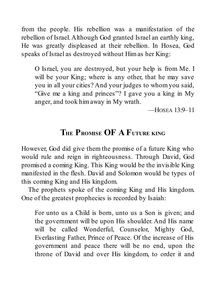from the people. His rebellion was a manifestation of the rebellion of Israel.Although God granted Israel an earthly king, He was greatly displeased at their rebellion. In Hosea, God speaks of Israel as destroyed without Himas her King:

O Israel, you are destroyed, but your help is from Me. I will be your King; where is any other, that he may save you in all your cities? And your judges to whom you said, "Give me a king and princes"? I gave you a king in My anger, and took himaway in My wrath.

—HOSEA 13:9–11

#### **THE PROMISE OF A FUTURE KING**

However, God did give them the promise of a future King who would rule and reign in righteousness. Through David, God promised a coming King. This King would be the invisible King manifested in the flesh. David and Solomon would be types of this coming King and His kingdom.

The prophets spoke of the coming King and His kingdom. One of the greatest prophecies is recorded by Isaiah:

For unto us a Child is born, unto us a Son is given; and the government will be upon His shoulder. And His name will be called Wonderful, Counselor, Mighty God, Everlasting Father, Prince of Peace. Of the increase of His government and peace there will be no end, upon the throne of David and over His kingdom, to order it and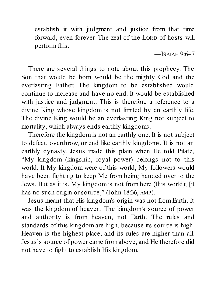establish it with judgment and justice from that time forward, even forever. The zeal of the LORD of hosts will perform this.

 $\equiv$ Isaiah 9:6–7

There are several things to note about this prophecy. The Son that would be born would be the mighty God and the everlasting Father. The kingdom to be established would continue to increase and have no end. It would be established with justice and judgment. This is therefore a reference to a divine King whose kingdom is not limited by an earthly life. The divine King would be an everlasting King not subject to mortality, which always ends earthly kingdoms.

Therefore the kingdom is not an earthly one. It is not subject to defeat, overthrow, or end like earthly kingdoms. It is not an earthly dynasty. Jesus made this plain when He told Pilate, "My kingdom (kingship, royal power) belongs not to this world. If My kingdom were of this world, My followers would have been fighting to keep Me from being handed over to the Jews. But as it is, My kingdom is not from here (this world); [it has no such origin or sourcel" (John 18:36, AMP).

Jesus meant that His kingdom's origin was not from Earth. It was the kingdom of heaven. The kingdom's source of power and authority is from heaven, not Earth. The rules and standards of this kingdom are high, because its source is high. Heaven is the highest place, and its rules are higher than all. Jesus's source of power came fromabove, and He therefore did not have to fight to establish His kingdom.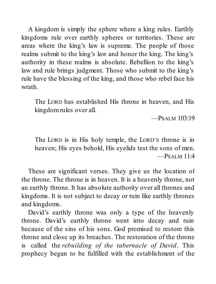A kingdom is simply the sphere where a king rules. Earthly kingdoms rule over earthly spheres or territories. These are areas where the king's law is supreme. The people of those realms submit to the king's law and honor the king. The king's authority in these realms is absolute. Rebellion to the king's law and rule brings judgment. Those who submit to the king's rule have the blessing of the king, and those who rebel face his wrath.

The LORD has established His throne in heaven, and His kingdomrules over all.

 $-$ Psalm  $103.19$ 

The LORD is in His holy temple, the LORD'S throne is in heaven: His eyes behold. His eyelids test the sons of men. —PSALM 11:4

These are significant verses. They give us the location of the throne. The throne is in heaven. It is a heavenly throne, not an earthly throne. It has absolute authority over all thrones and kingdoms. It is not subject to decay or ruin like earthly thrones and kingdoms.

David's earthly throne was only a type of the heavenly throne. David's earthly throne went into decay and ruin because of the sins of his sons. God promised to restore this throne and close up its breaches. The restoration of the throne is called the *rebuilding of the tabernacle of David*. This prophecy began to be fulfilled with the establishment of the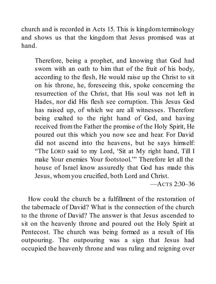church and is recorded in Acts 15. This is kingdomterminology and shows us that the kingdom that Jesus promised was at hand.

Therefore, being a prophet, and knowing that God had sworn with an oath to him that of the fruit of his body, according to the flesh, He would raise up the Christ to sit on his throne, he, foreseeing this, spoke concerning the resurrection of the Christ, that His soul was not left in Hades, nor did His flesh see corruption. This Jesus God has raised up, of which we are all witnesses. Therefore being exalted to the right hand of God, and having received from the Father the promise of the Holy Spirit, He poured out this which you now see and hear. For David did not ascend into the heavens, but he says himself: "The LORD said to my Lord, 'Sit at My right hand, Till I make Your enemies Your footstool." Therefore let all the house of Israel know assuredly that God has made this Jesus, whomyou crucified, both Lord and Christ.

 $-$ ACTS 2:30-36

How could the church be a fulfillment of the restoration of the tabernacle of David? What is the connection of the church to the throne of David? The answer is that Jesus ascended to sit on the heavenly throne and poured out the Holy Spirit at Pentecost. The church was being formed as a result of His outpouring. The outpouring was a sign that Jesus had occupied the heavenly throne and was ruling and reigning over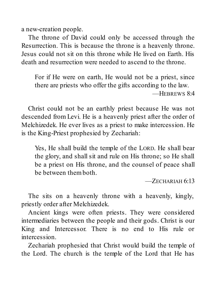a new-creation people.

The throne of David could only be accessed through the Resurrection. This is because the throne is a heavenly throne. Jesus could not sit on this throne while He lived on Earth. His death and resurrection were needed to ascend to the throne.

For if He were on earth, He would not be a priest, since there are priests who offer the gifts according to the law. —HEBREWS 8:4

Christ could not be an earthly priest because He was not descended from Levi. He is a heavenly priest after the order of Melchizedek. He ever lives as a priest to make intercession. He is the King-Priest prophesied by Zechariah:

Yes, He shall build the temple of the LORD. He shall bear the glory, and shall sit and rule on His throne; so He shall be a priest on His throne, and the counsel of peace shall be between themboth.

—ZECHARIAH 6:13

The sits on a heavenly throne with a heavenly, kingly, priestly order after Melchizedek.

Ancient kings were often priests. They were considered intermediaries between the people and their gods. Christ is our King and Intercessor. There is no end to His rule or intercession.

Zechariah prophesied that Christ would build the temple of the Lord. The church is the temple of the Lord that He has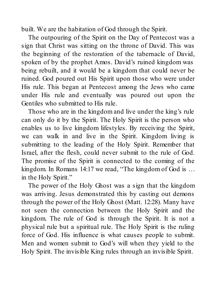built. We are the habitation of God through the Spirit.

The outpouring of the Spirit on the Day of Pentecost was a sign that Christ was sitting on the throne of David. This was the beginning of the restoration of the tabernacle of David, spoken of by the prophet Amos. David's ruined kingdom was being rebuilt, and it would be a kingdom that could never be ruined. God poured out His Spirit upon those who were under His rule. This began at Pentecost among the Jews who came under His rule and eventually was poured out upon the Gentiles who submitted to His rule.

Those who are in the kingdom and live under the king's rule can only do it by the Spirit. The Holy Spirit is the person who enables us to live kingdom lifestyles. By receiving the Spirit, we can walk in and live in the Spirit. Kingdom living is submitting to the leading of the Holy Spirit. Remember that Israel, after the flesh, could never submit to the rule of God. The promise of the Spirit is connected to the coming of the kingdom. In Romans 14:17 we read, "The kingdom of God is ... in the Holy Spirit."

The power of the Holy Ghost was a sign that the kingdom was arriving. Jesus demonstrated this by casting out demons through the power of the Holy Ghost (Matt. 12:28). Many have not seen the connection between the Holy Spirit and the kingdom. The rule of God is through the Spirit. It is not a physical rule but a spiritual rule. The Holy Spirit is the ruling force of God. His influence is what causes people to submit. Men and women submit to God's will when they yield to the Holy Spirit. The invisible King rules through an invisible Spirit.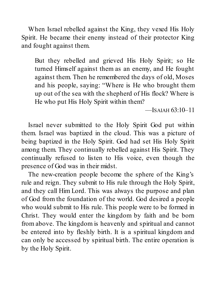When Israel rebelled against the King, they vexed His Holy Spirit. He became their enemy instead of their protector King and fought against them.

But they rebelled and grieved His Holy Spirit; so He turned Himself against them as an enemy, and He fought against them. Then he remembered the days of old, Moses and his people, saying: "Where is He who brought them up out of the sea with the shepherd of His flock? Where is He who put His Holy Spirit within them?<br>—ISAIAH 63:10–11

Israel never submitted to the Holy Spirit God put within them. Israel was baptized in the cloud. This was a picture of being baptized in the Holy Spirit. God had set His Holy Spirit among them. They continually rebelled against His Spirit. They continually refused to listen to His voice, even though the presence of God was in their midst.

The new-creation people become the sphere of the King's rule and reign. They submit to His rule through the Holy Spirit, and they call Him Lord. This was always the purpose and plan of God from the foundation of the world. God desired a people who would submit to His rule. This people were to be formed in Christ. They would enter the kingdom by faith and be born from above. The kingdom is heavenly and spiritual and cannot be entered into by fleshly birth. It is a spiritual kingdom and can only be accessed by spiritual birth. The entire operation is by the Holy Spirit.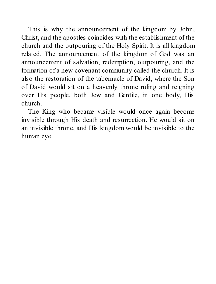This is why the announcement of the kingdom by John, Christ, and the apostles coincides with the establishment of the church and the outpouring of the Holy Spirit. It is all kingdom related. The announcement of the kingdom of God was an announcement of salvation, redemption, outpouring, and the formation of a new-covenant community called the church. It is also the restoration of the tabernacle of David, where the Son of David would sit on a heavenly throne ruling and reigning over His people, both Jew and Gentile, in one body, His church.

The King who became visible would once again become invisible through His death and resurrection. He would sit on an invisible throne, and His kingdom would be invisible to the human eye.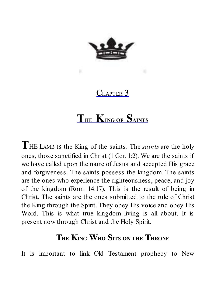

# **THE KING OF SAINTS**

**T**HE <sup>L</sup>AMB IS the King of the saints. The *saints* are the holy ones, those sanctified in Christ (1 Cor. 1:2). We are the saints if we have called upon the name of Jesus and accepted His grace and forgiveness. The saints possess the kingdom. The saints are the ones who experience the righteousness, peace, and joy of the kingdom (Rom. 14:17). This is the result of being in Christ. The saints are the ones submitted to the rule of Christ the King through the Spirit. They obey His voice and obey His Word. This is what true kingdom living is all about. It is present now through Christ and the Holy Spirit.

### **THE KING WHO SITS ON THE THRONE**

It is important to link Old Testament prophecy to New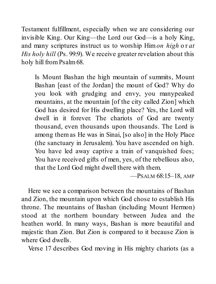Testament fulfillment, especially when we are considering our invisible King. Our King—the Lord our God—is a holy King, and many scriptures instruct us to worship Him*on high* o r *at His holy hill* (Ps. 99:9). We receive greater revelation about this holy hill from Psalm 68.

Is Mount Bashan the high mountain of summits, Mount Bashan [east of the Jordan] the mount of God? Why do you look with grudging and envy, you manypeaked mountains, at the mountain [of the city called Zion] which God has desired for His dwelling place? Yes, the Lord will dwell in it forever. The chariots of God are twenty thousand, even thousands upon thousands. The Lord is among them as He was in Sinai, [so also] in the Holy Place (the sanctuary in Jerusalem). You have ascended on high. You have led away captive a train of vanquished foes: You have received gifts of men, yes, of the rebellious also, that the Lord God might dwell there with them.

—PSALM 68:15–18, AMP

Here we see a comparison between the mountains of Bashan and Zion, the mountain upon which God chose to establish His throne. The mountains of Bashan (including Mount Hermon) stood at the northern boundary between Judea and the heathen world. In many ways, Bashan is more beautiful and majestic than Zion. But Zion is compared to it because Zion is where God dwells.

Verse 17 describes God moving in His mighty chariots (as a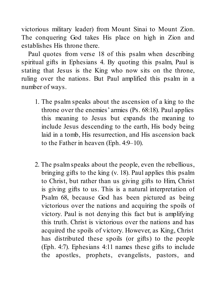victorious military leader) from Mount Sinai to Mount Zion. The conquering God takes His place on high in Zion and establishes His throne there.

Paul quotes from verse 18 of this psalm when describing spiritual gifts in Ephesians 4. By quoting this psalm, Paul is stating that Jesus is the King who now sits on the throne, ruling over the nations. But Paul amplified this psalm in a number of ways.

- 1. The psalm speaks about the ascension of a king to the throne over the enemies' armies (Ps. 68:18). Paul applies this meaning to Jesus but expands the meaning to include Jesus descending to the earth, His body being laid in a tomb, His resurrection, and His ascension back to the Father in heaven (Eph. 4:9–10).
- 2. The psalmspeaks about the people, even the rebellious, bringing gifts to the king (v. 18). Paul applies this psalm to Christ, but rather than us giving gifts to Him, Christ is giving gifts to us. This is a natural interpretation of Psalm 68, because God has been pictured as being victorious over the nations and acquiring the spoils of victory. Paul is not denying this fact but is amplifying this truth. Christ is victorious over the nations and has acquired the spoils of victory. However, as King, Christ has distributed these spoils (or gifts) to the people (Eph. 4:7). Ephesians 4:11 names these gifts to include the apostles, prophets, evangelists, pastors, and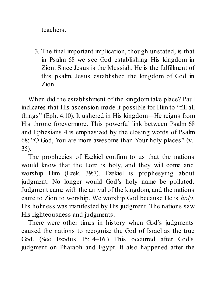teachers.

3. The final important implication, though unstated, is that in Psalm 68 we see God establishing His kingdom in Zion. Since Jesus is the Messiah, He is the fulfillment of this psalm. Jesus established the kingdom of God in Zion.

When did the establishment of the kingdom take place? Paul indicates that His ascension made it possible for Him to "fill all things" (Eph. 4:10). It ushered in His kingdom—He reigns from His throne forevermore. This powerful link between Psalm 68 and Ephesians 4 is emphasized by the closing words of Psalm 68: "O God, You are more awesome than Your holy places" (v. 35).

The prophecies of Ezekiel confirm to us that the nations would know that the Lord is holy, and they will come and worship Him (Ezek. 39:7). Ezekiel is prophesying about judgment. No longer would God's holy name be polluted. Judgment came with the arrival of the kingdom, and the nations came to Zion to worship. We worship God because He is *holy*. His holiness was manifested by His judgment. The nations saw His righteousness and judgments.

There were other times in history when God's judgments caused the nations to recognize the God of Israel as the true God. (See Exodus 15:14–16.) This occurred after God's judgment on Pharaoh and Egypt. It also happened after the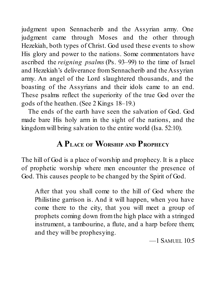judgment upon Sennacherib and the Assyrian army. One judgment came through Moses and the other through Hezekiah, both types of Christ. God used these events to show His glory and power to the nations. Some commentators have ascribed the *reigning psalms* (Ps. 93–99) to the time of Israel and Hezekiah's deliverance from Sennacherib and the Assyrian army. An angel of the Lord slaughtered thousands, and the boasting of the Assyrians and their idols came to an end. These psalms reflect the superiority of the true God over the gods of the heathen. (See 2 Kings 18–19.)

The ends of the earth have seen the salvation of God. God made bare His holy arm in the sight of the nations, and the kingdomwill bring salvation to the entire world (Isa. 52:10).

# **A PLACE OF WORSHIP AND PROPHECY**

The hill of God is a place of worship and prophecy. It is a place of prophetic worship where men encounter the presence of God. This causes people to be changed by the Spirit of God.

After that you shall come to the hill of God where the Philistine garrison is. And it will happen, when you have come there to the city, that you will meet a group of prophets coming down fromthe high place with a stringed instrument, a tambourine, a flute, and a harp before them; and they will be prophesying.

—1 SAMUEL 10:5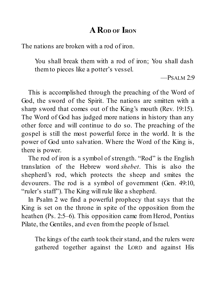#### **A ROD OF IRON**

The nations are broken with a rod of iron.

You shall break them with a rod of iron; You shall dash themto pieces like a potter's vessel.

 $-$ PSALM  $2.9$ 

This is accomplished through the preaching of the Word of God, the sword of the Spirit. The nations are smitten with a sharp sword that comes out of the King's mouth (Rev. 19:15). The Word of God has judged more nations in history than any other force and will continue to do so. The preaching of the gospel is still the most powerful force in the world. It is the power of God unto salvation. Where the Word of the King is, there is power.

The rod of iron is a symbol of strength. "Rod" is the English translation of the Hebrew word *shebet*. This is also the shepherd's rod, which protects the sheep and smites the devourers. The rod is a symbol of government (Gen. 49:10, "ruler's staff"). The King will rule like a shepherd.

In Psalm 2 we find a powerful prophecy that says that the King is set on the throne in spite of the opposition from the heathen (Ps. 2:5–6). This opposition came from Herod, Pontius Pilate, the Gentiles, and even fromthe people of Israel.

The kings of the earth took their stand, and the rulers were gathered together against the LORD and against His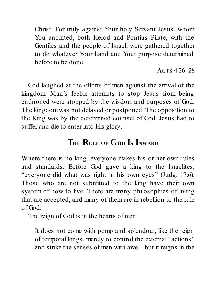Christ. For truly against Your holy Servant Jesus, whom You anointed, both Herod and Pontius Pilate, with the Gentiles and the people of Israel, were gathered together to do whatever Your hand and Your purpose determined before to be done.

 $-$ ACTS 4:26-28

God laughed at the efforts of men against the arrival of the kingdom. Man's feeble attempts to stop Jesus from being enthroned were stopped by the wisdom and purposes of God. The kingdomwas not delayed or postponed. The opposition to the King was by the determined counsel of God. Jesus had to suffer and die to enter into His glory.

# **THE RULE OF GOD I<sup>S</sup> INWARD**

Where there is no king, everyone makes his or her own rules and standards. Before God gave a king to the Israelites, "everyone did what was right in his own eyes" (Judg. 17:6). Those who are not submitted to the king have their own system of how to live. There are many philosophies of living that are accepted, and many of them are in rebellion to the rule of God.

The reign of God is in the hearts of men:

It does not come with pomp and splendour, like the reign of temporal kings, merely to control the external "actions" and strike the senses of men with awe—but it reigns in the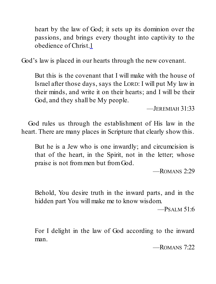heart by the law of God; it sets up its dominion over the passions, and brings every thought into captivity to the obedience of Christ.<sup>1</sup>

God's law is placed in our hearts through the new covenant.

But this is the covenant that I will make with the house of Israel after those days, says the LORD: I will put My law in their minds, and write it on their hearts; and I will be their God, and they shall be My people.

—JEREMIAH 31:33

God rules us through the establishment of His law in the heart. There are many places in Scripture that clearly show this.

But he is a Jew who is one inwardly; and circumcision is that of the heart, in the Spirit, not in the letter; whose praise is not frommen but fromGod.

—ROMANS 2:29

Behold, You desire truth in the inward parts, and in the hidden part You will make me to know wisdom. —PSALM 51:6

For I delight in the law of God according to the inward man.

—ROMANS 7:22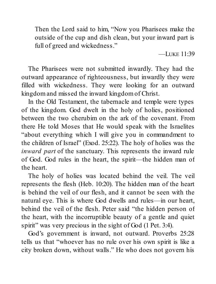Then the Lord said to him, "Now you Pharisees make the outside of the cup and dish clean, but your inward part is full of greed and wickedness."

 $I_{UWE}$  11:39

The Pharisees were not submitted inwardly. They had the outward appearance of righteousness, but inwardly they were filled with wickedness. They were looking for an outward kingdomand missed the inward kingdomof Christ.

In the Old Testament, the tabernacle and temple were types of the kingdom. God dwelt in the holy of holies, positioned between the two cherubim on the ark of the covenant. From there He told Moses that He would speak with the Israelites "about everything which I will give you in commandment to the children of Israel" (Exod. 25:22). The holy of holies was the *inward part* of the sanctuary. This represents the inward rule of God. God rules in the heart, the spirit—the hidden man of the heart.

The holy of holies was located behind the veil. The veil represents the flesh (Heb. 10:20). The hidden man of the heart is behind the veil of our flesh, and it cannot be seen with the natural eye. This is where God dwells and rules—in our heart, behind the veil of the flesh. Peter said "the hidden person of the heart, with the incorruptible beauty of a gentle and quiet spirit" was very precious in the sight of God (1 Pet. 3:4).

God's government is inward, not outward. Proverbs 25:28 tells us that "whoever has no rule over his own spirit is like a city broken down, without walls." He who does not govern his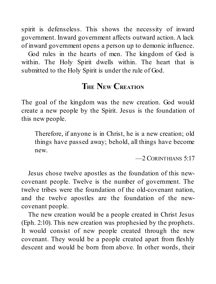spirit is defenseless. This shows the necessity of inward government. Inward government affects outward action. A lack of inward government opens a person up to demonic influence.

God rules in the hearts of men. The kingdom of God is within. The Holy Spirit dwells within. The heart that is submitted to the Holy Spirit is under the rule of God.

# **THE NEW CREATION**

The goal of the kingdom was the new creation. God would create a new people by the Spirit. Jesus is the foundation of this new people.

Therefore, if anyone is in Christ, he is a new creation; old things have passed away; behold, all things have become new.

—2 CORINTHIANS 5:17

Jesus chose twelve apostles as the foundation of this newcovenant people. Twelve is the number of government. The twelve tribes were the foundation of the old-covenant nation, and the twelve apostles are the foundation of the newcovenant people.

The new creation would be a people created in Christ Jesus (Eph. 2:10). This new creation was prophesied by the prophets. It would consist of new people created through the new covenant. They would be a people created apart from fleshly descent and would be born from above. In other words, their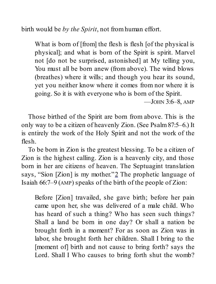birth would be *by the Spirit*, not fromhuman effort.

What is born of [from] the flesh is flesh [of the physical is physical]; and what is born of the Spirit is spirit. Marvel not [do not be surprised, astonished] at My telling you, You must all be born anew (from above). The wind blows (breathes) where it wills; and though you hear its sound, yet you neither know where it comes from nor where it is going. So it is with everyone who is born of the Spirit.

—JOHN 3:6–8, AMP

Those birthed of the Spirit are born from above. This is the only way to be a citizen of heavenly Zion. (See Psalm87:5–6.) It is entirely the work of the Holy Spirit and not the work of the flesh.

To be born in Zion is the greatest blessing. To be a citizen of Zion is the highest calling. Zion is a heavenly city, and those born in her are citizens of heaven. The Septuagint translation says, "Sion [Zion] is my mother."2 The prophetic language of Isaiah 66:7–9 (AMP) speaks of the birth of the people of Zion:

Before [Zion] travailed, she gave birth; before her pain came upon her, she was delivered of a male child. Who has heard of such a thing? Who has seen such things? Shall a land be born in one day? Or shall a nation be brought forth in a moment? For as soon as Zion was in labor, she brought forth her children. Shall I bring to the [moment of] birth and not cause to bring forth? says the Lord. Shall I Who causes to bring forth shut the womb?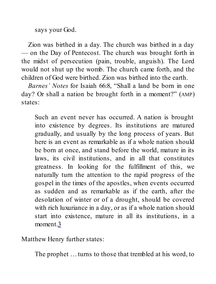#### says your God.

Zion was birthed in a day. The church was birthed in a day — on the Day of Pentecost. The church was brought forth in the midst of persecution (pain, trouble, anguish). The Lord would not shut up the womb. The church came forth, and the children of God were birthed. Zion was birthed into the earth.

*Barnes' Notes* for Isaiah 66:8, "Shall a land be born in one day? Or shall a nation be brought forth in a moment?" (AMP) states:

Such an event never has occurred. A nation is brought into existence by degrees. Its institutions are matured gradually, and usually by the long process of years. But here is an event as remarkable as if a whole nation should be born at once, and stand before the world, mature in its laws, its civil institutions, and in all that constitutes greatness. In looking for the fulfillment of this, we naturally turn the attention to the rapid progress of the gospel in the times of the apostles, when events occurred as sudden and as remarkable as if the earth, after the desolation of winter or of a drought, should be covered with rich luxuriance in a day, or as if a whole nation should start into existence, mature in all its institutions, in a moment.3

Matthew Henry further states:

The prophet …turns to those that trembled at his word, to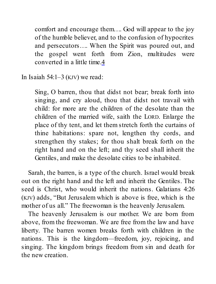comfort and encourage them…. God will appear to the joy of the humble believer, and to the confusion of hypocrites and persecutors…. When the Spirit was poured out, and the gospel went forth from Zion, multitudes were converted in a little time.<sup>4</sup>

In Isaiah 54:1–3 (KJV) we read:

Sing, O barren, thou that didst not bear; break forth into singing, and cry aloud, thou that didst not travail with child: for more are the children of the desolate than the children of the married wife, saith the LORD. Enlarge the place of thy tent, and let them stretch forth the curtains of thine habitations: spare not, lengthen thy cords, and strengthen thy stakes; for thou shalt break forth on the right hand and on the left; and thy seed shall inherit the Gentiles, and make the desolate cities to be inhabited.

Sarah, the barren, is a type of the church. Israel would break out on the right hand and the left and inherit the Gentiles. The seed is Christ, who would inherit the nations. Galatians 4:26 (KJV) adds, "But Jerusalem which is above is free, which is the mother of us all." The freewoman is the heavenly Jerusalem.

The heavenly Jerusalem is our mother. We are born from above, from the freewoman. We are free from the law and have liberty. The barren women breaks forth with children in the nations. This is the kingdom—freedom, joy, rejoicing, and singing. The kingdom brings freedom from sin and death for the new creation.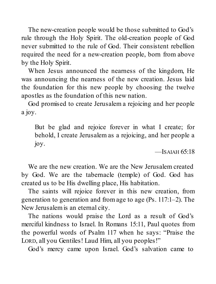The new-creation people would be those submitted to God's rule through the Holy Spirit. The old-creation people of God never submitted to the rule of God. Their consistent rebellion required the need for a new-creation people, born from above by the Holy Spirit.

When Jesus announced the nearness of the kingdom, He was announcing the nearness of the new creation. Jesus laid the foundation for this new people by choosing the twelve apostles as the foundation of this new nation.

God promised to create Jerusalem a rejoicing and her people a joy.

But be glad and rejoice forever in what I create; for behold, I create Jerusalem as a rejoicing, and her people a joy.

 $-$ Is  $\Delta$ Iah 65:18

We are the new creation. We are the New Jerusalem created by God. We are the tabernacle (temple) of God. God has created us to be His dwelling place, His habitation.

The saints will rejoice forever in this new creation, from generation to generation and fromage to age (Ps. 117:1–2). The New Jerusalemis an eternal city.

The nations would praise the Lord as a result of God's merciful kindness to Israel. In Romans 15:11, Paul quotes from the powerful words of Psalm 117 when he says: "Praise the LORD, all you Gentiles! Laud Him, all you peoples!"

God's mercy came upon Israel. God's salvation came to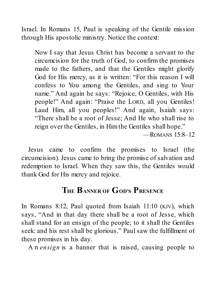Israel. In Romans 15, Paul is speaking of the Gentile mission through His apostolic ministry. Notice the context:

Now I say that Jesus Christ has become a servant to the circumcision for the truth of God, to confirm the promises made to the fathers, and that the Gentiles might glorify God for His mercy, as it is written: "For this reason I will confess to You among the Gentiles, and sing to Your name." And again he says: "Rejoice, O Gentiles, with His people!" And again: "Praise the LORD, all you Gentiles! Laud Him, all you peoples!" And again, Isaiah says: "There shall be a root of Jesse; And He who shall rise to reign over the Gentiles, in Himthe Gentiles shall hope."

—ROMANS 15:8–12

Jesus came to confirm the promises to Israel (the circumcision). Jesus came to bring the promise of salvation and redemption to Israel. When they saw this, the Gentiles would thank God for His mercy and rejoice.

# **THE BANNER OF GOD'S PRESENCE**

In Romans 8:12, Paul quoted from Isaiah 11:10 (KJV), which says, "And in that day there shall be a root of Jesse, which shall stand for an ensign of the people; to it shall the Gentiles seek: and his rest shall be glorious." Paul saw the fulfillment of these promises in his day.

A n *ensign* is a banner that is raised, causing people to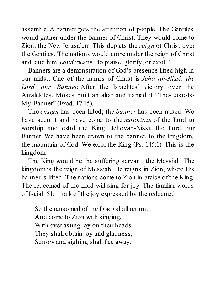assemble. A banner gets the attention of people. The Gentiles would gather under the banner of Christ. They would come to Zion, the New Jerusalem. This depicts the *reign* of Christ over the Gentiles. The nations would come under the reign of Christ and laud him. *Laud* means "to praise, glorify, or extol."

Banners are a demonstration of God's presence lifted high in our midst. One of the names of Christ is *Jehovah-Nissi, the Lord our Banner.* After the Israelites' victory over the Amalekites, Moses built an altar and named it "The-LORD-Is-My-Banner" (Exod. 17:15).

The *ensign* has been lifted; the *banner* has been raised. We have seen it and have come to the *mountain* of the Lord to worship and extol the King, Jehovah-Nissi, the Lord our Banner. We have been drawn to the banner, to the kingdom, the mountain of God. We extol the King (Ps. 145:1). This is the kingdom.

The King would be the suffering servant, the Messiah. The kingdom is the reign of Messiah. He reigns in Zion, where His banner is lifted. The nations come to Zion in praise of the King. The redeemed of the Lord will sing for joy. The familiar words of Isaiah 51:11 talk of the joy expressed by the redeemed:

So the ransomed of the LORD shall return. And come to Zion with singing, With everlasting joy on their heads. They shall obtain joy and gladness: Sorrow and sighing shall flee away.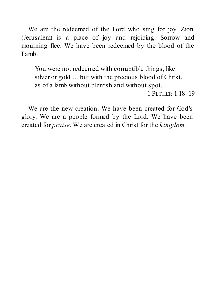We are the redeemed of the Lord who sing for joy. Zion (Jerusalem) is a place of joy and rejoicing. Sorrow and mourning flee. We have been redeemed by the blood of the Lamb.

You were not redeemed with corruptible things, like silver or gold ... but with the precious blood of Christ. as of a lamb without blemish and without spot.

—1 PETHER 1:18–19

We are the new creation. We have been created for God's glory. We are a people formed by the Lord. We have been created for *praise*. We are created in Christ for the *kingdom*.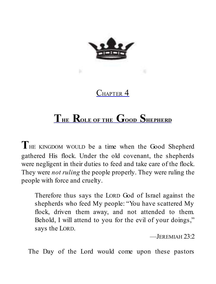

CHAPTER<sub>4</sub>

# **THE ROLE OF THE GOOD SHEPHERD**

**T**HE KINGDOM WOULD be <sup>a</sup> time when the Good Shepherd gathered His flock. Under the old covenant, the shepherds were negligent in their duties to feed and take care of the flock. They were *not ruling* the people properly. They were ruling the people with force and cruelty.

Therefore thus says the LORD God of Israel against the shepherds who feed My people: "You have scattered My flock, driven them away, and not attended to them. Behold, I will attend to you for the evil of your doings," says the LORD.

—JEREMIAH 23:2

The Day of the Lord would come upon these pastors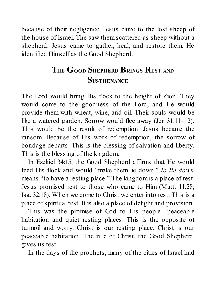because of their negligence. Jesus came to the lost sheep of the house of Israel. The saw them scattered as sheep without a shepherd. Jesus came to gather, heal, and restore them. He identified Himself as the Good Shepherd.

# **THE GOOD SHEPHERD BRINGS REST AND SUSTHENANCE**

The Lord would bring His flock to the height of Zion. They would come to the goodness of the Lord, and He would provide them with wheat, wine, and oil. Their souls would be like a watered garden. Sorrow would flee away (Jer. 31:11–12). This would be the result of redemption. Jesus became the ransom. Because of His work of redemption, the sorrow of bondage departs. This is the blessing of salvation and liberty. This is the blessing of the kingdom.

In Ezekiel 34:15, the Good Shepherd affirms that He would feed His flock and would "make them lie down." *To lie down* means "to have a resting place." The kingdomis a place of rest. Jesus promised rest to those who came to Him (Matt. 11:28; Isa. 32:18). When we come to Christ we enter into rest. This is a place of spiritual rest. It is also a place of delight and provision.

This was the promise of God to His people—peaceable habitation and quiet resting places. This is the opposite of turmoil and worry. Christ is our resting place. Christ is our peaceable habitation. The rule of Christ, the Good Shepherd, gives us rest.

In the days of the prophets, many of the cities of Israel had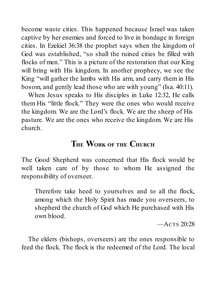become waste cities. This happened because Israel was taken captive by her enemies and forced to live in bondage in foreign cities. In Ezekiel 36:38 the prophet says when the kingdom of God was established, "so shall the ruined cities be filled with flocks of men." This is a picture of the restoration that our King will bring with His kingdom. In another prophecy, we see the King "will gather the lambs with His arm, and carry them in His bosom, and gently lead those who are with young" (Isa. 40:11).

When Jesus speaks to His disciples in Luke 12:32, He calls them His "little flock." They were the ones who would receive the kingdom. We are the Lord's flock. We are the sheep of His pasture. We are the ones who receive the kingdom. We are His church.

#### **THE WORK OF THE CHURCH**

The Good Shepherd was concerned that His flock would be well taken care of by those to whom He assigned the responsibility of overseer.

Therefore take heed to yourselves and to all the flock, among which the Holy Spirit has made you overseers, to shepherd the church of God which He purchased with His own blood.

 $\equiv$ ACTS 20:28

The elders (bishops, overseers) are the ones responsible to feed the flock. The flock is the redeemed of the Lord. The local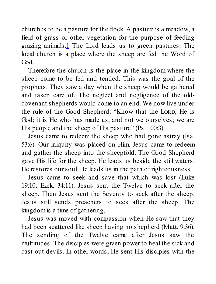church is to be a pasture for the flock. A pasture is a meadow, a field of grass or other vegetation for the purpose of feeding grazing animals.1 The Lord leads us to green pastures. The local church is a place where the sheep are fed the Word of God.

Therefore the church is the place in the kingdom where the sheep come to be fed and tended. This was the goal of the prophets. They saw a day when the sheep would be gathered and taken care of. The neglect and negligence of the oldcovenant shepherds would come to an end. We now live under the rule of the Good Shepherd: "Know that the LORD, He is God; it is He who has made us, and not we ourselves; we are His people and the sheep of His pasture" (Ps. 100:3).

Jesus came to redeem the sheep who had gone astray (Isa. 53:6). Our iniquity was placed on Him. Jesus came to redeem and gather the sheep into the sheepfold. The Good Shepherd gave His life for the sheep. He leads us beside the still waters. He restores our soul. He leads us in the path of righteousness.

Jesus came to seek and save that which was lost (Luke 19:10; Ezek. 34:11). Jesus sent the Twelve to seek after the sheep. Then Jesus sent the Seventy to seek after the sheep. Jesus still sends preachers to seek after the sheep. The kingdomis a time of gathering.

Jesus was moved with compassion when He saw that they had been scattered like sheep having no shepherd (Matt. 9:36). The sending of the Twelve came after Jesus saw the multitudes. The disciples were given power to heal the sick and cast out devils. In other words, He sent His disciples with the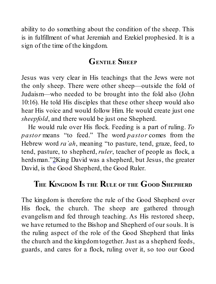ability to do something about the condition of the sheep. This is in fulfillment of what Jeremiah and Ezekiel prophesied. It is a sign of the time of the kingdom.

#### **GENTILE SHEEP**

Jesus was very clear in His teachings that the Jews were not the only sheep. There were other sheep—outside the fold of Judaism—who needed to be brought into the fold also (John 10:16). He told His disciples that these other sheep would also hear His voice and would follow Him. He would create just one *sheepfold*, and there would be just one Shepherd.

He would rule over His flock. Feeding is a part of ruling. *To pastor* means "to feed." The word *pastor* comes from the Hebrew word *ra`ah*, meaning "to pasture, tend, graze, feed, to tend, pasture, to shepherd, *ruler*, teacher of people as flock, a herdsman."2King David was a shepherd, but Jesus, the greater David, is the Good Shepherd, the Good Ruler.

#### **THE KINGDOM I<sup>S</sup> THE RULE OF THE GOOD SHEPHERD**

The kingdom is therefore the rule of the Good Shepherd over His flock, the church. The sheep are gathered through evangelism and fed through teaching. As His restored sheep, we have returned to the Bishop and Shepherd of our souls. It is the ruling aspect of the role of the Good Shepherd that links the church and the kingdomtogether. Just as a shepherd feeds, guards, and cares for a flock, ruling over it, so too our Good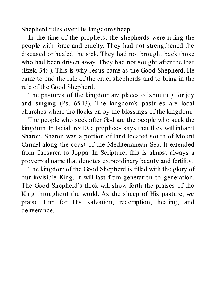Shepherd rules over His kingdomsheep.

In the time of the prophets, the shepherds were ruling the people with force and cruelty. They had not strengthened the diseased or healed the sick. They had not brought back those who had been driven away. They had not sought after the lost (Ezek. 34:4). This is why Jesus came as the Good Shepherd. He came to end the rule of the cruel shepherds and to bring in the rule of the Good Shepherd.

The pastures of the kingdom are places of shouting for joy and singing (Ps. 65:13). The kingdom's pastures are local churches where the flocks enjoy the blessings of the kingdom.

The people who seek after God are the people who seek the kingdom. In Isaiah 65:10, a prophecy says that they will inhabit Sharon. Sharon was a portion of land located south of Mount Carmel along the coast of the Mediterranean Sea. It extended from Caesarea to Joppa. In Scripture, this is almost always a proverbial name that denotes extraordinary beauty and fertility.

The kingdom of the Good Shepherd is filled with the glory of our invisible King. It will last from generation to generation. The Good Shepherd's flock will show forth the praises of the King throughout the world. As the sheep of His pasture, we praise Him for His salvation, redemption, healing, and deliverance.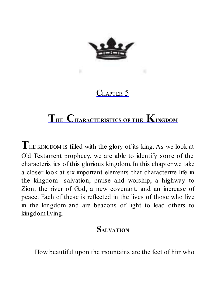

# **THE CHARACTERISTICS OF THE KINGDOM**

**T**HE KINGDOM IS filled with the glory of its king. As we look at Old Testament prophecy, we are able to identify some of the characteristics of this glorious kingdom. In this chapter we take a closer look at six important elements that characterize life in the kingdom—salvation, praise and worship, a highway to Zion, the river of God, a new covenant, and an increase of peace. Each of these is reflected in the lives of those who live in the kingdom and are beacons of light to lead others to kingdomliving.

#### **SALVATION**

How beautiful upon the mountains are the feet of him who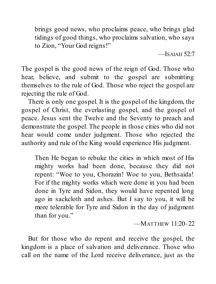brings good news, who proclaims peace, who brings glad tidings of good things, who proclaims salvation, who says to Zion, "Your God reigns!"

 $\equiv$ Is  $\Delta I \Delta H$  52:7

The gospel is the good news of the reign of God. Those who hear, believe, and submit to the gospel are submitting themselves to the rule of God. Those who reject the gospel are rejecting the rule of God.

There is only one gospel. It is the gospel of the kingdom, the gospel of Christ, the everlasting gospel, and the gospel of peace. Jesus sent the Twelve and the Seventy to preach and demonstrate the gospel. The people in those cities who did not hear would come under judgment. Those who rejected the authority and rule of the King would experience His judgment.

Then He began to rebuke the cities in which most of His mighty works had been done, because they did not repent: "Woe to you, Chorazin! Woe to you, Bethsaida! For if the mighty works which were done in you had been done in Tyre and Sidon, they would have repented long ago in sackcloth and ashes. But I say to you, it will be more tolerable for Tyre and Sidon in the day of judgment than for you."

—MATTHEW 11:20–22

But for those who do repent and receive the gospel, the kingdom is a place of salvation and deliverance. Those who call on the name of the Lord receive deliverance, just as the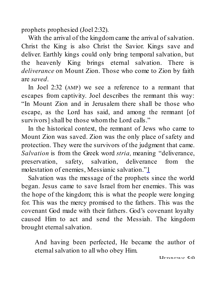prophets prophesied (Joel 2:32).

With the arrival of the kingdom came the arrival of salvation. Christ the King is also Christ the Savior. Kings save and deliver. Earthly kings could only bring temporal salvation, but the heavenly King brings eternal salvation. There is *deliverance* on Mount Zion. Those who come to Zion by faith are *saved*.

In Joel 2:32 (AMP) we see a reference to a remnant that escapes from captivity. Joel describes the remnant this way: "In Mount Zion and in Jerusalem there shall be those who escape, as the Lord has said, and among the remnant [of survivors] shall be those whom the Lord calls."

In the historical context, the remnant of Jews who came to Mount Zion was saved. Zion was the only place of safety and protection. They were the survivors of the judgment that came. *Salvation* is from the Greek word *stria,* meaning "deliverance, preservation, safety, salvation, deliverance from the molestation of enemies, Messianic salvation."1

Salvation was the message of the prophets since the world began. Jesus came to save Israel from her enemies. This was the hope of the kingdom; this is what the people were longing for. This was the mercy promised to the fathers. This was the covenant God made with their fathers. God's covenant loyalty caused Him to act and send the Messiah. The kingdom brought eternal salvation.

And having been perfected, He became the author of eternalsalvation to all who obey Him.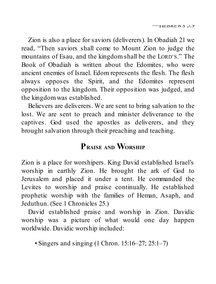Zion is also a place for saviors (deliverers). In Obadiah 21 we read, "Then saviors shall come to Mount Zion to judge the mountains of Esau, and the kingdom shall be the LORD'S." The Book of Obadiah is written about the Edomites, who were ancient enemies of Israel. Edom represents the flesh. The flesh always opposes the Spirit, and the Edomites represent opposition to the kingdom. Their opposition was judged, and the kingdomwas established.

Believers are deliverers. We are sent to bring salvation to the lost. We are sent to preach and minister deliverance to the captives. God used the apostles as deliverers, and they brought salvation through their preaching and teaching.

### **PRAISE AND WORSHIP**

Zion is a place for worshipers. King David established Israel's worship in earthly Zion. He brought the ark of God to Jerusalem and placed it under a tent. He commanded the Levites to worship and praise continually. He established prophetic worship with the families of Heman, Asaph, and Jeduthun. (See 1 Chronicles 25.)

David established praise and worship in Zion. Davidic worship was a picture of what would one day happen worldwide. Davidic worship included:

• Singers and singing (1 Chron. 15:16–27; 25:1–7)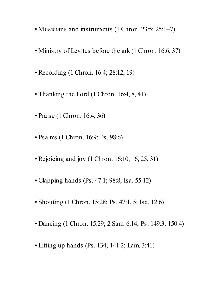- Musicians and instruments (1 Chron. 23:5; 25:1–7)
- Ministry of Levites before the ark (1 Chron. 16:6, 37)
- Recording (1 Chron. 16:4; 28:12, 19)
- Thanking the Lord (1 Chron. 16:4, 8, 41)
- Praise (1 Chron. 16:4, 36)
- Psalms (1 Chron. 16:9; Ps. 98:6)
- Rejoicing and joy (1 Chron. 16:10, 16, 25, 31)
- Clapping hands (Ps. 47:1; 98:8; Isa. 55:12)
- Shouting (1 Chron. 15:28; Ps. 47:1, 5; Isa. 12:6)
- Dancing (1 Chron. 15:29; 2 Sam. 6:14; Ps. 149:3; 150:4)
- Lifting up hands (Ps. 134; 141:2; Lam. 3:41)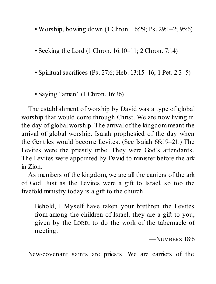- Worship, bowing down (1 Chron. 16:29; Ps. 29:1–2; 95:6)
- Seeking the Lord (1 Chron. 16:10–11; 2 Chron. 7:14)
- Spiritual sacrifices (Ps. 27:6; Heb. 13:15–16; 1 Pet. 2:3–5)
- Saying "amen" (1 Chron. 16:36)

The establishment of worship by David was a type of global worship that would come through Christ. We are now living in the day of global worship. The arrival of the kingdommeant the arrival of global worship. Isaiah prophesied of the day when the Gentiles would become Levites. (See Isaiah 66:19–21.) The Levites were the priestly tribe. They were God's attendants. The Levites were appointed by David to minister before the ark in Zion.

As members of the kingdom, we are all the carriers of the ark of God. Just as the Levites were a gift to Israel, so too the fivefold ministry today is a gift to the church.

Behold, I Myself have taken your brethren the Levites from among the children of Israel; they are a gift to you, given by the LORD, to do the work of the tabernacle of meeting.

 $-M$ LIMBERS 18:6

New-covenant saints are priests. We are carriers of the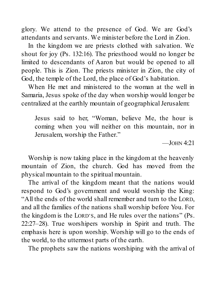glory. We attend to the presence of God. We are God's attendants and servants. We minister before the Lord in Zion.

In the kingdom we are priests clothed with salvation. We shout for joy (Ps. 132:16). The priesthood would no longer be limited to descendants of Aaron but would be opened to all people. This is Zion. The priests minister in Zion, the city of God, the temple of the Lord, the place of God's habitation.

When He met and ministered to the woman at the well in Samaria, Jesus spoke of the day when worship would longer be centralized at the earthly mountain of geographical Jerusalem:

Jesus said to her, "Woman, believe Me, the hour is coming when you will neither on this mountain, nor in Jerusalem, worship the Father."

 $-$ IOHN  $4:21$ 

Worship is now taking place in the kingdom at the heavenly mountain of Zion, the church. God has moved from the physical mountain to the spiritual mountain.

The arrival of the kingdom meant that the nations would respond to God's government and would worship the King: "All the ends of the world shall remember and turn to the LORD, and all the families of the nations shall worship before You. For the kingdom is the LORD'S, and He rules over the nations" (Ps. 22:27–28). True worshipers worship in Spirit and truth. The emphasis here is upon worship. Worship will go to the ends of the world, to the uttermost parts of the earth.

The prophets saw the nations worshiping with the arrival of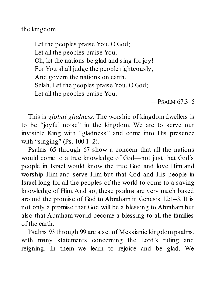the kingdom.

Let the peoples praise You, O God; Let all the peoples praise You. Oh, let the nations be glad and sing for joy! For You shall judge the people righteously, And govern the nations on earth. Selah. Let the peoples praise You, O God; Let all the peoples praise You.

—PSALM 67:3–5

This is *global gladness*. The worship of kingdom dwellers is to be "joyful noise" in the kingdom. We are to serve our invisible King with "gladness" and come into His presence with "singing" (Ps. 100:1–2).

Psalms 65 through 67 show a concern that all the nations would come to a true knowledge of God—not just that God's people in Israel would know the true God and love Him and worship Him and serve Him but that God and His people in Israel long for all the peoples of the world to come to a saving knowledge of Him. And so, these psalms are very much based around the promise of God to Abraham in Genesis 12:1–3. It is not only a promise that God will be a blessing to Abraham but also that Abraham would become a blessing to all the families of the earth.

Psalms 93 through 99 are a set of Messianic kingdompsalms, with many statements concerning the Lord's ruling and reigning. In them we learn to rejoice and be glad. We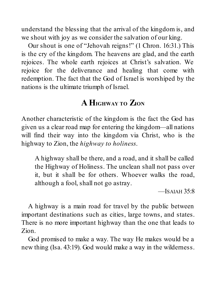understand the blessing that the arrival of the kingdom is, and we shout with joy as we consider the salvation of our king.

Our shout is one of "Jehovah reigns!" (1 Chron. 16:31.) This is the cry of the kingdom. The heavens are glad, and the earth rejoices. The whole earth rejoices at Christ's salvation. We rejoice for the deliverance and healing that come with redemption. The fact that the God of Israel is worshiped by the nations is the ultimate triumph of Israel.

# **A HIGHWAY TO ZION**

Another characteristic of the kingdom is the fact the God has given us a clear road map for entering the kingdom—all nations will find their way into the kingdom via Christ, who is the highway to Zion, the *highway to holiness*.

A highway shall be there, and a road, and it shall be called the Highway of Holiness. The unclean shall not pass over it, but it shall be for others. Whoever walks the road, although a fool, shall not go astray.

 $-$ Is  $\Delta$ IAH 35:8

A highway is a main road for travel by the public between important destinations such as cities, large towns, and states. There is no more important highway than the one that leads to Zion.

God promised to make a way. The way He makes would be a new thing (Isa. 43:19). God would make a way in the wilderness.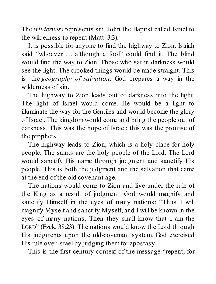The *wilderness* represents sin. John the Baptist called Israel to the wilderness to repent (Matt. 3:3).

It is possible for anyone to find the highway to Zion. Isaiah said "whoever … although a fool" could find it. The blind would find the way to Zion. Those who sat in darkness would see the light. The crooked things would be made straight. This is the *geography of salvation*. God prepares a way in the wilderness of sin.

The highway to Zion leads out of darkness into the light. The light of Israel would come. He would be a light to illuminate the way for the Gentiles and would become the glory of Israel. The kingdom would come and bring the people out of darkness. This was the hope of Israel; this was the promise of the prophets.

The highway leads to Zion, which is a holy place for holy people. The saints are the holy people of the Lord. The Lord would sanctify His name through judgment and sanctify His people. This is both the judgment and the salvation that came at the end of the old covenant age.

The nations would come to Zion and live under the rule of the King as a result of judgment. God would magnify and sanctify Himself in the eyes of many nations: "Thus I will magnify Myself and sanctify Myself, and I will be known in the eyes of many nations. Then they shall know that I am the LORD" (Ezek. 38:23). The nations would know the Lord through His judgments upon the old-covenant system. God exercised His rule over Israel by judging them for apostasy.

This is the first-century context of the message "repent, for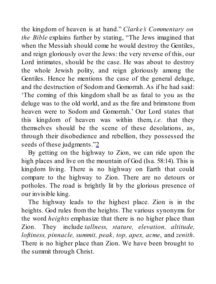the kingdom of heaven is at hand." *Clarke's Commentary on the Bible* explains further by stating, "The Jews imagined that when the Messiah should come he would destroy the Gentiles, and reign gloriously over the Jews: the very reverse of this, our Lord intimates, should be the case. He was about to destroy the whole Jewish polity, and reign gloriously among the Gentiles. Hence he mentions the case of the general deluge, and the destruction of Sodom and Gomorrah. As if he had said: 'The coming of this kingdom shall be as fatal to you as the deluge was to the old world, and as the fire and brimstone from heaven were to Sodom and Gomorrah.' Our Lord states that this kingdom of heaven was within them, *i.e.* that they themselves should be the scene of these desolations, as, through their disobedience and rebellion, they possessed the seeds of these judgments."2

By getting on the highway to Zion, we can ride upon the high places and live on the mountain of God (Isa. 58:14). This is kingdom living. There is no highway on Earth that could compare to the highway to Zion. There are no detours or potholes. The road is brightly lit by the glorious presence of our invisible king.

The highway leads to the highest place. Zion is in the heights. God rules from the heights. The various synonyms for the word *heights* emphasize that there is no higher place than Zion. They include *tallness, stature, elevation, altitude, loftiness, pinnacle, summit, peak, top, apex, acme*, and *zenith*. There is no higher place than Zion. We have been brought to the summit through Christ.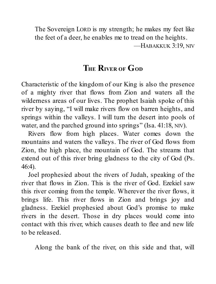The Sovereign LORD is my strength; he makes my feet like the feet of a deer, he enables me to tread on the heights. —HABAKKUK 3:19, NIV

#### **THE RIVER OF GOD**

Characteristic of the kingdom of our King is also the presence of a mighty river that flows from Zion and waters all the wilderness areas of our lives. The prophet Isaiah spoke of this river by saying, "I will make rivers flow on barren heights, and springs within the valleys. I will turn the desert into pools of water, and the parched ground into springs" (Isa. 41:18, NIV).

Rivers flow from high places. Water comes down the mountains and waters the valleys. The river of God flows from Zion, the high place, the mountain of God. The streams that extend out of this river bring gladness to the city of God (Ps. 46:4).

Joel prophesied about the rivers of Judah, speaking of the river that flows in Zion. This is the river of God. Ezekiel saw this river coming from the temple. Wherever the river flows, it brings life. This river flows in Zion and brings joy and gladness. Ezekiel prophesied about God's promise to make rivers in the desert. Those in dry places would come into contact with this river, which causes death to flee and new life to be released.

Along the bank of the river, on this side and that, will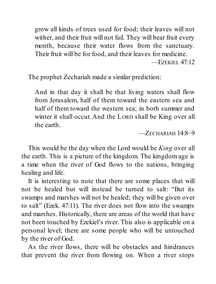grow all kinds of trees used for food; their leaves will not wither, and their fruit will not fail. They will bear fruit every month, because their water flows from the sanctuary. Their fruit will be for food, and their leaves for medicine.  $-$ EZEKIEL  $47.12$ 

The prophet Zechariah made a similar prediction:

And in that day it shall be that living waters shall flow from Jerusalem, half of them toward the eastern sea and half of them toward the western sea; in both summer and winter it shall occur. And the LORD shall be King over all the earth.

—ZECHARIAH 14:8–9

This would be the day when the Lord would be *King* over all the earth. This is a picture of the kingdom. The kingdom age is a time when the river of God flows to the nations, bringing healing and life.

It is interesting to note that there are some places that will not be healed but will instead be turned to salt: "But its swamps and marshes will not be healed; they will be given over to salt" (Ezek. 47:11). The river does not flow into the swamps and marshes. Historically, there are areas of the world that have not been touched by Ezekiel's river. This also is applicable on a personal level; there are some people who will be untouched by the river of God.

As the river flows, there will be obstacles and hindrances that prevent the river from flowing on. When a river stops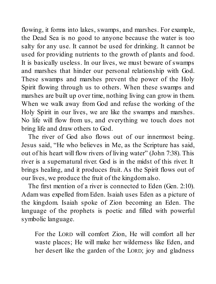flowing, it forms into lakes, swamps, and marshes. For example, the Dead Sea is no good to anyone because the water is too salty for any use. It cannot be used for drinking. It cannot be used for providing nutrients to the growth of plants and food. It is basically useless. In our lives, we must beware of swamps and marshes that hinder our personal relationship with God. These swamps and marshes prevent the power of the Holy Spirit flowing through us to others. When these swamps and marshes are built up over time, nothing living can grow in them. When we walk away from God and refuse the working of the Holy Spirit in our lives, we are like the swamps and marshes. No life will flow from us, and everything we touch does not bring life and draw others to God.

The river of God also flows out of our innermost being. Jesus said, "He who believes in Me, as the Scripture has said, out of his heart will flow rivers of living water" (John 7:38). This river is a supernatural river. God is in the midst of this river. It brings healing, and it produces fruit. As the Spirit flows out of our lives, we produce the fruit of the kingdomalso.

The first mention of a river is connected to Eden (Gen. 2:10). Adam was expelled from Eden. Isaiah uses Eden as a picture of the kingdom. Isaiah spoke of Zion becoming an Eden. The language of the prophets is poetic and filled with powerful symbolic language.

For the LORD will comfort Zion, He will comfort all her waste places; He will make her wilderness like Eden, and her desert like the garden of the LORD; joy and gladness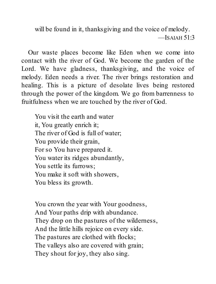will be found in it, thanksgiving and the voice of melody.  $-$ Isaiah 51 $\cdot$ 3

Our waste places become like Eden when we come into contact with the river of God. We become the garden of the Lord. We have gladness, thanksgiving, and the voice of melody. Eden needs a river. The river brings restoration and healing. This is a picture of desolate lives being restored through the power of the kingdom. We go from barrenness to fruitfulness when we are touched by the river of God.

You visit the earth and water it, You greatly enrich it; The river of God is full of water; You provide their grain, For so You have prepared it. You water its ridges abundantly, You settle its furrows; You make it soft with showers, You bless its growth.

You crown the year with Your goodness, And Your paths drip with abundance. They drop on the pastures of the wilderness, And the little hills rejoice on every side. The pastures are clothed with flocks; The valleys also are covered with grain; They shout for joy, they also sing.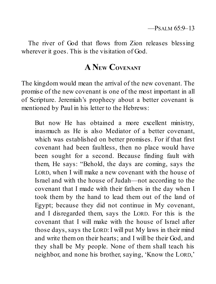The river of God that flows from Zion releases blessing wherever it goes. This is the visitation of God.

# **A NEW COVENANT**

The kingdom would mean the arrival of the new covenant. The promise of the new covenant is one of the most important in all of Scripture. Jeremiah's prophecy about a better covenant is mentioned by Paul in his letter to the Hebrews:

But now He has obtained a more excellent ministry, inasmuch as He is also Mediator of a better covenant which was established on better promises. For if that first covenant had been faultless, then no place would have been sought for a second. Because finding fault with them, He says: "Behold, the days are coming, says the LORD, when I will make a new covenant with the house of Israel and with the house of Judah—not according to the covenant that I made with their fathers in the day when I took them by the hand to lead them out of the land of Egypt; because they did not continue in My covenant, and I disregarded them, says the LORD. For this is the covenant that I will make with the house of Israel after those days, says the LORD: I will put My laws in their mind and write them on their hearts; and I will be their God, and they shall be My people. None of them shall teach his neighbor, and none his brother, saying, 'Know the LORD,'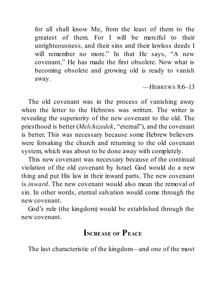for all shall know Me, from the least of them to the greatest of them. For I will be merciful to their unrighteousness, and their sins and their lawless deeds I will remember no more." In that He says, "A new covenant," He has made the first obsolete. Now what is becoming obsolete and growing old is ready to vanish away.

—HEBREWS 8:6–13

The old covenant was in the process of vanishing away when the letter to the Hebrews was written. The writer is revealing the superiority of the new covenant to the old. The priesthood is better (*Melchizedek*, "eternal"), and the covenant is better. This was necessary because some Hebrew believers were forsaking the church and returning to the old covenant system, which was about to be done away with completely.

This new covenant was necessary because of the continual violation of the old covenant by Israel. God would do a new thing and put His law in their inward parts. The new covenant is *inward*. The new covenant would also mean the removal of sin. In other words, eternal salvation would come through the new covenant.

God's rule (the kingdom) would be established through the new covenant.

# **INCREASE OF PEACE**

The last characteristic of the kingdom—and one of the most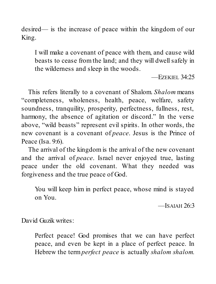desired— is the increase of peace within the kingdom of our King.

I will make a covenant of peace with them, and cause wild beasts to cease from the land; and they will dwell safely in the wilderness and sleep in the woods.

 $-$ EZEKIEL 34:25

This refers literally to a covenant of Shalom. *Shalom* means "completeness, wholeness, health, peace, welfare, safety soundness, tranquility, prosperity, perfectness, fullness, rest, harmony, the absence of agitation or discord." In the verse above, "wild beasts" represent evil spirits. In other words, the new covenant is a covenant of *peace*. Jesus is the Prince of Peace (Isa, 9:6).

The arrival of the kingdom is the arrival of the new covenant and the arrival of *peace*. Israel never enjoyed true, lasting peace under the old covenant. What they needed was forgiveness and the true peace of God.

You will keep him in perfect peace, whose mind is stayed on You.

 $-$ Isaiah  $26.3$ 

David Guzik writes:

Perfect peace! God promises that we can have perfect peace, and even be kept in a place of perfect peace. In Hebrew the term*perfect peace* is actually *shalom shalom.*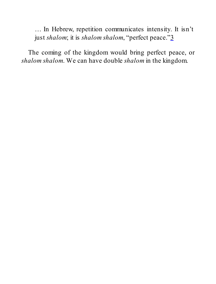… In Hebrew, repetition communicates intensity. It isn't just *shalom*; it is *shalom shalom*, "perfect peace."3

The coming of the kingdom would bring perfect peace, or *shalom shalom*. We can have double *shalom* in the kingdom.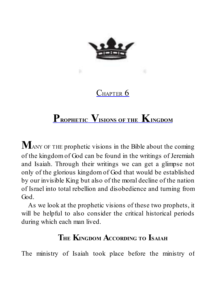

# **PROPHETIC VISIONS OF THE KINGDOM**

**M**ANY OF THE prophetic visions in the Bible about the coming of the kingdom of God can be found in the writings of Jeremiah and Isaiah. Through their writings we can get a glimpse not only of the glorious kingdom of God that would be established by our invisible King but also of the moral decline of the nation of Israel into total rebellion and disobedience and turning from God.

As we look at the prophetic visions of these two prophets, it will be helpful to also consider the critical historical periods during which each man lived.

## **THE KINGDOM ACCORDING TO ISAIAH**

The ministry of Isaiah took place before the ministry of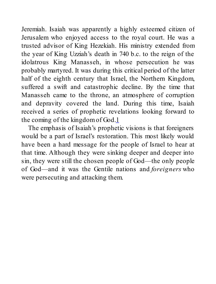Jeremiah. Isaiah was apparently a highly esteemed citizen of Jerusalem who enjoyed access to the royal court. He was a trusted advisor of King Hezekiah. His ministry extended from the year of King Uzziah's death in 740 b.c. to the reign of the idolatrous King Manasseh, in whose persecution he was probably martyred. It was during this critical period of the latter half of the eighth century that Israel, the Northern Kingdom, suffered a swift and catastrophic decline. By the time that Manasseh came to the throne, an atmosphere of corruption and depravity covered the land. During this time, Isaiah received a series of prophetic revelations looking forward to the coming of the kingdomof God.1

The emphasis of Isaiah's prophetic visions is that foreigners would be a part of Israel's restoration. This most likely would have been a hard message for the people of Israel to hear at that time. Although they were sinking deeper and deeper into sin, they were still the chosen people of God—the only people of God—and it was the Gentile nations and *foreigners* who were persecuting and attacking them.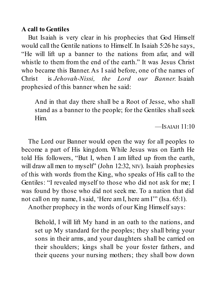### **A call to Gentiles**

But Isaiah is very clear in his prophecies that God Himself would call the Gentile nations to Himself. In Isaiah 5:26 he says, "He will lift up a banner to the nations from afar, and will whistle to them from the end of the earth." It was Jesus Christ who became this Banner. As I said before, one of the names of Christ is *Jehovah-Nissi, the Lord our Banner.* Isaiah prophesied of this banner when he said:

And in that day there shall be a Root of Jesse, who shall stand as a banner to the people; for the Gentiles shall seek Him.

 $-$ Is alah 11:10

The Lord our Banner would open the way for all peoples to become a part of His kingdom. While Jesus was on Earth He told His followers, "But I, when I am lifted up from the earth, will draw all men to myself" (John 12:32, NIV). Isaiah prophesies of this with words from the King, who speaks of His call to the Gentiles: "I revealed myself to those who did not ask for me; I was found by those who did not seek me. To a nation that did not call on my name, I said, 'Here amI, here amI'" (Isa. 65:1).

Another prophecy in the words of our King Himself says:

Behold, I will lift My hand in an oath to the nations, and set up My standard for the peoples; they shall bring your sons in their arms, and your daughters shall be carried on their shoulders; kings shall be your foster fathers, and their queens your nursing mothers; they shall bow down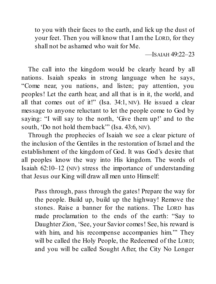to you with their faces to the earth, and lick up the dust of your feet. Then you will know that I am the LORD, for they shall not be ashamed who wait for Me.

—ISAIAH 49:22–23

The call into the kingdom would be clearly heard by all nations. Isaiah speaks in strong language when he says, "Come near, you nations, and listen; pay attention, you peoples! Let the earth hear, and all that is in it, the world, and all that comes out of it!" (Isa. 34:1, NIV). He issued a clear message to anyone reluctant to let the people come to God by saying: "I will say to the north, 'Give them up!' and to the south, 'Do not hold themback'" (Isa. 43:6, NIV).

Through the prophecies of Isaiah we see a clear picture of the inclusion of the Gentiles in the restoration of Israel and the establishment of the kingdom of God. It was God's desire that all peoples know the way into His kingdom. The words of Isaiah 62:10–12 (NIV) stress the importance of understanding that Jesus our King will draw all men unto Himself:

Pass through, pass through the gates! Prepare the way for the people. Build up, build up the highway! Remove the stones. Raise a banner for the nations. The LORD has made proclamation to the ends of the earth: "Say to Daughter Zion, 'See, your Savior comes! See, his reward is with him, and his recompense accompanies him.'" They will be called the Holy People, the Redeemed of the LORD; and you will be called Sought After, the City No Longer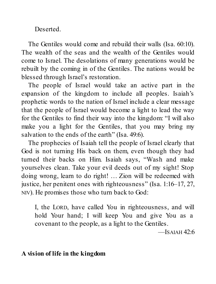Deserted.

The Gentiles would come and rebuild their walls (Isa. 60:10). The wealth of the seas and the wealth of the Gentiles would come to Israel. The desolations of many generations would be rebuilt by the coming in of the Gentiles. The nations would be blessed through Israel's restoration.

The people of Israel would take an active part in the expansion of the kingdom to include all peoples. Isaiah's prophetic words to the nation of Israel include a clear message that the people of Israel would become a light to lead the way for the Gentiles to find their way into the kingdom: "I will also make you a light for the Gentiles, that you may bring my salvation to the ends of the earth" (Isa. 49:6).

The prophecies of Isaiah tell the people of Israel clearly that God is not turning His back on them, even though they had turned their backs on Him. Isaiah says, "Wash and make yourselves clean. Take your evil deeds out of my sight! Stop doing wrong, learn to do right! … Zion will be redeemed with justice, her penitent ones with righteousness" (Isa. 1:16–17, 27, NIV). He promises those who turn back to God:

I, the LORD, have called You in righteousness, and will hold Your hand; I will keep You and give You as a covenant to the people, as a light to the Gentiles.

 $\equiv$ Is  $\Delta I \Delta H$  42:6

### **A vision of life in the kingdom**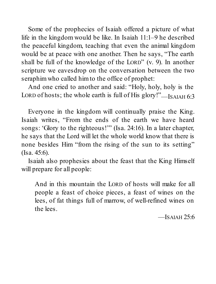Some of the prophecies of Isaiah offered a picture of what life in the kingdom would be like. In Isaiah 11:1–9 he described the peaceful kingdom, teaching that even the animal kingdom would be at peace with one another. Then he says, "The earth shall be full of the knowledge of the LORD" (v. 9). In another scripture we eavesdrop on the conversation between the two seraphimwho called himto the office of prophet:

And one cried to another and said: "Holy, holy, holy is the LORD of hosts; the whole earth is full of His glory!"—ISAIAH 6:3

Everyone in the kingdom will continually praise the King. Isaiah writes, "From the ends of the earth we have heard songs: 'Glory to the righteous!'" (Isa. 24:16). In a later chapter, he says that the Lord will let the whole world know that there is none besides Him "from the rising of the sun to its setting" (Isa. 45:6).

Isaiah also prophesies about the feast that the King Himself will prepare for all people:

And in this mountain the LORD of hosts will make for all people a feast of choice pieces, a feast of wines on the lees, of fat things full of marrow, of well-refined wines on the lees.

 $-$ Isaiah 25:6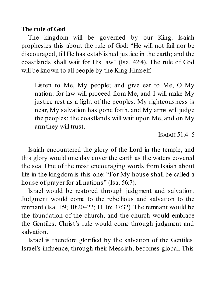### **The rule of God**

The kingdom will be governed by our King. Isaiah prophesies this about the rule of God: "He will not fail nor be discouraged, till He has established justice in the earth; and the coastlands shall wait for His law" (Isa. 42:4). The rule of God will be known to all people by the King Himself.

Listen to Me, My people; and give ear to Me, O My nation: for law will proceed from Me, and I will make My justice rest as a light of the peoples. My righteousness is near, My salvation has gone forth, and My arms will judge the peoples; the coastlands will wait upon Me, and on My armthey will trust.

—ISAIAH 51:4–5

Isaiah encountered the glory of the Lord in the temple, and this glory would one day cover the earth as the waters covered the sea. One of the most encouraging words from Isaiah about life in the kingdom is this one: "For My house shall be called a house of prayer for all nations" (Isa. 56:7).

Israel would be restored through judgment and salvation. Judgment would come to the rebellious and salvation to the remnant (Isa. 1:9; 10:20–22; 11:16; 37:32). The remnant would be the foundation of the church, and the church would embrace the Gentiles. Christ's rule would come through judgment and salvation.

Israel is therefore glorified by the salvation of the Gentiles. Israel's influence, through their Messiah, becomes global. This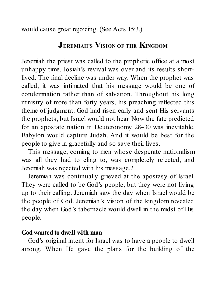would cause great rejoicing. (See Acts 15:3.)

### **JEREMIAH'S VISION OF THE KINGDOM**

Jeremiah the priest was called to the prophetic office at a most unhappy time. Josiah's revival was over and its results shortlived. The final decline was under way. When the prophet was called, it was intimated that his message would be one of condemnation rather than of salvation. Throughout his long ministry of more than forty years, his preaching reflected this theme of judgment. God had risen early and sent His servants the prophets, but Israel would not hear. Now the fate predicted for an apostate nation in Deuteronomy 28–30 was inevitable. Babylon would capture Judah. And it would be best for the people to give in gracefully and so save their lives.

This message, coming to men whose desperate nationalism was all they had to cling to, was completely rejected, and Jeremiah was rejected with his message.2

Jeremiah was continually grieved at the apostasy of Israel. They were called to be God's people, but they were not living up to their calling. Jeremiah saw the day when Israel would be the people of God. Jeremiah's vision of the kingdom revealed the day when God's tabernacle would dwell in the midst of His people.

### **Godwantedto dwell with man**

God's original intent for Israel was to have a people to dwell among. When He gave the plans for the building of the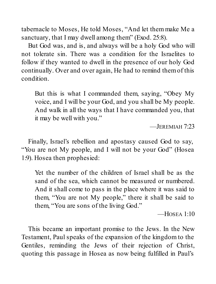tabernacle to Moses, He told Moses, "And let them make Me a sanctuary, that I may dwell among them" (Exod. 25:8).

But God was, and is, and always will be a holy God who will not tolerate sin. There was a condition for the Israelites to follow if they wanted to dwell in the presence of our holy God continually. Over and over again, He had to remind themof this condition.

But this is what I commanded them, saying, "Obey My voice, and I will be your God, and you shall be My people. And walk in all the ways that I have commanded you, that it may be well with you."

 $-$ IEREMIAH  $7.23$ 

Finally, Israel's rebellion and apostasy caused God to say, "You are not My people, and I will not be your God" (Hosea 1:9). Hosea then prophesied:

Yet the number of the children of Israel shall be as the sand of the sea, which cannot be measured or numbered. And it shall come to pass in the place where it was said to them, "You are not My people," there it shall be said to them, "You are sons of the living God."

 $-M$ OSEA 1:10

This became an important promise to the Jews. In the New Testament, Paul speaks of the expansion of the kingdom to the Gentiles, reminding the Jews of their rejection of Christ, quoting this passage in Hosea as now being fulfilled in Paul's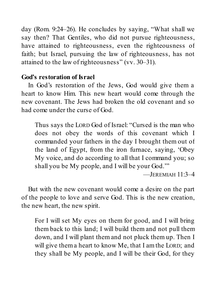day (Rom. 9:24–26). He concludes by saying, "What shall we say then? That Gentiles, who did not pursue righteousness, have attained to righteousness, even the righteousness of faith; but Israel, pursuing the law of righteousness, has not attained to the law of righteousness" (vv. 30–31).

### **God's restoration of Israel**

In God's restoration of the Jews, God would give them a heart to know Him. This new heart would come through the new covenant. The Jews had broken the old covenant and so had come under the curse of God.

Thus says the LORD God of Israel: "Cursed is the man who does not obey the words of this covenant which I commanded your fathers in the day I brought them out of the land of Egypt, from the iron furnace, saying, 'Obey My voice, and do according to all that I command you; so shall you be My people, and I will be your God.'"

 $-$ JEREMIAH  $11:3-4$ 

But with the new covenant would come a desire on the part of the people to love and serve God. This is the new creation, the new heart, the new spirit.

For I will set My eyes on them for good, and I will bring them back to this land; I will build them and not pull them down, and I will plant them and not pluck them up. Then I will give thema heart to know Me, that I amthe LORD; and they shall be My people, and I will be their God, for they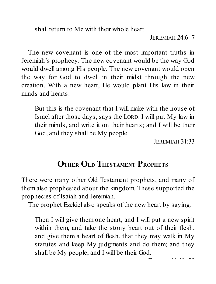shall return to Me with their whole heart.<br>—JEREMIAH 24:6–7

The new covenant is one of the most important truths in Jeremiah's prophecy. The new covenant would be the way God would dwell among His people. The new covenant would open the way for God to dwell in their midst through the new creation. With a new heart, He would plant His law in their minds and hearts.

But this is the covenant that I will make with the house of Israel after those days, says the LORD: I will put My law in their minds, and write it on their hearts; and I will be their God, and they shall be My people.

 $\equiv$ IEREMIAH 31:33

 $\mathbb{R}$  —  $\mathbb{R}$  11:19–20

# **OTHER OLD THESTAMENT PROPHETS**

There were many other Old Testament prophets, and many of them also prophesied about the kingdom. These supported the prophecies of Isaiah and Jeremiah.

The prophet Ezekiel also speaks of the new heart by saying:

Then I will give them one heart, and I will put a new spirit within them, and take the stony heart out of their flesh, and give them a heart of flesh, that they may walk in My statutes and keep My judgments and do them; and they shall be My people, and I will be their God.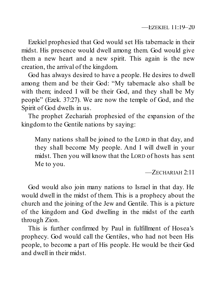—EZEKIEL 11:19–20

Ezekiel prophesied that God would set His tabernacle in their midst. His presence would dwell among them. God would give them a new heart and a new spirit. This again is the new creation, the arrival of the kingdom.

God has always desired to have a people. He desires to dwell among them and be their God: "My tabernacle also shall be with them; indeed I will be their God, and they shall be My people" (Ezek. 37:27). We are now the temple of God, and the Spirit of God dwells in us.

The prophet Zechariah prophesied of the expansion of the kingdomto the Gentile nations by saying:

Many nations shall be joined to the LORD in that day, and they shall become My people. And I will dwell in your midst. Then you will know that the LORD of hosts has sent Me to you.

 $-Z$ ECHARIAH  $2:11$ 

God would also join many nations to Israel in that day. He would dwell in the midst of them. This is a prophecy about the church and the joining of the Jew and Gentile. This is a picture of the kingdom and God dwelling in the midst of the earth through Zion.

This is further confirmed by Paul in fulfillment of Hosea's prophecy. God would call the Gentiles, who had not been His people, to become a part of His people. He would be their God and dwell in their midst.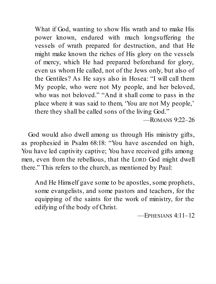What if God, wanting to show His wrath and to make His power known, endured with much longsuffering the vessels of wrath prepared for destruction, and that He might make known the riches of His glory on the vessels of mercy, which He had prepared beforehand for glory, even us whom He called, not of the Jews only, but also of the Gentiles? As He says also in Hosea: "I will call them My people, who were not My people, and her beloved, who was not beloved." "And it shall come to pass in the place where it was said to them, 'You are not My people,' there they shall be called sons of the living God."

—ROMANS 9:22–26

God would also dwell among us through His ministry gifts, as prophesied in Psalm 68:18: "You have ascended on high, You have led captivity captive; You have received gifts among men, even from the rebellious, that the LORD God might dwell there." This refers to the church, as mentioned by Paul:

And He Himself gave some to be apostles, some prophets, some evangelists, and some pastors and teachers, for the equipping of the saints for the work of ministry, for the edifying of the body of Christ.

—EPHESIANS 4:11–12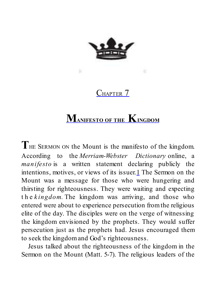

# **MANIFESTO OF THE KINGDOM**

**T**HE <sup>S</sup>ERMON ON the Mount is the manifesto of the kingdom. According to the *Merriam-Webster Dictionary* online, a *manifesto* is a written statement declaring publicly the intentions, motives, or views of its issuer.<sup>1</sup> The Sermon on the Mount was a message for those who were hungering and thirsting for righteousness. They were waiting and expecting t h e *k ingdom.* The kingdom was arriving, and those who entered were about to experience persecution fromthe religious elite of the day. The disciples were on the verge of witnessing the kingdom envisioned by the prophets. They would suffer persecution just as the prophets had. Jesus encouraged them to seek the kingdomand God's righteousness.

Jesus talked about the righteousness of the kingdom in the Sermon on the Mount (Matt. 5-7). The religious leaders of the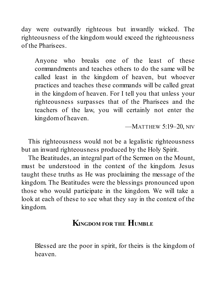day were outwardly righteous but inwardly wicked. The righteousness of the kingdom would exceed the righteousness of the Pharisees.

Anyone who breaks one of the least of these commandments and teaches others to do the same will be called least in the kingdom of heaven, but whoever practices and teaches these commands will be called great in the kingdom of heaven. For I tell you that unless your righteousness surpasses that of the Pharisees and the teachers of the law, you will certainly not enter the kingdomof heaven.

—MATTHEW 5:19–20, NIV

This righteousness would not be a legalistic righteousness but an inward righteousness produced by the Holy Spirit.

The Beatitudes, an integral part of the Sermon on the Mount, must be understood in the context of the kingdom. Jesus taught these truths as He was proclaiming the message of the kingdom. The Beatitudes were the blessings pronounced upon those who would participate in the kingdom. We will take a look at each of these to see what they say in the context of the kingdom.

## **KINGDOM FOR THE HUMBLE**

Blessed are the poor in spirit, for theirs is the kingdom of heaven.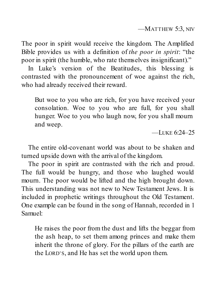The poor in spirit would receive the kingdom. The Amplified Bible provides us with a definition of *the poor in spirit*: "the poor in spirit (the humble, who rate themselves insignificant)."

In Luke's version of the Beatitudes, this blessing is contrasted with the pronouncement of woe against the rich, who had already received their reward.

But woe to you who are rich, for you have received your consolation. Woe to you who are full, for you shall hunger. Woe to you who laugh now, for you shall mourn and weep.

—LUKE 6:24–25

The entire old-covenant world was about to be shaken and turned upside down with the arrival of the kingdom.

The poor in spirit are contrasted with the rich and proud. The full would be hungry, and those who laughed would mourn. The poor would be lifted and the high brought down. This understanding was not new to New Testament Jews. It is included in prophetic writings throughout the Old Testament. One example can be found in the song of Hannah, recorded in 1 Samuel:

He raises the poor from the dust and lifts the beggar from the ash heap, to set them among princes and make them inherit the throne of glory. For the pillars of the earth are the LORD'S, and He has set the world upon them.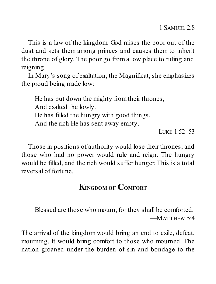This is a law of the kingdom. God raises the poor out of the dust and sets them among princes and causes them to inherit the throne of glory. The poor go from a low place to ruling and reigning.

In Mary's song of exaltation, the Magnificat, she emphasizes the proud being made low:

He has put down the mighty fromtheir thrones,

And exalted the lowly.

He has filled the hungry with good things,

And the rich He has sent away empty.

 $-$ LIKE 1:52–53

Those in positions of authority would lose their thrones, and those who had no power would rule and reign. The hungry would be filled, and the rich would suffer hunger. This is a total reversal of fortune.

## **KINGDOM OF COMFORT**

Blessed are those who mourn, for they shall be comforted. —MATTHEW 5:4

The arrival of the kingdom would bring an end to exile, defeat, mourning. It would bring comfort to those who mourned. The nation groaned under the burden of sin and bondage to the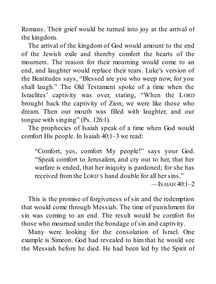Romans. Their grief would be turned into joy at the arrival of the kingdom.

The arrival of the kingdom of God would amount to the end of the Jewish exile and thereby comfort the hearts of the mourners. The reason for their mourning would come to an end, and laughter would replace their tears. Luke's version of the Beatitudes says, "Blessed are you who weep now, for you shall laugh." The Old Testament spoke of a time when the Israelites' captivity was over, stating, "When the LORD brought back the captivity of Zion, we were like those who dream. Then our mouth was filled with laughter, and our tongue with singing" (Ps. 126:1).

The prophecies of Isaiah speak of a time when God would comfort His people. In Isaiah 40:1–3 we read:

"Comfort, yes, comfort My people!" says your God. "Speak comfort to Jerusalem, and cry out to her, that her warfare is ended, that her iniquity is pardoned; for she has received fromthe LORD'S hand double for all her sins."

 $-$ ISAIAH  $40.1-2$ 

This is the promise of forgiveness of sin and the redemption that would come through Messiah. The time of punishment for sin was coming to an end. The result would be comfort for those who mourned under the bondage of sin and captivity.

Many were looking for the consolation of Israel. One example is Simeon. God had revealed to him that he would see the Messiah before he died. He had been led by the Spirit of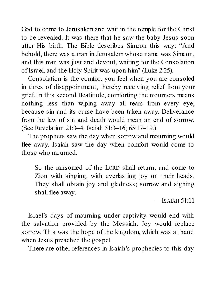God to come to Jerusalem and wait in the temple for the Christ to be revealed. It was there that he saw the baby Jesus soon after His birth. The Bible describes Simeon this way: "And behold, there was a man in Jerusalem whose name was Simeon, and this man was just and devout, waiting for the Consolation of Israel, and the Holy Spirit was upon him" (Luke 2:25).

Consolation is the comfort you feel when you are consoled in times of disappointment, thereby receiving relief from your grief. In this second Beatitude, comforting the mourners means nothing less than wiping away all tears from every eye, because sin and its curse have been taken away. Deliverance from the law of sin and death would mean an end of sorrow. (See Revelation 21:3–4; Isaiah 51:3–16; 65:17–19.)

The prophets saw the day when sorrow and mourning would flee away. Isaiah saw the day when comfort would come to those who mourned.

So the ransomed of the LORD shall return, and come to Zion with singing, with everlasting joy on their heads. They shall obtain joy and gladness; sorrow and sighing shall flee away.

—ISAIAH 51:11

Israel's days of mourning under captivity would end with the salvation provided by the Messiah. Joy would replace sorrow. This was the hope of the kingdom, which was at hand when Jesus preached the gospel.

There are other references in Isaiah's prophecies to this day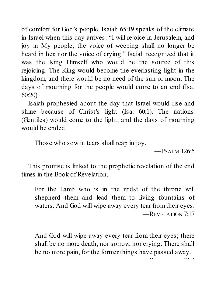of comfort for God's people. Isaiah 65:19 speaks of the climate in Israel when this day arrives: "I will rejoice in Jerusalem, and joy in My people; the voice of weeping shall no longer be heard in her, nor the voice of crying." Isaiah recognized that it was the King Himself who would be the source of this rejoicing. The King would become the everlasting light in the kingdom, and there would be no need of the sun or moon. The days of mourning for the people would come to an end (Isa. 60:20).

Isaiah prophesied about the day that Israel would rise and shine because of Christ's light (Isa. 60:1). The nations (Gentiles) would come to the light, and the days of mourning would be ended.

Those who sow in tears shall reap in joy.

—PSALM 126:5

 $\mathbb{R}$  and  $\mathbb{R}$ 

This promise is linked to the prophetic revelation of the end times in the Book of Revelation.

For the Lamb who is in the midst of the throne will shepherd them and lead them to living fountains of waters. And God will wipe away every tear fromtheir eyes. —REVELATION 7:17

And God will wipe away every tear from their eyes; there shall be no more death, nor sorrow, nor crying. There shall be no more pain, for the former things have passed away.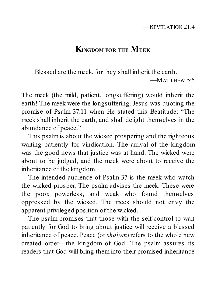## **KINGDOM FOR THE MEEK**

Blessed are the meek, for they shall inherit the earth.

 $-MATTHEW$  5:5

The meek (the mild, patient, longsuffering) would inherit the earth! The meek were the longsuffering. Jesus was quoting the promise of Psalm 37:11 when He stated this Beatitude: "The meek shall inherit the earth, and shall delight themselves in the abundance of peace."

This psalm is about the wicked prospering and the righteous waiting patiently for vindication. The arrival of the kingdom was the good news that justice was at hand. The wicked were about to be judged, and the meek were about to receive the inheritance of the kingdom.

The intended audience of Psalm 37 is the meek who watch the wicked prosper. The psalm advises the meek. These were the poor, powerless, and weak who found themselves oppressed by the wicked. The meek should not envy the apparent privileged position of the wicked.

The psalm promises that those with the self-control to wait patiently for God to bring about justice will receive a blessed inheritance of peace. Peace (or *shalom*) refers to the whole new created order—the kingdom of God. The psalm assures its readers that God will bring them into their promised inheritance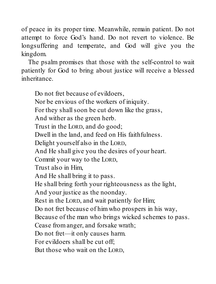of peace in its proper time. Meanwhile, remain patient. Do not attempt to force God's hand. Do not revert to violence. Be longsuffering and temperate, and God will give you the kingdom.

The psalm promises that those with the self-control to wait patiently for God to bring about justice will receive a blessed inheritance.

Do not fret because of evildoers. Nor be envious of the workers of iniquity. For they shall soon be cut down like the grass. And wither as the green herb. Trust in the LORD, and do good; Dwell in the land, and feed on His faithfulness. Delight yourself also in the LORD, And He shall give you the desires of your heart. Commit your way to the LORD, Trust also in Him, And He shall bring it to pass. He shall bring forth your righteousness as the light, And your justice as the noonday. Rest in the LORD, and wait patiently for Him; Do not fret because of himwho prospers in his way, Because of the man who brings wicked schemes to pass. Cease fromanger, and forsake wrath; Do not fret—it only causes harm. For evildoers shall be cut off; But those who wait on the LORD.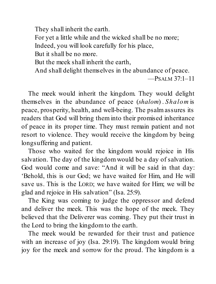They shall inherit the earth. For yet a little while and the wicked shall be no more; Indeed, you will look carefully for his place, But it shall be no more. But the meek shall inherit the earth, And shall delight themselves in the abundance of peace.

—PSALM 37:1–11

The meek would inherit the kingdom. They would delight themselves in the abundance of peace (*shalom*) . *Shalom* is peace, prosperity, health, and well-being. The psalmassures its readers that God will bring them into their promised inheritance of peace in its proper time. They must remain patient and not resort to violence. They would receive the kingdom by being longsuffering and patient.

Those who waited for the kingdom would rejoice in His salvation. The day of the kingdom would be a day of salvation. God would come and save: "And it will be said in that day: 'Behold, this is our God; we have waited for Him, and He will save us. This is the LORD; we have waited for Him; we will be glad and rejoice in His salvation" (Isa. 25:9).

The King was coming to judge the oppressor and defend and deliver the meek. This was the hope of the meek. They believed that the Deliverer was coming. They put their trust in the Lord to bring the kingdomto the earth.

The meek would be rewarded for their trust and patience with an increase of joy (Isa. 29:19). The kingdom would bring joy for the meek and sorrow for the proud. The kingdom is a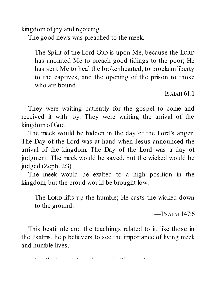kingdomof joy and rejoicing.

The good news was preached to the meek.

The Spirit of the Lord GOD is upon Me, because the LORD has anointed Me to preach good tidings to the poor; He has sent Me to heal the brokenhearted, to proclaim liberty to the captives, and the opening of the prison to those who are bound.

 $-$ Isaiah 61 $\cdot$ 1

They were waiting patiently for the gospel to come and received it with joy. They were waiting the arrival of the kingdomof God.

The meek would be hidden in the day of the Lord's anger. The Day of the Lord was at hand when Jesus announced the arrival of the kingdom. The Day of the Lord was a day of judgment. The meek would be saved, but the wicked would be judged (Zeph. 2:3).

The meek would be exalted to a high position in the kingdom, but the proud would be brought low.

The LORD lifts up the humble; He casts the wicked down to the ground.

 $-$ PSALM 147.6

This beatitude and the teachings related to it, like those in the Psalms, help believers to see the importance of living meek and humble lives.

For the LORD takes pleasure in His people;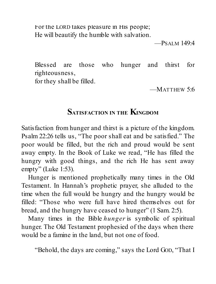For the LORD takes pleasure in His people; He will beautify the humble with salvation.

 $-$ Ps at M 149.4

Blessed are those who hunger and thirst for righteousness, for they shall be filled.

—MATTHEW 5:6

# **SATISFACTION IN THE KINGDOM**

Satisfaction from hunger and thirst is a picture of the kingdom. Psalm 22:26 tells us, "The poor shall eat and be satisfied." The poor would be filled, but the rich and proud would be sent away empty. In the Book of Luke we read, "He has filled the hungry with good things, and the rich He has sent away empty" (Luke 1:53).

Hunger is mentioned prophetically many times in the Old Testament. In Hannah's prophetic prayer, she alluded to the time when the full would be hungry and the hungry would be filled: "Those who were full have hired themselves out for bread, and the hungry have ceased to hunger" (1 Sam. 2:5).

Many times in the Bible *hunger* is symbolic of spiritual hunger. The Old Testament prophesied of the days when there would be a famine in the land, but not one of food.

"Behold, the days are coming," says the Lord GOD, "That I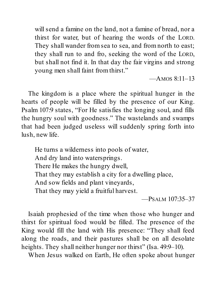will send a famine on the land, not a famine of bread, nor a thirst for water, but of hearing the words of the LORD. They shall wander from sea to sea, and from north to east; they shall run to and fro, seeking the word of the LORD, but shall not find it. In that day the fair virgins and strong young men shall faint fromthirst."

 $- A$ MOS 8:11-13

The kingdom is a place where the spiritual hunger in the hearts of people will be filled by the presence of our King. Psalm 107:9 states, "For He satisfies the longing soul, and fills the hungry soul with goodness." The wastelands and swamps that had been judged useless will suddenly spring forth into lush, new life.

He turns a wilderness into pools of water, And dry land into watersprings. There He makes the hungry dwell, That they may establish a city for a dwelling place, And sow fields and plant vineyards, That they may yield a fruitful harvest.

—PSALM 107:35–37

Isaiah prophesied of the time when those who hunger and thirst for spiritual food would be filled. The presence of the King would fill the land with His presence: "They shall feed along the roads, and their pastures shall be on all desolate heights. They shall neither hunger nor thirst" (Isa. 49:9–10).

When Jesus walked on Earth, He often spoke about hunger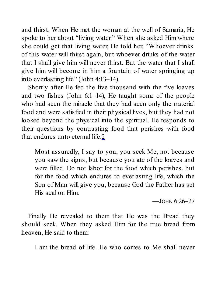and thirst. When He met the woman at the well of Samaria, He spoke to her about "living water." When she asked Him where she could get that living water, He told her, "Whoever drinks of this water will thirst again, but whoever drinks of the water that I shall give him will never thirst. But the water that I shall give him will become in him a fountain of water springing up into everlasting life" (John 4:13–14).

Shortly after He fed the five thousand with the five loaves and two fishes (John 6:1–14), He taught some of the people who had seen the miracle that they had seen only the material food and were satisfied in their physical lives, but they had not looked beyond the physical into the spiritual. He responds to their questions by contrasting food that perishes with food that endures unto eternal life.2

Most assuredly, I say to you, you seek Me, not because you saw the signs, but because you ate of the loaves and were filled. Do not labor for the food which perishes, but for the food which endures to everlasting life, which the Son of Man will give you, because God the Father has set His seal on Him.

—JOHN 6:26–27

Finally He revealed to them that He was the Bread they should seek. When they asked Him for the true bread from heaven, He said to them:

I am the bread of life. He who comes to Me shall never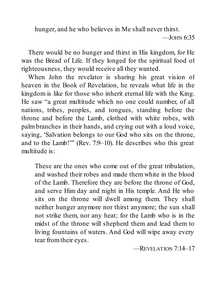hunger, and he who believes in Me shall never thirst.  $-$ JOHN 6:35

There would be no hunger and thirst in His kingdom, for He was the Bread of Life. If they longed for the spiritual food of righteousness, they would receive all they wanted.

When John the revelator is sharing his great vision of heaven in the Book of Revelation, he reveals what life in the kingdom is like for those who inherit eternal life with the King. He saw "a great multitude which no one could number, of all nations, tribes, peoples, and tongues, standing before the throne and before the Lamb, clothed with white robes, with palm branches in their hands, and crying out with a loud voice, saying, 'Salvation belongs to our God who sits on the throne, and to the Lamb!'" (Rev. 7:9–10). He describes who this great multitude is:

These are the ones who come out of the great tribulation, and washed their robes and made them white in the blood of the Lamb. Therefore they are before the throne of God, and serve Him day and night in His temple. And He who sits on the throne will dwell among them. They shall neither hunger anymore nor thirst anymore; the sun shall not strike them, nor any heat; for the Lamb who is in the midst of the throne will shepherd them and lead them to living fountains of waters. And God will wipe away every tear fromtheir eyes.

—REVELATION 7:14–17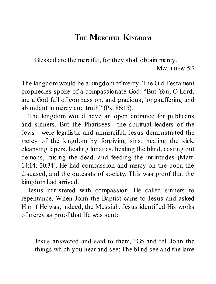# **THE MERCIFUL KINGDOM**

Blessed are the merciful, for they shall obtain mercy.

—MATTHEW 5:7

The kingdomwould be a kingdomof mercy. The Old Testament prophecies spoke of a compassionate God: "But You, O Lord, are a God full of compassion, and gracious, longsuffering and abundant in mercy and truth" (Ps. 86:15).

The kingdom would have an open entrance for publicans and sinners. But the Pharisees—the spiritual leaders of the Jews—were legalistic and unmerciful. Jesus demonstrated the mercy of the kingdom by forgiving sins, healing the sick, cleansing lepers, healing lunatics, healing the blind, casting out demons, raising the dead, and feeding the multitudes (Matt. 14:14; 20:34). He had compassion and mercy on the poor, the diseased, and the outcasts of society. This was proof that the kingdomhad arrived.

Jesus ministered with compassion. He called sinners to repentance. When John the Baptist came to Jesus and asked Him if He was, indeed, the Messiah, Jesus identified His works of mercy as proof that He was sent:

Jesus answered and said to them, "Go and tell John the things which you hear and see: The blind see and the lame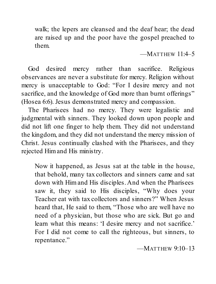walk; the lepers are cleansed and the deaf hear; the dead are raised up and the poor have the gospel preached to them.

 $M$ ATTHEW 11:4-5

God desired mercy rather than sacrifice. Religious observances are never a substitute for mercy. Religion without mercy is unacceptable to God: "For I desire mercy and not sacrifice, and the knowledge of God more than burnt offerings" (Hosea 6:6). Jesus demonstrated mercy and compassion.

The Pharisees had no mercy. They were legalistic and judgmental with sinners. They looked down upon people and did not lift one finger to help them. They did not understand the kingdom, and they did not understand the mercy mission of Christ. Jesus continually clashed with the Pharisees, and they rejected Himand His ministry.

Now it happened, as Jesus sat at the table in the house, that behold, many tax collectors and sinners came and sat down with Himand His disciples.And when the Pharisees saw it, they said to His disciples, "Why does your Teacher eat with tax collectors and sinners?" When Jesus heard that, He said to them, "Those who are well have no need of a physician, but those who are sick. But go and learn what this means: 'I desire mercy and not sacrifice.' For I did not come to call the righteous, but sinners, to repentance."

—MATTHEW 9:10–13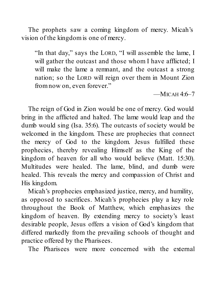The prophets saw a coming kingdom of mercy. Micah's vision of the kingdomis one of mercy.

"In that day," says the LORD, "I will assemble the lame, I will gather the outcast and those whom I have afflicted: I will make the lame a remnant, and the outcast a strong nation; so the LORD will reign over them in Mount Zion fromnow on, even forever."

 $-MICAH 4:6-7$ 

The reign of God in Zion would be one of mercy. God would bring in the afflicted and halted. The lame would leap and the dumb would sing (Isa. 35:6). The outcasts of society would be welcomed in the kingdom. These are prophecies that connect the mercy of God to the kingdom. Jesus fulfilled these prophecies, thereby revealing Himself as the King of the kingdom of heaven for all who would believe (Matt. 15:30). Multitudes were healed. The lame, blind, and dumb were healed. This reveals the mercy and compassion of Christ and His kingdom.

Micah's prophecies emphasized justice, mercy, and humility, as opposed to sacrifices. Micah's prophecies play a key role throughout the Book of Matthew, which emphasizes the kingdom of heaven. By extending mercy to society's least desirable people, Jesus offers a vision of God's kingdom that differed markedly from the prevailing schools of thought and practice offered by the Pharisees.

The Pharisees were more concerned with the external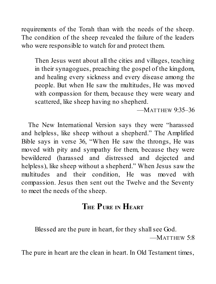requirements of the Torah than with the needs of the sheep. The condition of the sheep revealed the failure of the leaders who were responsible to watch for and protect them.

Then Jesus went about all the cities and villages, teaching in their synagogues, preaching the gospel of the kingdom, and healing every sickness and every disease among the people. But when He saw the multitudes, He was moved with compassion for them, because they were weary and scattered, like sheep having no shepherd.

—MATTHEW 9:35–36

The New International Version says they were "harassed and helpless, like sheep without a shepherd." The Amplified Bible says in verse 36, "When He saw the throngs, He was moved with pity and sympathy for them, because they were bewildered (harassed and distressed and dejected and helpless), like sheep without a shepherd." When Jesus saw the multitudes and their condition, He was moved with compassion. Jesus then sent out the Twelve and the Seventy to meet the needs of the sheep.

## $T$ **HE PIDE IN HEART**

Blessed are the pure in heart, for they shallsee God.

—MATTHEW 5:8

The pure in heart are the clean in heart. In Old Testament times,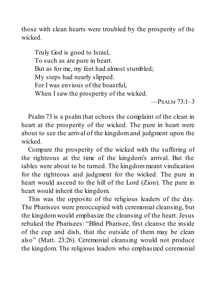those with clean hearts were troubled by the prosperity of the wicked.

Truly God is good to Israel, To such as are pure in heart. But as for me, my feet had almost stumbled; My steps had nearly slipped. For I was envious of the boastful, When I saw the prosperity of the wicked.

—PSALM 73:1–3

Psalm 73 is a psalm that echoes the complaint of the clean in heart at the prosperity of the wicked. The pure in heart were about to see the arrival of the kingdom and judgment upon the wicked.

Compare the prosperity of the wicked with the suffering of the righteous at the time of the kingdom's arrival. But the tables were about to be turned. The kingdommeant vindication for the righteous and judgment for the wicked. The pure in heart would ascend to the hill of the Lord (Zion). The pure in heart would inherit the kingdom.

This was the opposite of the religious leaders of the day. The Pharisees were preoccupied with ceremonial cleansing, but the kingdom would emphasize the cleansing of the heart. Jesus rebuked the Pharisees: "Blind Pharisee, first cleanse the inside of the cup and dish, that the outside of them may be clean also" (Matt. 23:26). Ceremonial cleansing would not produce the kingdom. The religious leaders who emphasized ceremonial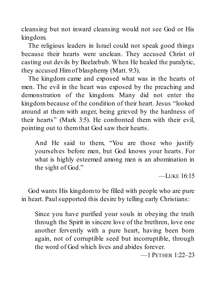cleansing but not inward cleansing would not see God or His kingdom.

The religious leaders in Israel could not speak good things because their hearts were unclean. They accused Christ of casting out devils by Beelzebub. When He healed the paralytic, they accused Himof blasphemy (Matt. 9:3).

The kingdom came and exposed what was in the hearts of men. The evil in the heart was exposed by the preaching and demonstration of the kingdom. Many did not enter the kingdom because of the condition of their heart. Jesus "looked around at them with anger, being grieved by the hardness of their hearts" (Mark 3:5). He confronted them with their evil, pointing out to themthat God saw their hearts.

And He said to them, "You are those who justify yourselves before men, but God knows your hearts. For what is highly esteemed among men is an abomination in the sight of God."

—LUKE 16:15

God wants His kingdomto be filled with people who are pure in heart. Paulsupported this desire by telling early Christians:

Since you have purified your souls in obeying the truth through the Spirit in sincere love of the brethren, love one another fervently with a pure heart, having been born again, not of corruptible seed but incorruptible, through the word of God which lives and abides forever.

—1 PETHER 1:22–23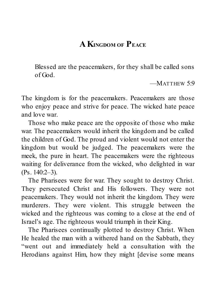# **A KINGDOM OF PEACE**

Blessed are the peacemakers, for they shall be called sons of God.

—MATTHEW 5:9

The kingdom is for the peacemakers. Peacemakers are those who enjoy peace and strive for peace. The wicked hate peace and love war.

Those who make peace are the opposite of those who make war. The peacemakers would inherit the kingdom and be called the children of God. The proud and violent would not enter the kingdom but would be judged. The peacemakers were the meek, the pure in heart. The peacemakers were the righteous waiting for deliverance from the wicked, who delighted in war (Ps. 140:2–3).

The Pharisees were for war. They sought to destroy Christ. They persecuted Christ and His followers. They were not peacemakers. They would not inherit the kingdom. They were murderers. They were violent. This struggle between the wicked and the righteous was coming to a close at the end of Israel's age. The righteous would triumph in their King.

The Pharisees continually plotted to destroy Christ. When He healed the man with a withered hand on the Sabbath, they "went out and immediately held a consultation with the Herodians against Him, how they might [devise some means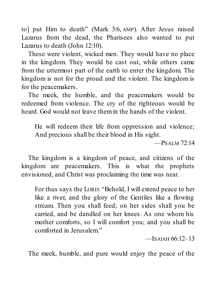to] put Him to death" (Mark 3:6, AMP). After Jesus raised Lazarus from the dead, the Pharisees also wanted to put Lazarus to death (John 12:10).

These were violent, wicked men. They would have no place in the kingdom. They would be cast out, while others came from the uttermost part of the earth to enter the kingdom. The kingdom is not for the proud and the violent. The kingdom is for the peacemakers.

The meek, the humble, and the peacemakers would be redeemed from violence. The cry of the righteous would be heard. God would not leave themin the hands of the violent.

He will redeem their life from oppression and violence; And precious shall be their blood in His sight.

 $-$ PSALM  $72.14$ 

The kingdom is a kingdom of peace, and citizens of the kingdom are peacemakers. This is what the prophets envisioned, and Christ was proclaiming the time was near.

For thus says the LORD: "Behold, I will extend peace to her like a river, and the glory of the Gentiles like a flowing stream. Then you shall feed; on her sides shall you be carried, and be dandled on her knees. As one whom his mother comforts, so I will comfort you; and you shall be comforted in Jerusalem"

—ISAIAH 66:12–13

The meek, humble, and pure would enjoy the peace of the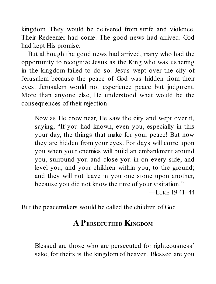kingdom. They would be delivered from strife and violence. Their Redeemer had come. The good news had arrived. God had kept His promise.

But although the good news had arrived, many who had the opportunity to recognize Jesus as the King who was ushering in the kingdom failed to do so. Jesus wept over the city of Jerusalem because the peace of God was hidden from their eyes. Jerusalem would not experience peace but judgment. More than anyone else, He understood what would be the consequences of their rejection.

Now as He drew near, He saw the city and wept over it, saying, "If you had known, even you, especially in this your day, the things that make for your peace! But now they are hidden from your eyes. For days will come upon you when your enemies will build an embankment around you, surround you and close you in on every side, and level you, and your children within you, to the ground; and they will not leave in you one stone upon another, because you did not know the time of your visitation."

—LUKE 19:41–44

But the peacemakers would be called the children of God.

## **A PERSECUTHED KINGDOM**

Blessed are those who are persecuted for righteousness' sake, for theirs is the kingdom of heaven. Blessed are you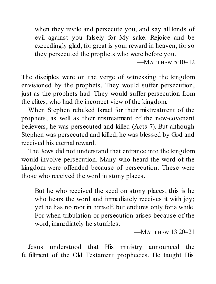when they revile and persecute you, and say all kinds of evil against you falsely for My sake. Rejoice and be exceedingly glad, for great is your reward in heaven, for so they persecuted the prophets who were before you.

 $-MATTHEW$  5:10-12

The disciples were on the verge of witnessing the kingdom envisioned by the prophets. They would suffer persecution, just as the prophets had. They would suffer persecution from the elites, who had the incorrect view of the kingdom.

When Stephen rebuked Israel for their mistreatment of the prophets, as well as their mistreatment of the new-covenant believers, he was persecuted and killed (Acts 7). But although Stephen was persecuted and killed, he was blessed by God and received his eternal reward.

The Jews did not understand that entrance into the kingdom would involve persecution. Many who heard the word of the kingdom were offended because of persecution. These were those who received the word in stony places.

But he who received the seed on stony places, this is he who hears the word and immediately receives it with joy; yet he has no root in himself, but endures only for a while. For when tribulation or persecution arises because of the word, immediately he stumbles.

—MATTHEW 13:20–21

Jesus understood that His ministry announced the fulfillment of the Old Testament prophecies. He taught His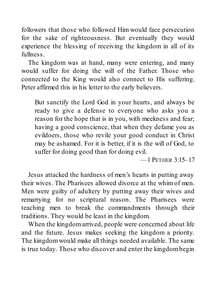followers that those who followed Him would face persecution for the sake of righteousness. But eventually they would experience the blessing of receiving the kingdom in all of its fullness.

The kingdom was at hand, many were entering, and many would suffer for doing the will of the Father. Those who connected to the King would also connect to His suffering. Peter affirmed this in his letter to the early believers.

But sanctify the Lord God in your hearts, and always be ready to give a defense to everyone who asks you a reason for the hope that is in you, with meekness and fear; having a good conscience, that when they defame you as evildoers, those who revile your good conduct in Christ may be ashamed. For it is better, if it is the will of God, to suffer for doing good than for doing evil.

—1 PETHER 3:15–17

Jesus attacked the hardness of men's hearts in putting away their wives. The Pharisees allowed divorce at the whim of men. Men were guilty of adultery by putting away their wives and remarrying for no scriptural reason. The Pharisees were teaching men to break the commandments through their traditions. They would be least in the kingdom.

When the kingdomarrived, people were concerned about life and the future. Jesus makes seeking the kingdom a priority. The kingdomwould make all things needed available. The same is true today. Those who discover and enter the kingdombegin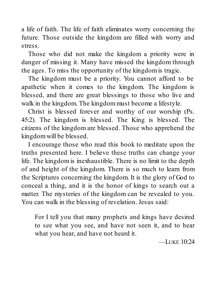a life of faith. The life of faith eliminates worry concerning the future. Those outside the kingdom are filled with worry and stress.

Those who did not make the kingdom a priority were in danger of missing it. Many have missed the kingdom through the ages. To miss the opportunity of the kingdomis tragic.

The kingdom must be a priority. You cannot afford to be apathetic when it comes to the kingdom. The kingdom is blessed, and there are great blessings to those who live and walk in the kingdom. The kingdommust become a lifestyle.

Christ is blessed forever and worthy of our worship (Ps. 45:2). The kingdom is blessed. The King is blessed. The citizens of the kingdom are blessed. Those who apprehend the kingdomwill be blessed.

I encourage those who read this book to meditate upon the truths presented here. I believe these truths can change your life. The kingdomis inexhaustible. There is no limit to the depth of and height of the kingdom. There is so much to learn from the Scriptures concerning the kingdom. It is the glory of God to conceal a thing, and it is the honor of kings to search out a matter. The mysteries of the kingdom can be revealed to you. You can walk in the blessing of revelation. Jesus said:

For I tell you that many prophets and kings have desired to see what you see, and have not seen it, and to hear what you hear, and have not heard it.

 $-$ LUKE 10:24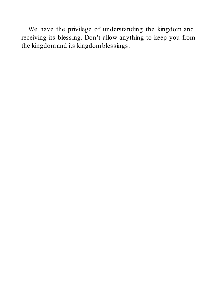We have the privilege of understanding the kingdom and receiving its blessing. Don't allow anything to keep you from the kingdomand its kingdomblessings.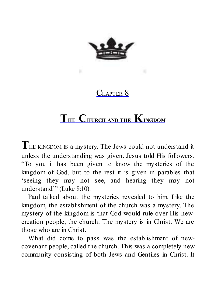

# **THE CHURCH AND THE KINGDOM**

**T**HE KINGDOM IS <sup>a</sup> mystery. The Jews could not understand it unless the understanding was given. Jesus told His followers, "To you it has been given to know the mysteries of the kingdom of God, but to the rest it is given in parables that 'seeing they may not see, and hearing they may not understand'" (Luke 8:10).

Paul talked about the mysteries revealed to him. Like the kingdom, the establishment of the church was a mystery. The mystery of the kingdom is that God would rule over His newcreation people, the church. The mystery is in Christ. We are those who are in Christ.

What did come to pass was the establishment of newcovenant people, called the church. This was a completely new community consisting of both Jews and Gentiles in Christ. It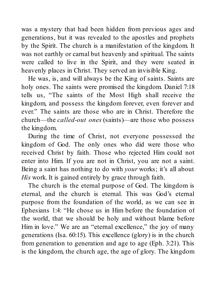was a mystery that had been hidden from previous ages and generations, but it was revealed to the apostles and prophets by the Spirit. The church is a manifestation of the kingdom. It was not earthly or carnal but heavenly and spiritual. The saints were called to live in the Spirit, and they were seated in heavenly places in Christ. They served an invisible King.

He was, is, and will always be the King of saints. Saints are holy ones. The saints were promised the kingdom. Daniel 7:18 tells us, "The saints of the Most High shall receive the kingdom, and possess the kingdom forever, even forever and ever." The saints are those who are in Christ. Therefore the church—the *called-out ones* (saints)—are those who possess the kingdom.

During the time of Christ, not everyone possessed the kingdom of God. The only ones who did were those who received Christ by faith. Those who rejected Him could not enter into Him. If you are not in Christ, you are not a saint. Being a saint has nothing to do with *your* works; it's all about *His* work. It is gained entirely by grace through faith.

The church is the eternal purpose of God. The kingdom is eternal, and the church is eternal. This was God's eternal purpose from the foundation of the world, as we can see in Ephesians 1:4: "He chose us in Him before the foundation of the world, that we should be holy and without blame before Him in love." We are an "eternal excellence." the joy of many generations (Isa. 60:15). This excellence (glory) is in the church from generation to generation and age to age (Eph. 3:21). This is the kingdom, the church age, the age of glory. The kingdom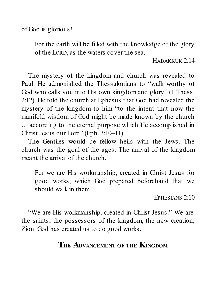of God is glorious!

For the earth will be filled with the knowledge of the glory of the <sup>L</sup>ORD, as the waters cover the sea.—HABAKKUK 2:14

The mystery of the kingdom and church was revealed to Paul. He admonished the Thessalonians to "walk worthy of God who calls you into His own kingdom and glory" (1 Thess. 2:12). He told the church at Ephesus that God had revealed the mystery of the kingdom to him "to the intent that now the manifold wisdom of God might be made known by the church … according to the eternal purpose which He accomplished in Christ Jesus our Lord" (Eph. 3:10–11).

The Gentiles would be fellow heirs with the Jews. The church was the goal of the ages. The arrival of the kingdom meant the arrival of the church.

For we are His workmanship, created in Christ Jesus for good works, which God prepared beforehand that we should walk in them.

—EPHESIANS 2:10

"We are His workmanship, created in Christ Jesus." We are the saints, the possessors of the kingdom, the new creation, Zion. God has created us to do good works.

#### **THE ADVANCEMENT OF THE KINGDOM**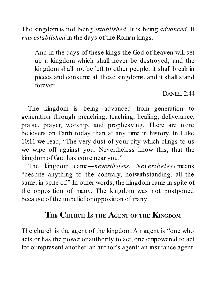The kingdom is not being *established*. It is being *advanced*. It *was established* in the days of the Roman kings.

And in the days of these kings the God of heaven will set up a kingdom which shall never be destroyed; and the kingdom shall not be left to other people; it shall break in pieces and consume all these kingdoms, and it shall stand forever.

—DANIEL 2:44

The kingdom is being advanced from generation to generation through preaching, teaching, healing, deliverance, praise, prayer, worship, and prophesying. There are more believers on Earth today than at any time in history. In Luke 10:11 we read, "The very dust of your city which clings to us we wipe off against you. Nevertheless know this, that the kingdomof God has come near you."

The kingdom came—*nevertheless*. *Nevertheless* means "despite anything to the contrary, notwithstanding, all the same, in spite of." In other words, the kingdom came in spite of the opposition of many. The kingdom was not postponed because of the unbelief or opposition of many.

## **THE CHURCH I<sup>S</sup> THE AGENT OF THE KINGDOM**

The church is the agent of the kingdom. An agent is "one who acts or has the power or authority to act, one empowered to act for or represent another: an author's agent; an insurance agent.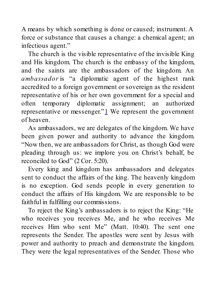A means by which something is done or caused; instrument. A force or substance that causes a change: a chemical agent; an infectious agent."

The church is the visible representative of the invisible King and His kingdom. The church is the embassy of the kingdom, and the saints are the ambassadors of the kingdom. An *ambassador* is "a diplomatic agent of the highest rank accredited to a foreign government or sovereign as the resident representative of his or her own government for a special and often temporary diplomatic assignment; an authorized representative or messenger."1 We represent the government of heaven.

As ambassadors, we are delegates of the kingdom. We have been given power and authority to advance the kingdom. "Now then, we are ambassadors for Christ, as though God were pleading through us: we implore you on Christ's behalf, be reconciled to God" (2 Cor. 5:20).

Every king and kingdom has ambassadors and delegates sent to conduct the affairs of the king. The heavenly kingdom is no exception. God sends people in every generation to conduct the affairs of His kingdom. We are responsible to be faithful in fulfilling our commissions.

To reject the King's ambassadors is to reject the King: "He who receives you receives Me, and he who receives Me receives Him who sent Me" (Matt. 10:40). The sent one represents the Sender. The apostles were sent by Jesus with power and authority to preach and demonstrate the kingdom. They were the legal representatives of the Sender. Those who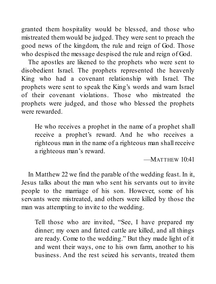granted them hospitality would be blessed, and those who mistreated themwould be judged. They were sent to preach the good news of the kingdom, the rule and reign of God. Those who despised the message despised the rule and reign of God.

The apostles are likened to the prophets who were sent to disobedient Israel. The prophets represented the heavenly King who had a covenant relationship with Israel. The prophets were sent to speak the King's words and warn Israel of their covenant violations. Those who mistreated the prophets were judged, and those who blessed the prophets were rewarded.

He who receives a prophet in the name of a prophet shall receive a prophet's reward. And he who receives a righteous man in the name of a righteous man shall receive a righteous man's reward.

 $-MATTHEW 10:41$ 

In Matthew 22 we find the parable of the wedding feast. In it, Jesus talks about the man who sent his servants out to invite people to the marriage of his son. However, some of his servants were mistreated, and others were killed by those the man was attempting to invite to the wedding.

Tell those who are invited, "See, I have prepared my dinner; my oxen and fatted cattle are killed, and all things are ready. Come to the wedding." But they made light of it and went their ways, one to his own farm, another to his business. And the rest seized his servants, treated them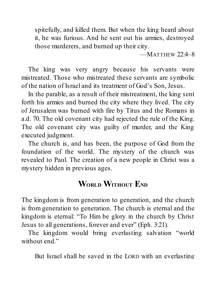spitefully, and killed them. But when the king heard about it, he was furious. And he sent out his armies, destroyed those murderers, and burned up their city.

—MATTHEW 22:4–8

The king was very angry because his servants were mistreated. Those who mistreated these servants are symbolic of the nation of Israel and its treatment of God's Son, Jesus.

In the parable, as a result of their mistreatment, the king sent forth his armies and burned the city where they lived. The city of Jerusalem was burned with fire by Titus and the Romans in a.d. 70. The old covenant city had rejected the rule of the King. The old covenant city was guilty of murder, and the King executed judgment.

The church is, and has been, the purpose of God from the foundation of the world. The mystery of the church was revealed to Paul. The creation of a new people in Christ was a mystery hidden in previous ages.

#### **WORLD WITHOUT END**

The kingdom is from generation to generation, and the church is from generation to generation. The church is eternal and the kingdom is eternal: "To Him be glory in the church by Christ Jesus to all generations, forever and ever" (Eph. 3:21).

The kingdom would bring everlasting salvation "world without end."

But Israel shall be saved in the LORD with an everlasting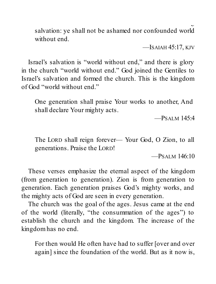But Israel shall be saved in the LORD with an everlasting salvation: ye shall not be ashamed nor confounded world without end.

—ISAIAH 45:17, KJV

Israel's salvation is "world without end," and there is glory in the church "world without end." God joined the Gentiles to Israel's salvation and formed the church. This is the kingdom of God "world without end."

One generation shall praise Your works to another, And shall declare Your mighty acts.

 $-$ Psalm 145:4

The LORD shall reign forever— Your God, O Zion, to all generations. Praise the LORD!

—PSALM 146:10

These verses emphasize the eternal aspect of the kingdom (from generation to generation). Zion is from generation to generation. Each generation praises God's mighty works, and the mighty acts of God are seen in every generation.

The church was the goal of the ages. Jesus came at the end of the world (literally, "the consummation of the ages") to establish the church and the kingdom. The increase of the kingdomhas no end.

For then would He often have had to suffer [over and over again] since the foundation of the world. But as it now is,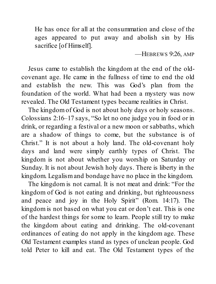He has once for all at the consummation and close of the ages appeared to put away and abolish sin by His sacrifice [of Himself].

—HEBREWS 9:26, AMP

Jesus came to establish the kingdom at the end of the oldcovenant age. He came in the fullness of time to end the old and establish the new. This was God's plan from the foundation of the world. What had been a mystery was now revealed. The Old Testament types became realities in Christ.

The kingdomof God is not about holy days or holy seasons. Colossians 2:16–17 says, "So let no one judge you in food or in drink, or regarding a festival or a new moon or sabbaths, which are a shadow of things to come, but the substance is of Christ." It is not about a holy land. The old-covenant holy days and land were simply earthly types of Christ. The kingdom is not about whether you worship on Saturday or Sunday. It is not about Jewish holy days. There is liberty in the kingdom. Legalismand bondage have no place in the kingdom.

The kingdom is not carnal. It is not meat and drink: "For the kingdom of God is not eating and drinking, but righteousness and peace and joy in the Holy Spirit" (Rom. 14:17). The kingdom is not based on what you eat or don't eat. This is one of the hardest things for some to learn. People still try to make the kingdom about eating and drinking. The old-covenant ordinances of eating do not apply in the kingdom age. These Old Testament examples stand as types of unclean people. God told Peter to kill and eat. The Old Testament types of the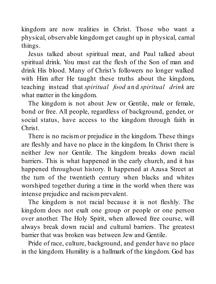kingdom are now realities in Christ. Those who want a physical, observable kingdom get caught up in physical, carnal things.

Jesus talked about spiritual meat, and Paul talked about spiritual drink. You must eat the flesh of the Son of man and drink His blood. Many of Christ's followers no longer walked with Him after He taught these truths about the kingdom, teaching instead that *spiritual food* a n d *spiritual drink* are what matter in the kingdom.

The kingdom is not about Jew or Gentile, male or female, bond or free. All people, regardless of background, gender, or social status, have access to the kingdom through faith in Christ.

There is no racism or prejudice in the kingdom. These things are fleshly and have no place in the kingdom. In Christ there is neither Jew nor Gentile. The kingdom breaks down racial barriers. This is what happened in the early church, and it has happened throughout history. It happened at Azusa Street at the turn of the twentieth century when blacks and whites worshiped together during a time in the world when there was intense prejudice and racismprevalent.

The kingdom is not racial because it is not fleshly. The kingdom does not exalt one group or people or one person over another. The Holy Spirit, when allowed free course, will always break down racial and cultural barriers. The greatest barrier that was broken was between Jew and Gentile.

Pride of race, culture, background, and gender have no place in the kingdom. Humility is a hallmark of the kingdom. God has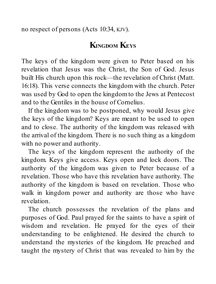no respect of persons (Acts 10:34, KJV).

#### **KINGDOM KEYS**

The keys of the kingdom were given to Peter based on his revelation that Jesus was the Christ, the Son of God. Jesus built His church upon this rock—the revelation of Christ (Matt. 16:18). This verse connects the kingdom with the church. Peter was used by God to open the kingdomto the Jews at Pentecost and to the Gentiles in the house of Cornelius.

If the kingdom was to be postponed, why would Jesus give the keys of the kingdom? Keys are meant to be used to open and to close. The authority of the kingdom was released with the arrival of the kingdom. There is no such thing as a kingdom with no power and authority.

The keys of the kingdom represent the authority of the kingdom. Keys give access. Keys open and lock doors. The authority of the kingdom was given to Peter because of a revelation. Those who have this revelation have authority. The authority of the kingdom is based on revelation. Those who walk in kingdom power and authority are those who have revelation.

The church possesses the revelation of the plans and purposes of God. Paul prayed for the saints to have a spirit of wisdom and revelation. He prayed for the eyes of their understanding to be enlightened. He desired the church to understand the mysteries of the kingdom. He preached and taught the mystery of Christ that was revealed to him by the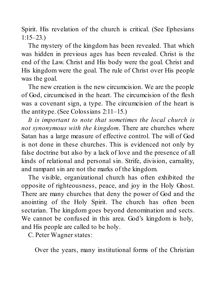Spirit. His revelation of the church is critical. (See Ephesians 1:15–23.)

The mystery of the kingdom has been revealed. That which was hidden in previous ages has been revealed. Christ is the end of the Law. Christ and His body were the goal. Christ and His kingdom were the goal. The rule of Christ over His people was the goal.

The new creation is the new circumcision. We are the people of God, circumcised in the heart. The circumcision of the flesh was a covenant sign, a type. The circumcision of the heart is the antitype. (See Colossians 2:11–15.)

*It is important to note that sometimes the local church is not synonymous with the kingdom*. There are churches where Satan has a large measure of effective control. The will of God is not done in these churches. This is evidenced not only by false doctrine but also by a lack of love and the presence of all kinds of relational and personal sin. Strife, division, carnality, and rampant sin are not the marks of the kingdom.

The visible, organizational church has often exhibited the opposite of righteousness, peace, and joy in the Holy Ghost. There are many churches that deny the power of God and the anointing of the Holy Spirit. The church has often been sectarian. The kingdom goes beyond denomination and sects. We cannot be confused in this area. God's kingdom is holy, and His people are called to be holy.

C. Peter Wagner states:

Over the years, many institutional forms of the Christian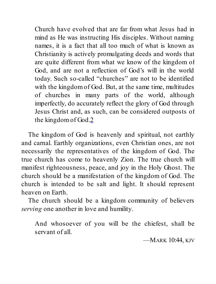Church have evolved that are far from what Jesus had in mind as He was instructing His disciples. Without naming names, it is a fact that all too much of what is known as Christianity is actively promulgating deeds and words that are quite different from what we know of the kingdom of God, and are not a reflection of God's will in the world today. Such so-called "churches" are not to be identified with the kingdom of God. But, at the same time, multitudes of churches in many parts of the world, although imperfectly, do accurately reflect the glory of God through Jesus Christ and, as such, can be considered outposts of the kingdomof God.2

The kingdom of God is heavenly and spiritual, not earthly and carnal. Earthly organizations, even Christian ones, are not necessarily the representatives of the kingdom of God. The true church has come to heavenly Zion. The true church will manifest righteousness, peace, and joy in the Holy Ghost. The church should be a manifestation of the kingdom of God. The church is intended to be salt and light. It should represent heaven on Earth.

The church should be a kingdom community of believers *serving* one another in love and humility.

And whosoever of you will be the chiefest, shall be servant of all.

—MARK 10:44, KJV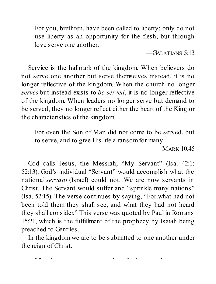For you, brethren, have been called to liberty; only do not use liberty as an opportunity for the flesh, but through love serve one another.

—GALATIANS 5:13

Service is the hallmark of the kingdom. When believers do not serve one another but serve themselves instead, it is no longer reflective of the kingdom. When the church no longer *serves* but instead exists to *be served*, it is no longer reflective of the kingdom. When leaders no longer serve but demand to be served, they no longer reflect either the heart of the King or the characteristics of the kingdom.

For even the Son of Man did not come to be served, but to serve, and to give His life a ransomfor many.

—MARK 10:45

God calls Jesus, the Messiah, "My Servant" (Isa. 42:1; 52:13). God's individual "Servant" would accomplish what the national*servant* (Israel) could not. We are now servants in Christ. The Servant would suffer and "sprinkle many nations" (Isa. 52:15). The verse continues by saying, "For what had not been told them they shall see, and what they had not heard they shall consider." This verse was quoted by Paul in Romans 15:21, which is the fulfillment of the prophecy by Isaiah being preached to Gentiles.

In the kingdom we are to be submitted to one another under the reign of Christ.

Likewise you younger people, submit yourselves to your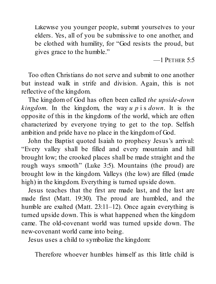Likewise you younger people, submit yourselves to your elders. Yes, all of you be submissive to one another, and be clothed with humility, for "God resists the proud, but gives grace to the humble."

 $-1$  PETHER 5:5

Too often Christians do not serve and submit to one another but instead walk in strife and division. Again, this is not reflective of the kingdom.

The kingdom of God has often been called *the upside-down kingdom*. In the kingdom, the way *u p* i s *down*. It is the opposite of this in the kingdoms of the world, which are often characterized by everyone trying to get to the top. Selfish ambition and pride have no place in the kingdomof God.

John the Baptist quoted Isaiah to prophesy Jesus's arrival: "Every valley shall be filled and every mountain and hill brought low; the crooked places shall be made straight and the rough ways smooth" (Luke 3:5). Mountains (the proud) are brought low in the kingdom. Valleys (the low) are filled (made high) in the kingdom. Everything is turned upside down.

Jesus teaches that the first are made last, and the last are made first (Matt. 19:30). The proud are humbled, and the humble are exalted (Matt. 23:11–12). Once again everything is turned upside down. This is what happened when the kingdom came. The old-covenant world was turned upside down. The new-covenant world came into being.

Jesus uses a child to symbolize the kingdom:

Therefore whoever humbles himself as this little child is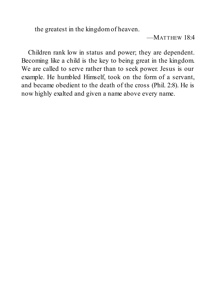the greatest in the kingdomof heaven.

—MATTHEW 18:4

Children rank low in status and power; they are dependent. Becoming like a child is the key to being great in the kingdom. We are called to serve rather than to seek power. Jesus is our example. He humbled Himself, took on the form of a servant, and became obedient to the death of the cross (Phil. 2:8). He is now highly exalted and given a name above every name.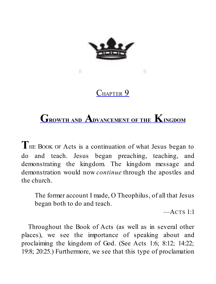

# **GROWTH AND ADVANCEMENT OF THE KINGDOM**

THE BOOK OF Acts is a continuation of what Jesus began to do and teach. Jesus began preaching, teaching, and demonstrating the kingdom. The kingdom message and demonstration would now *continue* through the apostles and the church.

The former account I made, O Theophilus, of all that Jesus began both to do and teach.

—ACTS 1:1

Throughout the Book of Acts (as well as in several other places), we see the importance of speaking about and proclaiming the kingdom of God. (See Acts 1:6; 8:12; 14:22; 19:8; 20:25.) Furthermore, we see that this type of proclamation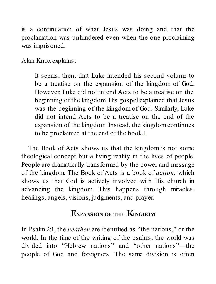is a continuation of what Jesus was doing and that the proclamation was unhindered even when the one proclaiming was imprisoned.

Alan Knoxexplains:

It seems, then, that Luke intended his second volume to be a treatise on the expansion of the kingdom of God. However, Luke did not intend Acts to be a treatise on the beginning of the kingdom. His gospel explained that Jesus was the beginning of the kingdom of God. Similarly, Luke did not intend Acts to be a treatise on the end of the expansion of the kingdom. Instead, the kingdomcontinues to be proclaimed at the end of the book.<sup>1</sup>

The Book of Acts shows us that the kingdom is not some theological concept but a living reality in the lives of people. People are dramatically transformed by the power and message of the kingdom. The Book of Acts is a book of *action*, which shows us that God is actively involved with His church in advancing the kingdom. This happens through miracles, healings, angels, visions, judgments, and prayer.

#### **EXPANSION OF THE KINGDOM**

In Psalm 2:1, the *heathen* are identified as "the nations," or the world. In the time of the writing of the psalms, the world was divided into "Hebrew nations" and "other nations"—the people of God and foreigners. The same division is often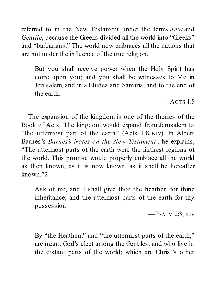referred to in the New Testament under the terms  $Jew$  and *Gentile*, because the Greeks divided all the world into "Greeks" and "barbarians." The world now embraces all the nations that are not under the influence of the true religion.

But you shall receive power when the Holy Spirit has come upon you; and you shall be witnesses to Me in Jerusalem, and in all Judea and Samaria, and to the end of the earth.

—ACTS 1:8

The expansion of the kingdom is one of the themes of the Book of Acts. The kingdom would expand from Jerusalem to "the uttermost part of the earth" (Acts 1:8, KJV). In Albert Barnes's *Barnes's Notes on the New Testament* , he explains, "The uttermost parts of the earth were the farthest regions of the world. This promise would properly embrace all the world as then known, as it is now known, as it shall be hereafter known."2

Ask of me, and I shall give thee the heathen for thine inheritance, and the uttermost parts of the earth for thy possession.

—PSALM 2:8, KJV

By "the Heathen," and "the uttermost parts of the earth," are meant God's elect among the Gentiles, and who live in the distant parts of the world; which are Christ's other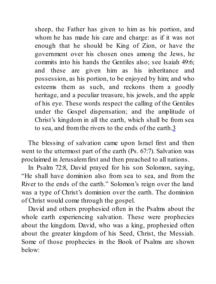sheep, the Father has given to him as his portion, and whom he has made his care and charge: as if it was not enough that he should be King of Zion, or have the government over his chosen ones among the Jews, he commits into his hands the Gentiles also; see Isaiah 49:6; and these are given him as his inheritance and possession, as his portion, to be enjoyed by him; and who esteems them as such, and reckons them a goodly heritage, and a peculiar treasure, his jewels, and the apple of his eye. These words respect the calling of the Gentiles under the Gospel dispensation; and the amplitude of Christ's kingdom in all the earth, which shall be from sea to sea, and fromthe rivers to the ends of the earth.3

The blessing of salvation came upon Israel first and then went to the uttermost part of the earth (Ps. 67:7). Salvation was proclaimed in Jerusalemfirst and then preached to all nations.

In Psalm 72:8, David prayed for his son Solomon, saying, "He shall have dominion also from sea to sea, and from the River to the ends of the earth." Solomon's reign over the land was a type of Christ's dominion over the earth. The dominion of Christ would come through the gospel.

David and others prophesied often in the Psalms about the whole earth experiencing salvation. These were prophecies about the kingdom. David, who was a king, prophesied often about the greater kingdom of his Seed, Christ, the Messiah. Some of those prophecies in the Book of Psalms are shown below: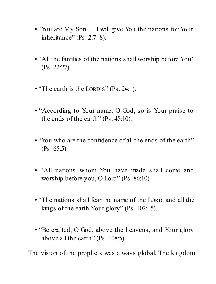- "You are My Son … I will give You the nations for Your inheritance" (Ps. 2:7–8).
- "All the families of the nations shall worship before You" (Ps. 22:27).
- "The earth is the LORD'S" (Ps. 24:1).
- "According to Your name, O God, so is Your praise to the ends of the earth" (Ps. 48:10).
- "You who are the confidence of all the ends of the earth" (Ps. 65:5).
- "All nations whom You have made shall come and worship before you, O Lord" (Ps. 86:10).
- "The nations shall fear the name of the LORD, and all the kings of the earth Your glory" (Ps. 102:15).
- "Be exalted, O God, above the heavens, and Your glory above all the earth" (Ps. 108:5).

The vision of the prophets was always global. The kingdom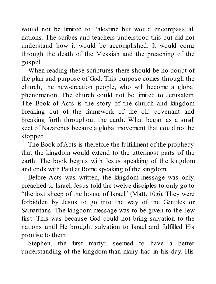would not be limited to Palestine but would encompass all nations. The scribes and teachers understood this but did not understand how it would be accomplished. It would come through the death of the Messiah and the preaching of the gospel.

When reading these scriptures there should be no doubt of the plan and purpose of God. This purpose comes through the church, the new-creation people, who will become a global phenomenon. The church could not be limited to Jerusalem. The Book of Acts is the story of the church and kingdom breaking out of the framework of the old covenant and breaking forth throughout the earth. What began as a small sect of Nazarenes became a global movement that could not be stopped.

The Book ofActs is therefore the fulfillment of the prophecy that the kingdom would extend to the uttermost parts of the earth. The book begins with Jesus speaking of the kingdom and ends with Paul at Rome speaking of the kingdom.

Before Acts was written, the kingdom message was only preached to Israel. Jesus told the twelve disciples to only go to "the lost sheep of the house of Israel" (Matt. 10:6). They were forbidden by Jesus to go into the way of the Gentiles or Samaritans. The kingdom message was to be given to the Jew first. This was because God could not bring salvation to the nations until He brought salvation to Israel and fulfilled His promise to them.

Stephen, the first martyr, seemed to have a better understanding of the kingdom than many had in his day. His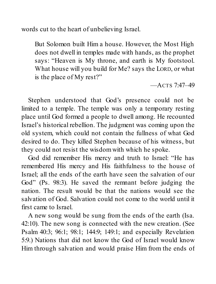words cut to the heart of unbelieving Israel.

But Solomon built Him a house. However, the Most High does not dwell in temples made with hands, as the prophet says: "Heaven is My throne, and earth is My footstool. What house will you build for Me? says the LORD, or what is the place of My rest?"

—ACTS 7:47–49

Stephen understood that God's presence could not be limited to a temple. The temple was only a temporary resting place until God formed a people to dwell among. He recounted Israel's historical rebellion. The judgment was coming upon the old system, which could not contain the fullness of what God desired to do. They killed Stephen because of his witness, but they could not resist the wisdomwith which he spoke.

God did remember His mercy and truth to Israel: "He has remembered His mercy and His faithfulness to the house of Israel; all the ends of the earth have seen the salvation of our God" (Ps. 98:3). He saved the remnant before judging the nation. The result would be that the nations would see the salvation of God. Salvation could not come to the world until it first came to Israel.

A new song would be sung from the ends of the earth (Isa. 42:10). The new song is connected with the new creation. (See Psalm 40:3; 96:1; 98:1; 144:9; 149:1; and especially Revelation 5:9.) Nations that did not know the God of Israel would know Him through salvation and would praise Him from the ends of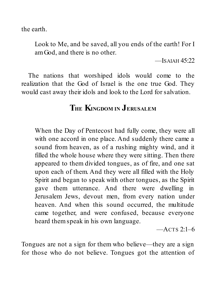the earth.

Look to Me, and be saved, all you ends of the earth! For I amGod, and there is no other.

—ISAIAH 45:22

The nations that worshiped idols would come to the realization that the God of Israel is the one true God. They would cast away their idols and look to the Lord for salvation.

#### **THE KINGDOM IN JERUSALEM**

When the Day of Pentecost had fully come, they were all with one accord in one place. And suddenly there came a sound from heaven, as of a rushing mighty wind, and it filled the whole house where they were sitting. Then there appeared to them divided tongues, as of fire, and one sat upon each of them. And they were all filled with the Holy Spirit and began to speak with other tongues, as the Spirit gave them utterance. And there were dwelling in Jerusalem Jews, devout men, from every nation under heaven. And when this sound occurred, the multitude came together, and were confused, because everyone heard themspeak in his own language.

 $-$ ACTS  $2.1-6$ 

Tongues are not a sign for them who believe—they are a sign for those who do not believe. Tongues got the attention of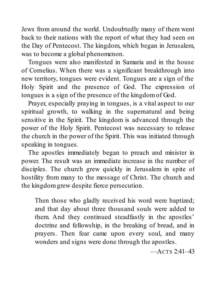Jews from around the world. Undoubtedly many of them went back to their nations with the report of what they had seen on the Day of Pentecost. The kingdom, which began in Jerusalem, was to become a global phenomenon.

Tongues were also manifested in Samaria and in the house of Cornelius. When there was a significant breakthrough into new territory, tongues were evident. Tongues are a sign of the Holy Spirit and the presence of God. The expression of tongues is a sign of the presence of the kingdomof God.

Prayer, especially praying in tongues, is a vital aspect to our spiritual growth, to walking in the supernatural and being sensitive in the Spirit. The kingdom is advanced through the power of the Holy Spirit. Pentecost was necessary to release the church in the power of the Spirit. This was initiated through speaking in tongues.

The apostles immediately began to preach and minister in power. The result was an immediate increase in the number of disciples. The church grew quickly in Jerusalem in spite of hostility from many to the message of Christ. The church and the kingdomgrew despite fierce persecution.

Then those who gladly received his word were baptized; and that day about three thousand souls were added to them. And they continued steadfastly in the apostles' doctrine and fellowship, in the breaking of bread, and in prayers. Then fear came upon every soul, and many wonders and signs were done through the apostles.

—ACTS 2:41–43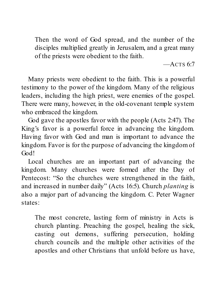Then the word of God spread, and the number of the disciples multiplied greatly in Jerusalem, and a great many of the priests were obedient to the faith.

 $-4$ CTS 6.7

Many priests were obedient to the faith. This is a powerful testimony to the power of the kingdom. Many of the religious leaders, including the high priest, were enemies of the gospel. There were many, however, in the old-covenant temple system who embraced the kingdom.

God gave the apostles favor with the people (Acts 2:47). The King's favor is a powerful force in advancing the kingdom. Having favor with God and man is important to advance the kingdom. Favor is for the purpose of advancing the kingdomof God!

Local churches are an important part of advancing the kingdom. Many churches were formed after the Day of Pentecost: "So the churches were strengthened in the faith, and increased in number daily" (Acts 16:5). Church *planting* is also a major part of advancing the kingdom. C. Peter Wagner states:

The most concrete, lasting form of ministry in Acts is church planting. Preaching the gospel, healing the sick, casting out demons, suffering persecution, holding church councils and the multiple other activities of the apostles and other Christians that unfold before us have,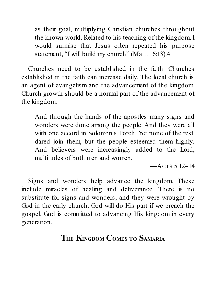as their goal, multiplying Christian churches throughout the known world. Related to his teaching of the kingdom, I would surmise that Jesus often repeated his purpose statement, "I will build my church" (Matt. 16:18).4

Churches need to be established in the faith. Churches established in the faith can increase daily. The local church is an agent of evangelism and the advancement of the kingdom. Church growth should be a normal part of the advancement of the kingdom.

And through the hands of the apostles many signs and wonders were done among the people. And they were all with one accord in Solomon's Porch. Yet none of the rest dared join them, but the people esteemed them highly. And believers were increasingly added to the Lord, multitudes of both men and women.

—ACTS 5:12–14

Signs and wonders help advance the kingdom. These include miracles of healing and deliverance. There is no substitute for signs and wonders, and they were wrought by God in the early church. God will do His part if we preach the gospel. God is committed to advancing His kingdom in every generation.

**THE KINGDOM COMES TO SAMARIA**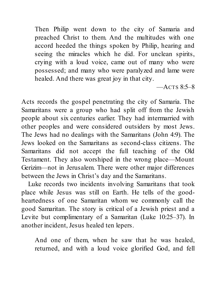Then Philip went down to the city of Samaria and preached Christ to them. And the multitudes with one accord heeded the things spoken by Philip, hearing and seeing the miracles which he did. For unclean spirits, crying with a loud voice, came out of many who were possessed; and many who were paralyzed and lame were healed. And there was great joy in that city.

—ACTS 8:5–8

Acts records the gospel penetrating the city of Samaria. The Samaritans were a group who had split off from the Jewish people about six centuries earlier. They had intermarried with other peoples and were considered outsiders by most Jews. The Jews had no dealings with the Samaritans (John 4:9). The Jews looked on the Samaritans as second-class citizens. The Samaritans did not accept the full teaching of the Old Testament. They also worshiped in the wrong place—Mount Gerizim—not in Jerusalem. There were other major differences between the Jews in Christ's day and the Samaritans.

Luke records two incidents involving Samaritans that took place while Jesus was still on Earth. He tells of the goodheartedness of one Samaritan whom we commonly call the good Samaritan. The story is critical of a Jewish priest and a Levite but complimentary of a Samaritan (Luke 10:25–37). In another incident, Jesus healed ten lepers.

And one of them, when he saw that he was healed, returned, and with a loud voice glorified God, and fell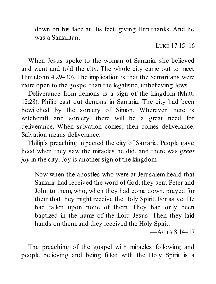down on his face at His feet, giving Him thanks. And he was a Samaritan.

 $-$ LUKE 17:15–16

When Jesus spoke to the woman of Samaria, she believed and went and told the city. The whole city came out to meet Him (John 4:29–30). The implication is that the Samaritans were more open to the gospel than the legalistic, unbelieving Jews.

Deliverance from demons is a sign of the kingdom (Matt. 12:28). Philip cast out demons in Samaria. The city had been bewitched by the sorcery of Simon. Wherever there is witchcraft and sorcery, there will be a great need for deliverance. When salvation comes, then comes deliverance. Salvation means deliverance.

Philip's preaching impacted the city of Samaria. People gave heed when they saw the miracles he did, and there was *great joy* in the city. Joy is another sign of the kingdom.

Now when the apostles who were at Jerusalem heard that Samaria had received the word of God, they sent Peter and John to them, who, when they had come down, prayed for them that they might receive the Holy Spirit. For as yet He had fallen upon none of them. They had only been baptized in the name of the Lord Jesus. Then they laid hands on them, and they received the Holy Spirit.

 $-4$  CTS 8:14-17

The preaching of the gospel with miracles following and people believing and being filled with the Holy Spirit is a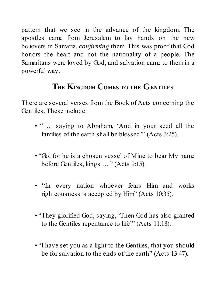pattern that we see in the advance of the kingdom. The apostles came from Jerusalem to lay hands on the new believers in Samaria, *confirming* them. This was proof that God honors the heart and not the nationality of a people. The Samaritans were loved by God, and salvation came to them in a powerful way.

# **THE KINGDOM COMES TO THE GENTILES**

There are several verses from the Book of Acts concerning the Gentiles. These include:

- " … saying to Abraham, 'And in your seed all the families of the earth shall be blessed'" (Acts 3:25).
- "Go, for he is a chosen vessel of Mine to bear My name before Gentiles, kings …" (Acts 9:15).
- "In every nation whoever fears Him and works righteousness is accepted by Him" (Acts 10:35).
- "They glorified God, saying, 'Then God has also granted to the Gentiles repentance to life'" (Acts 11:18).
- "I have set you as a light to the Gentiles, that you should be for salvation to the ends of the earth" (Acts 13:47).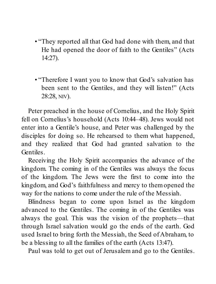- "They reported all that God had done with them, and that He had opened the door of faith to the Gentiles" (Acts 14:27).
- "Therefore I want you to know that God's salvation has been sent to the Gentiles, and they will listen!" (Acts 28:28, NIV).

Peter preached in the house of Cornelius, and the Holy Spirit fell on Cornelius's household (Acts 10:44–48). Jews would not enter into a Gentile's house, and Peter was challenged by the disciples for doing so. He rehearsed to them what happened, and they realized that God had granted salvation to the Gentiles.

Receiving the Holy Spirit accompanies the advance of the kingdom. The coming in of the Gentiles was always the focus of the kingdom. The Jews were the first to come into the kingdom, and God's faithfulness and mercy to themopened the way for the nations to come under the rule of the Messiah.

Blindness began to come upon Israel as the kingdom advanced to the Gentiles. The coming in of the Gentiles was always the goal. This was the vision of the prophets—that through Israel salvation would go the ends of the earth. God used Israel to bring forth the Messiah, the Seed ofAbraham, to be a blessing to all the families of the earth (Acts 13:47).

Paul was told to get out of Jerusalem and go to the Gentiles.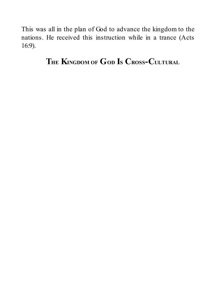This was all in the plan of God to advance the kingdom to the nations. He received this instruction while in a trance (Acts 16:9).

**THE KINGDOM OF GOD I<sup>S</sup> CROSS-CULTURAL**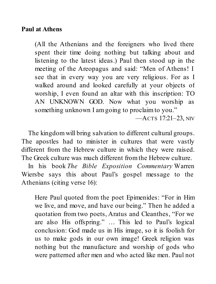#### **Paul at Athens**

(All the Athenians and the foreigners who lived there spent their time doing nothing but talking about and listening to the latest ideas.) Paul then stood up in the meeting of the Areopagus and said: "Men of Athens! I see that in every way you are very religious. For as I walked around and looked carefully at your objects of worship, I even found an altar with this inscription: TO AN UNKNOWN GOD. Now what you worship as something unknown I amgoing to proclaimto you."

—ACTS 17:21–23, NIV

The kingdomwill bring salvation to different cultural groups. The apostles had to minister in cultures that were vastly different from the Hebrew culture in which they were raised. The Greek culture was much different fromthe Hebrew culture.

In his book *The Bible Exposition Commentary* Warren Wiersbe says this about Paul's gospel message to the Athenians (citing verse 16):

Here Paul quoted from the poet Epimenides: "For in Him we live, and move, and have our being." Then he added a quotation from two poets, Aratus and Cleanthes, "For we are also His offspring." … This led to Paul's logical conclusion: God made us in His image, so it is foolish for us to make gods in our own image! Greek religion was nothing but the manufacture and worship of gods who were patterned after men and who acted like men. Paul not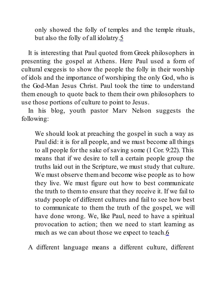only showed the folly of temples and the temple rituals, but also the folly of all idolatry.5

It is interesting that Paul quoted from Greek philosophers in presenting the gospel at Athens. Here Paul used a form of cultural exegesis to show the people the folly in their worship of idols and the importance of worshiping the only God, who is the God-Man Jesus Christ. Paul took the time to understand them enough to quote back to them their own philosophers to use those portions of culture to point to Jesus.

In his blog, youth pastor Marv Nelson suggests the following:

We should look at preaching the gospel in such a way as Paul did: it is for all people, and we must become all things to all people for the sake of saving some (1 Cor. 9:22). This means that if we desire to tell a certain people group the truths laid out in the Scripture, we must study that culture. We must observe themand become wise people as to how they live. We must figure out how to best communicate the truth to them to ensure that they receive it. If we fail to study people of different cultures and fail to see how best to communicate to them the truth of the gospel, we will have done wrong. We, like Paul, need to have a spiritual provocation to action; then we need to start learning as much as we can about those we expect to teach.6

A different language means a different culture, different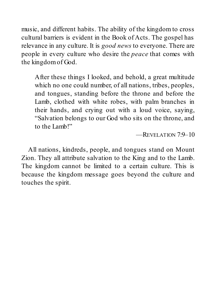music, and different habits. The ability of the kingdom to cross cultural barriers is evident in the Book of Acts. The gospel has relevance in any culture. It is *good news* to everyone. There are people in every culture who desire the *peace* that comes with the kingdomof God.

After these things I looked, and behold, a great multitude which no one could number, of all nations, tribes, peoples, and tongues, standing before the throne and before the Lamb, clothed with white robes, with palm branches in their hands, and crying out with a loud voice, saying, "Salvation belongs to our God who sits on the throne, and to the Lamb!"

—REVELATION 7:9–10

All nations, kindreds, people, and tongues stand on Mount Zion. They all attribute salvation to the King and to the Lamb. The kingdom cannot be limited to a certain culture. This is because the kingdom message goes beyond the culture and touches the spirit.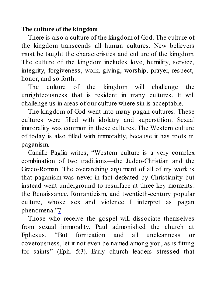### **The culture of the kingdom**

There is also a culture of the kingdom of God. The culture of the kingdom transcends all human cultures. New believers must be taught the characteristics and culture of the kingdom. The culture of the kingdom includes love, humility, service, integrity, forgiveness, work, giving, worship, prayer, respect, honor, and so forth.

The culture of the kingdom will challenge the unrighteousness that is resident in many cultures. It will challenge us in areas of our culture where sin is acceptable.

The kingdom of God went into many pagan cultures. These cultures were filled with idolatry and superstition. Sexual immorality was common in these cultures. The Western culture of today is also filled with immorality, because it has roots in paganism.

Camille Paglia writes, "Western culture is a very complex combination of two traditions—the Judeo-Christian and the Greco-Roman. The overarching argument of all of my work is that paganism was never in fact defeated by Christianity but instead went underground to resurface at three key moments: the Renaissance, Romanticism, and twentieth-century popular culture, whose sex and violence I interpret as pagan phenomena."<sub>2</sub>

Those who receive the gospel will dissociate themselves from sexual immorality. Paul admonished the church at Ephesus, "But fornication and all uncleanness or covetousness, let it not even be named among you, as is fitting for saints" (Eph. 5:3). Early church leaders stressed that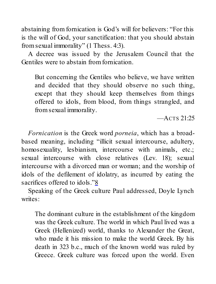abstaining from fornication is God's will for believers: "For this is the will of God, your sanctification: that you should abstain fromsexual immorality" (1 Thess. 4:3).

A decree was issued by the Jerusalem Council that the Gentiles were to abstain from fornication.

But concerning the Gentiles who believe, we have written and decided that they should observe no such thing, except that they should keep themselves from things offered to idols, from blood, from things strangled, and fromsexual immorality.

—ACTS 21:25

*Fornication* is the Greek word *porneia*, which has a broadbased meaning, including "illicit sexual intercourse, adultery, homosexuality, lesbianism, intercourse with animals, etc.; sexual intercourse with close relatives (Lev. 18); sexual intercourse with a divorced man or woman; and the worship of idols of the defilement of idolatry, as incurred by eating the sacrifices offered to idols."8

Speaking of the Greek culture Paul addressed, Doyle Lynch writes:

The dominant culture in the establishment of the kingdom was the Greek culture. The world in which Paul lived was a Greek (Hellenized) world, thanks to Alexander the Great, who made it his mission to make the world Greek. By his death in 323 b.c., much of the known world was ruled by Greece. Greek culture was forced upon the world. Even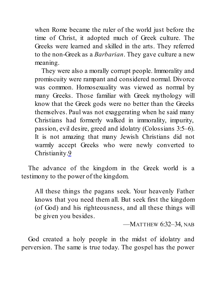when Rome became the ruler of the world just before the time of Christ, it adopted much of Greek culture. The Greeks were learned and skilled in the arts. They referred to the non-Greek as a *Barbarian*. They gave culture a new meaning.

They were also a morally corrupt people. Immorality and promiscuity were rampant and considered normal. Divorce was common. Homosexuality was viewed as normal by many Greeks. Those familiar with Greek mythology will know that the Greek gods were no better than the Greeks themselves. Paul was not exaggerating when he said many Christians had formerly walked in immorality, impurity, passion, evil desire, greed and idolatry (Colossians 3:5–6). It is not amazing that many Jewish Christians did not warmly accept Greeks who were newly converted to Christianity.9

The advance of the kingdom in the Greek world is a testimony to the power of the kingdom.

All these things the pagans seek. Your heavenly Father knows that you need them all. But seek first the kingdom (of God) and his righteousness, and all these things will be given you besides.

—MATTHEW 6:32–34, NAB

God created a holy people in the midst of idolatry and perversion. The same is true today. The gospel has the power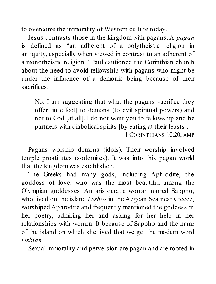to overcome the immorality of Western culture today.

Jesus contrasts those in the kingdom with pagans. A *pagan* is defined as "an adherent of a polytheistic religion in antiquity, especially when viewed in contrast to an adherent of a monotheistic religion." Paul cautioned the Corinthian church about the need to avoid fellowship with pagans who might be under the influence of a demonic being because of their sacrifices.

No, I am suggesting that what the pagans sacrifice they offer [in effect] to demons (to evil spiritual powers) and not to God [at all]. I do not want you to fellowship and be partners with diabolical spirits [by eating at their feasts].

—1 CORINTHIANS 10:20, AMP

Pagans worship demons (idols). Their worship involved temple prostitutes (sodomites). It was into this pagan world that the kingdomwas established.

The Greeks had many gods, including Aphrodite, the goddess of love, who was the most beautiful among the Olympian goddesses. An aristocratic woman named Sappho, who lived on the island *Lesbos* in the Aegean Sea near Greece, worshiped Aphrodite and frequently mentioned the goddess in her poetry, admiring her and asking for her help in her relationships with women. It because of Sappho and the name of the island on which she lived that we get the modern word *lesbian*.

Sexual immorality and perversion are pagan and are rooted in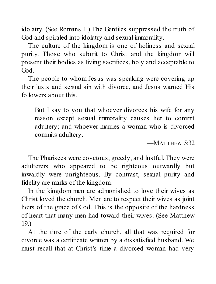idolatry. (See Romans 1.) The Gentiles suppressed the truth of God and spiraled into idolatry and sexual immorality.

The culture of the kingdom is one of holiness and sexual purity. Those who submit to Christ and the kingdom will present their bodies as living sacrifices, holy and acceptable to God.

The people to whom Jesus was speaking were covering up their lusts and sexual sin with divorce, and Jesus warned His followers about this.

But I say to you that whoever divorces his wife for any reason except sexual immorality causes her to commit adultery; and whoever marries a woman who is divorced commits adultery.

 $-MATTHEW$  5:32

The Pharisees were covetous, greedy, and lustful. They were adulterers who appeared to be righteous outwardly but inwardly were unrighteous. By contrast, sexual purity and fidelity are marks of the kingdom.

In the kingdom men are admonished to love their wives as Christ loved the church. Men are to respect their wives as joint heirs of the grace of God. This is the opposite of the hardness of heart that many men had toward their wives. (See Matthew 19.)

At the time of the early church, all that was required for divorce was a certificate written by a dissatisfied husband. We must recall that at Christ's time a divorced woman had very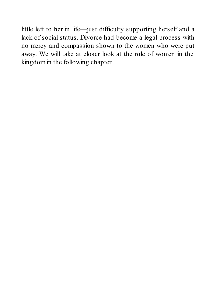little left to her in life—just difficulty supporting herself and a lack of social status. Divorce had become a legal process with no mercy and compassion shown to the women who were put away. We will take at closer look at the role of women in the kingdomin the following chapter.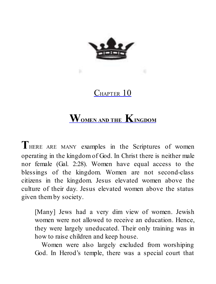

CHAPTER 10

# **WOMEN AND THE KINGDOM**

**T**HERE ARE MANY examples in the Scriptures of women operating in the kingdom of God. In Christ there is neither male nor female (Gal. 2:28). Women have equal access to the blessings of the kingdom. Women are not second-class citizens in the kingdom. Jesus elevated women above the culture of their day. Jesus elevated women above the status given themby society.

[Many] Jews had a very dim view of women. Jewish women were not allowed to receive an education. Hence, they were largely uneducated. Their only training was in how to raise children and keep house.

Women were also largely excluded from worshiping God. In Herod's temple, there was a special court that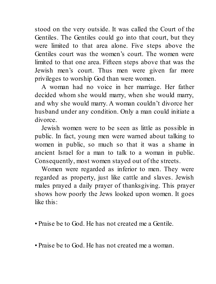stood on the very outside. It was called the Court of the Gentiles. The Gentiles could go into that court, but they were limited to that area alone. Five steps above the Gentiles court was the women's court. The women were limited to that one area. Fifteen steps above that was the Jewish men's court. Thus men were given far more privileges to worship God than were women.

A woman had no voice in her marriage. Her father decided whom she would marry, when she would marry, and why she would marry. A woman couldn't divorce her husband under any condition. Only a man could initiate a divorce.

Jewish women were to be seen as little as possible in public. In fact, young men were warned about talking to women in public, so much so that it was a shame in ancient Israel for a man to talk to a woman in public. Consequently, most women stayed out of the streets.

Women were regarded as inferior to men. They were regarded as property, just like cattle and slaves. Jewish males prayed a daily prayer of thanksgiving. This prayer shows how poorly the Jews looked upon women. It goes like this:

- Praise be to God. He has not created me a Gentile.
- Praise be to God. He has not created me a woman.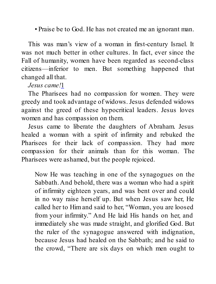• Praise be to God. He has not created me an ignorant man.

This was man's view of a woman in first-century Israel. It was not much better in other cultures. In fact, ever since the Fall of humanity, women have been regarded as second-class citizens—inferior to men. But something happened that changed all that.

*Jesus came!*1

The Pharisees had no compassion for women. They were greedy and took advantage of widows. Jesus defended widows against the greed of these hypocritical leaders. Jesus loves women and has compassion on them.

Jesus came to liberate the daughters of Abraham. Jesus healed a woman with a spirit of infirmity and rebuked the Pharisees for their lack of compassion. They had more compassion for their animals than for this woman. The Pharisees were ashamed, but the people rejoiced.

Now He was teaching in one of the synagogues on the Sabbath. And behold, there was a woman who had a spirit of infirmity eighteen years, and was bent over and could in no way raise herself up. But when Jesus saw her, He called her to Himand said to her, "Woman, you are loosed from your infirmity." And He laid His hands on her, and immediately she was made straight, and glorified God. But the ruler of the synagogue answered with indignation, because Jesus had healed on the Sabbath; and he said to the crowd, "There are six days on which men ought to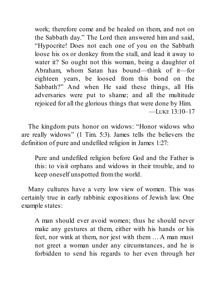work; therefore come and be healed on them, and not on the Sabbath day." The Lord then answered him and said, "Hypocrite! Does not each one of you on the Sabbath loose his ox or donkey from the stall, and lead it away to water it? So ought not this woman, being a daughter of Abraham, whom Satan has bound—think of it—for eighteen years, be loosed from this bond on the Sabbath?" And when He said these things, all His adversaries were put to shame; and all the multitude rejoiced for all the glorious things that were done by Him.  $-$ LUKE 13:10–17

The kingdom puts honor on widows: "Honor widows who are really widows" (1 Tim. 5:3). James tells the believers the definition of pure and undefiled religion in James 1:27:

Pure and undefiled religion before God and the Father is this: to visit orphans and widows in their trouble, and to keep oneself unspotted fromthe world.

Many cultures have a very low view of women. This was certainly true in early rabbinic expositions of Jewish law. One example states:

A man should ever avoid women; thus he should never make any gestures at them, either with his hands or his feet, nor wink at them, nor jest with them … A man must not greet a woman under any circumstances, and he is forbidden to send his regards to her even through her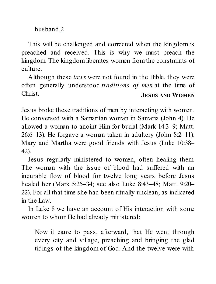### husband.2

This will be challenged and corrected when the kingdom is preached and received. This is why we must preach the kingdom. The kingdom liberates women from the constraints of culture.

Although these *laws* were not found in the Bible, they were often generally understood *traditions of men* at the time of Christ. **JESUS AND WOMEN**

Jesus broke these traditions of men by interacting with women. He conversed with a Samaritan woman in Samaria (John 4). He allowed a woman to anoint Him for burial (Mark 14:3–9; Matt. 26:6–13). He forgave a woman taken in adultery (John 8:2–11). Mary and Martha were good friends with Jesus (Luke 10:38– 42).

Jesus regularly ministered to women, often healing them. The woman with the issue of blood had suffered with an incurable flow of blood for twelve long years before Jesus healed her (Mark 5:25–34; see also Luke 8:43–48; Matt. 9:20– 22). For all that time she had been ritually unclean, as indicated in the Law.

In Luke 8 we have an account of His interaction with some women to whomHe had already ministered:

Now it came to pass, afterward, that He went through every city and village, preaching and bringing the glad tidings of the kingdom of God. And the twelve were with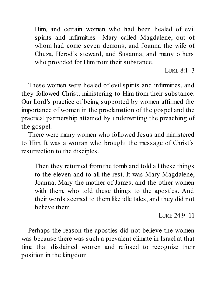Him, and certain women who had been healed of evil spirits and infirmities—Mary called Magdalene, out of whom had come seven demons, and Joanna the wife of Chuza, Herod's steward, and Susanna, and many others who provided for Him from their substance.

 $-$ LUKE 8:1-3

These women were healed of evil spirits and infirmities, and they followed Christ, ministering to Him from their substance. Our Lord's practice of being supported by women affirmed the importance of women in the proclamation of the gospel and the practical partnership attained by underwriting the preaching of the gospel.

There were many women who followed Jesus and ministered to Him. It was a woman who brought the message of Christ's resurrection to the disciples.

Then they returned fromthe tomb and told all these things to the eleven and to all the rest. It was Mary Magdalene, Joanna, Mary the mother of James, and the other women with them, who told these things to the anostles. And their words seemed to themlike idle tales, and they did not believe them.

—LUKE 24:9–11

Perhaps the reason the apostles did not believe the women was because there was such a prevalent climate in Israel at that time that disdained women and refused to recognize their position in the kingdom.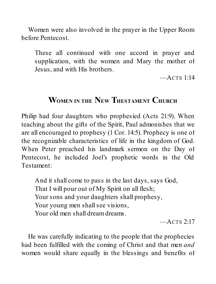Women were also involved in the prayer in the Upper Room before Pentecost.

These all continued with one accord in prayer and supplication, with the women and Mary the mother of Jesus, and with His brothers.

—ACTS 1:14

## **WOMEN IN THE NEW THESTAMENT CHURCH**

Philip had four daughters who prophesied (Acts 21:9). When teaching about the gifts of the Spirit, Paul admonishes that we are all encouraged to prophesy (1 Cor. 14:5). Prophecy is one of the recognizable characteristics of life in the kingdom of God. When Peter preached his landmark sermon on the Day of Pentecost, he included Joel's prophetic words in the Old Testament:

And it shall come to pass in the last days, says God, That I will pour out of My Spirit on all flesh; Your sons and your daughters shall prophesy, Your young men shall see visions, Your old men shall dreamdreams.

 $-ACTS$  2:17

He was carefully indicating to the people that the prophecies had been fulfilled with the coming of Christ and that men *and* women would share equally in the blessings and benefits of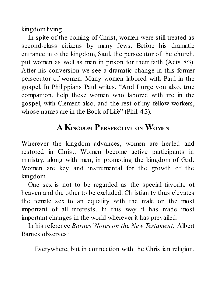kingdomliving.

In spite of the coming of Christ, women were still treated as second-class citizens by many Jews. Before his dramatic entrance into the kingdom, Saul, the persecutor of the church, put women as well as men in prison for their faith (Acts 8:3). After his conversion we see a dramatic change in this former persecutor of women. Many women labored with Paul in the gospel. In Philippians Paul writes, "And I urge you also, true companion, help these women who labored with me in the gospel, with Clement also, and the rest of my fellow workers, whose names are in the Book of Life" (Phil. 4:3).

## **A KINGDOM PERSPECTIVE ON WOMEN**

Wherever the kingdom advances, women are healed and restored in Christ. Women become active participants in ministry, along with men, in promoting the kingdom of God. Women are key and instrumental for the growth of the kingdom.

One sex is not to be regarded as the special favorite of heaven and the other to be excluded. Christianity thus elevates the female sex to an equality with the male on the most important of all interests. In this way it has made most important changes in the world wherever it has prevailed.

In his reference *Barnes'Notes on the New Testament,* Albert Barnes observes:

Everywhere, but in connection with the Christian religion,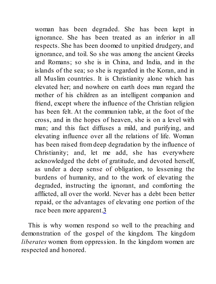woman has been degraded. She has been kept in ignorance. She has been treated as an inferior in all respects. She has been doomed to unpitied drudgery, and ignorance, and toil. So she was among the ancient Greeks and Romans; so she is in China, and India, and in the islands of the sea; so she is regarded in the Koran, and in all Muslim countries. It is Christianity alone which has elevated her; and nowhere on earth does man regard the mother of his children as an intelligent companion and friend, except where the influence of the Christian religion has been felt. At the communion table, at the foot of the cross, and in the hopes of heaven, she is on a level with man; and this fact diffuses a mild, and purifying, and elevating influence over all the relations of life. Woman has been raised from deep degradation by the influence of Christianity; and, let me add, she has everywhere acknowledged the debt of gratitude, and devoted herself, as under a deep sense of obligation, to lessening the burdens of humanity, and to the work of elevating the degraded, instructing the ignorant, and comforting the afflicted, all over the world. Never has a debt been better repaid, or the advantages of elevating one portion of the race been more apparent.3

This is why women respond so well to the preaching and demonstration of the gospel of the kingdom. The kingdom *liberates* women from oppression. In the kingdom women are respected and honored.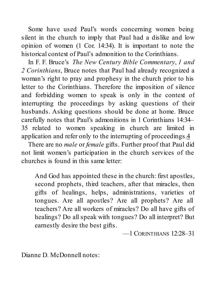Some have used Paul's words concerning women being silent in the church to imply that Paul had a dislike and low opinion of women (1 Cor. 14:34). It is important to note the historical context of Paul's admonition to the Corinthians.

In F. F. Bruce's *The New Century Bible Commentary*, *1 and 2 Corinthians*, Bruce notes that Paul had already recognized a woman's right to pray and prophesy in the church prior to his letter to the Corinthians. Therefore the imposition of silence and forbidding women to speak is only in the context of interrupting the proceedings by asking questions of their husbands. Asking questions should be done at home. Bruce carefully notes that Paul's admonitions in 1 Corinthians 14:34– 35 related to women speaking in church are limited in application and refer only to the interrupting of proceedings.4

There are no *male* or *female* gifts. Further proof that Paul did not limit women's participation in the church services of the churches is found in this same letter:

And God has appointed these in the church: first apostles, second prophets, third teachers, after that miracles, then gifts of healings, helps, administrations, varieties of tongues. Are all apostles? Are all prophets? Are all teachers? Are all workers of miracles? Do all have gifts of healings? Do all speak with tongues? Do all interpret? But earnestly desire the best gifts.

—1 CORINTHIANS 12:28–31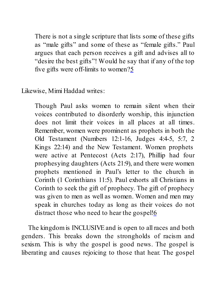There is not a single scripture that lists some of these gifts as "male gifts" and some of these as "female gifts." Paul argues that each person receives a gift and advises all to "desire the best gifts"! Would he say that if any of the top five gifts were off-limits to women?5

### Likewise, Mimi Haddad writes:

Though Paul asks women to remain silent when their voices contributed to disorderly worship, this injunction does not limit their voices in all places at all times. Remember, women were prominent as prophets in both the Old Testament (Numbers 12:1-16, Judges 4:4-5, 5:7, 2 Kings 22:14) and the New Testament. Women prophets were active at Pentecost (Acts 2:17), Phillip had four prophesying daughters (Acts 21:9), and there were women prophets mentioned in Paul's letter to the church in Corinth (1 Corinthians 11:5). Paul exhorts all Christians in Corinth to seek the gift of prophecy. The gift of prophecy was given to men as well as women. Women and men may speak in churches today as long as their voices do not distract those who need to hear the gospel!6

The kingdomis INCLUSIVE and is open to all races and both genders. This breaks down the strongholds of racism and sexism. This is why the gospel is good news. The gospel is liberating and causes rejoicing to those that hear. The gospel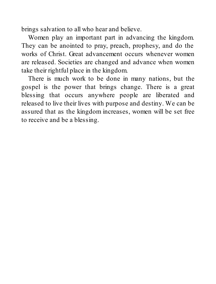brings salvation to all who hear and believe.

Women play an important part in advancing the kingdom. They can be anointed to pray, preach, prophesy, and do the works of Christ. Great advancement occurs whenever women are released. Societies are changed and advance when women take their rightful place in the kingdom.

There is much work to be done in many nations, but the gospel is the power that brings change. There is a great blessing that occurs anywhere people are liberated and released to live their lives with purpose and destiny. We can be assured that as the kingdom increases, women will be set free to receive and be a blessing.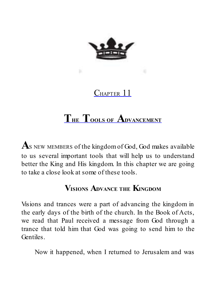

CHAPTER 11

# **THE TOOLS OF ADVANCEMENT**

**A**<sup>S</sup> NEW MEMBERS of the kingdomof God, God makes available to us several important tools that will help us to understand better the King and His kingdom. In this chapter we are going to take a close look at some of these tools.

## **VISIONS ADVANCE THE KINGDOM**

Visions and trances were a part of advancing the kingdom in the early days of the birth of the church. In the Book of Acts, we read that Paul received a message from God through a trance that told him that God was going to send him to the Gentiles.

Now it happened, when I returned to Jerusalem and was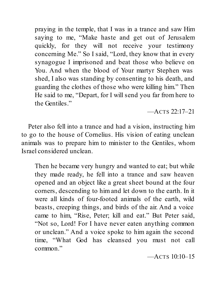praying in the temple, that I was in a trance and saw Him saying to me, "Make haste and get out of Jerusalem quickly, for they will not receive your testimony concerning Me." So I said, "Lord, they know that in every synagogue I imprisoned and beat those who believe on You. And when the blood of Your martyr Stephen was shed, I also was standing by consenting to his death, and guarding the clothes of those who were killing him." Then He said to me, "Depart, for I will send you far from here to the Gentiles."

 $-$ ACTS  $22.17-21$ 

Peter also fell into a trance and had a vision, instructing him to go to the house of Cornelius. His vision of eating unclean animals was to prepare him to minister to the Gentiles, whom Israel considered unclean.

Then he became very hungry and wanted to eat; but while they made ready, he fell into a trance and saw heaven opened and an object like a great sheet bound at the four corners, descending to him and let down to the earth. In it were all kinds of four-footed animals of the earth, wild beasts, creeping things, and birds of the air. And a voice came to him, "Rise, Peter; kill and eat." But Peter said, "Not so, Lord! For I have never eaten anything common or unclean." And a voice spoke to him again the second time, "What God has cleansed you must not call common."

 $-$ ACTS 10:10-15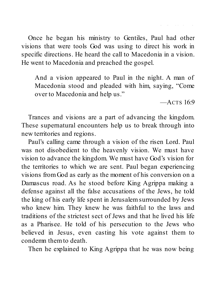Once he began his ministry to Gentiles, Paul had other visions that were tools God was using to direct his work in specific directions. He heard the call to Macedonia in a vision. He went to Macedonia and preached the gospel.

And a vision appeared to Paul in the night. A man of Macedonia stood and pleaded with him, saying, "Come over to Macedonia and help us."

—ACTS 16:9

Trances and visions are a part of advancing the kingdom. These supernatural encounters help us to break through into new territories and regions.

Paul's calling came through a vision of the risen Lord. Paul was not disobedient to the heavenly vision. We must have vision to advance the kingdom. We must have God's vision for the territories to which we are sent. Paul began experiencing visions fromGod as early as the moment of his conversion on a Damascus road. As he stood before King Agrippa making a defense against all the false accusations of the Jews, he told the king of his early life spent in Jerusalemsurrounded by Jews who knew him. They knew he was faithful to the laws and traditions of the strictest sect of Jews and that he lived his life as a Pharisee. He told of his persecution to the Jews who believed in Jesus, even casting his vote against them to condemn themto death.

Then he explained to King Agrippa that he was now being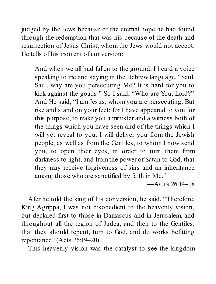judged by the Jews because of the eternal hope he had found through the redemption that was his because of the death and resurrection of Jesus Christ, whom the Jews would not accept. He tells of his moment of conversion:

And when we all had fallen to the ground, I heard a voice speaking to me and saying in the Hebrew language, "Saul, Saul, why are you persecuting Me? It is hard for you to kick against the goads." So I said, "Who are You, Lord?" And He said, "I am Jesus, whom you are persecuting. But rise and stand on your feet; for I have appeared to you for this purpose, to make you a minister and a witness both of the things which you have seen and of the things which I will yet reveal to you. I will deliver you from the Jewish people, as well as from the Gentiles, to whom I now send you, to open their eyes, in order to turn them from darkness to light, and fromthe power of Satan to God, that they may receive forgiveness of sins and an inheritance among those who are sanctified by faith in Me."

 $-$ ACTS 26:14–18

Afer he told the king of his conversion, he said, "Therefore, King Agrippa, I was not disobedient to the heavenly vision, but declared first to those in Damascus and in Jerusalem, and throughout all the region of Judea, and then to the Gentiles, that they should repent, turn to God, and do works befitting repentance" (Acts 26:19–20).

This heavenly vision was the catalyst to see the kingdom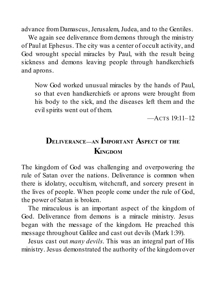advance fromDamascus, Jerusalem, Judea, and to the Gentiles.

We again see deliverance from demons through the ministry of Paul at Ephesus. The city was a center of occult activity, and God wrought special miracles by Paul, with the result being sickness and demons leaving people through handkerchiefs and aprons.

Now God worked unusual miracles by the hands of Paul, so that even handkerchiefs or aprons were brought from his body to the sick, and the diseases left them and the evilspirits went out of them.

 $-$ ACTS 19:11–12

## **DELIVERANCE—AN IMPORTANT ASPECT OF THE KINGDOM**

The kingdom of God was challenging and overpowering the rule of Satan over the nations. Deliverance is common when there is idolatry, occultism, witchcraft, and sorcery present in the lives of people. When people come under the rule of God, the power of Satan is broken.

The miraculous is an important aspect of the kingdom of God. Deliverance from demons is a miracle ministry. Jesus began with the message of the kingdom. He preached this message throughout Galilee and cast out devils (Mark 1:39).

Jesus cast out *many devils*. This was an integral part of His ministry. Jesus demonstrated the authority of the kingdomover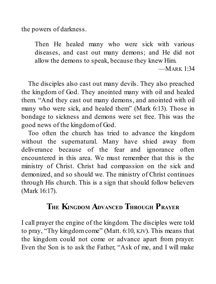the powers of darkness.

Then He healed many who were sick with various diseases, and cast out many demons; and He did not allow the demons to speak, because they knew Him.

—MARK 1:34

The disciples also cast out many devils. They also preached the kingdom of God. They anointed many with oil and healed them. "And they cast out many demons, and anointed with oil many who were sick, and healed them" (Mark 6:13). Those in bondage to sickness and demons were set free. This was the good news of the kingdomof God.

Too often the church has tried to advance the kingdom without the supernatural. Many have shied away from deliverance because of the fear and ignorance often encountered in this area. We must remember that this is the ministry of Christ. Christ had compassion on the sick and demonized, and so should we. The ministry of Christ continues through His church. This is a sign that should follow believers (Mark 16:17).

## **THE KINGDOM ADVANCED THROUGH PRAYER**

I call prayer the engine of the kingdom. The disciples were told to pray, "Thy kingdomcome" (Matt. 6:10, KJV). This means that the kingdom could not come or advance apart from prayer. Even the Son is to ask the Father, "Ask of me, and I will make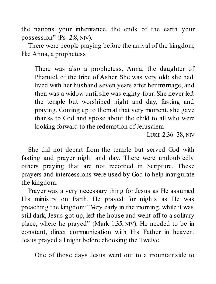the nations your inheritance, the ends of the earth your possession" (Ps. 2:8, NIV).

There were people praying before the arrival of the kingdom, like Anna, a prophetess.

There was also a prophetess, Anna, the daughter of Phanuel, of the tribe of Asher. She was very old; she had lived with her husband seven years after her marriage, and then was a widow untilshe was eighty-four. She never left the temple but worshiped night and day, fasting and praying. Coming up to themat that very moment, she gave thanks to God and spoke about the child to all who were looking forward to the redemption of Jerusalem.

—LUKE 2:36–38, NIV

She did not depart from the temple but served God with fasting and prayer night and day. There were undoubtedly others praying that are not recorded in Scripture. These prayers and intercessions were used by God to help inaugurate the kingdom.

Prayer was a very necessary thing for Jesus as He assumed His ministry on Earth. He prayed for nights as He was preaching the kingdom: "Very early in the morning, while it was still dark, Jesus got up, left the house and went off to a solitary place, where he prayed" (Mark 1:35, NIV). He needed to be in constant, direct communication with His Father in heaven. Jesus prayed all night before choosing the Twelve.

One of those days Jesus went out to a mountainside to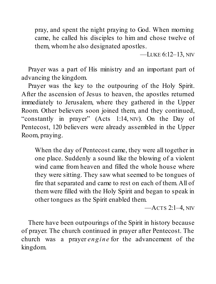pray, and spent the night praying to God. When morning came, he called his disciples to him and chose twelve of them, whom he also designated apostles.

—LUKE 6:12–13, NIV

Prayer was a part of His ministry and an important part of advancing the kingdom.

Prayer was the key to the outpouring of the Holy Spirit. After the ascension of Jesus to heaven, the apostles returned immediately to Jerusalem, where they gathered in the Upper Room. Other believers soon joined them, and they continued, "constantly in prayer" (Acts 1:14, NIV). On the Day of Pentecost, 120 believers were already assembled in the Upper Room, praying.

When the day of Pentecost came, they were all together in one place. Suddenly a sound like the blowing of a violent wind came from heaven and filled the whole house where they were sitting. They saw what seemed to be tongues of fire that separated and came to rest on each of them.All of them were filled with the Holy Spirit and began to speak in other tongues as the Spirit enabled them.—ACTS 2:1–4, NIV

There have been outpourings of the Spirit in history because of prayer. The church continued in prayer after Pentecost. The church was a prayer *engine* for the advancement of the kingdom.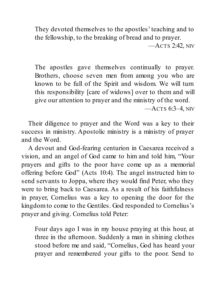They devoted themselves to the apostles'teaching and to the fellowship, to the breaking of bread and to prayer. —ACTS 2:42, NIV

The apostles gave themselves continually to prayer. Brothers, choose seven men from among you who are known to be full of the Spirit and wisdom. We will turn this responsibility [care of widows] over to them and will give our attention to prayer and the ministry of the word.

—ACTS 6:3–4, NIV

Their diligence to prayer and the Word was a key to their success in ministry. Apostolic ministry is a ministry of prayer and the Word.

A devout and God-fearing centurion in Caesarea received a vision, and an angel of God came to him and told him, "Your prayers and gifts to the poor have come up as a memorial offering before God" (Acts 10:4). The angel instructed him to send servants to Joppa, where they would find Peter, who they were to bring back to Caesarea. As a result of his faithfulness in prayer, Cornelius was a key to opening the door for the kingdomto come to the Gentiles. God responded to Cornelius's prayer and giving. Cornelius told Peter:

Four days ago I was in my house praying at this hour, at three in the afternoon. Suddenly a man in shining clothes stood before me and said, "Cornelius, God has heard your prayer and remembered your gifts to the poor. Send to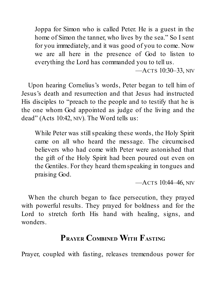Joppa for Simon who is called Peter. He is a guest in the home of Simon the tanner, who lives by the sea." So I sent for you immediately, and it was good of you to come. Now we are all here in the presence of God to listen to everything the Lord has commanded you to tell us.

—ACTS 10:30–33, NIV

Upon hearing Cornelius's words, Peter began to tell him of Jesus's death and resurrection and that Jesus had instructed His disciples to "preach to the people and to testify that he is the one whom God appointed as judge of the living and the dead" (Acts 10:42, NIV). The Word tells us:

While Peter was still speaking these words, the Holy Spirit came on all who heard the message. The circumcised believers who had come with Peter were astonished that the gift of the Holy Spirit had been poured out even on the Gentiles. For they heard themspeaking in tongues and praising God.

—ACTS 10:44–46, NIV

When the church began to face persecution, they prayed with powerful results. They prayed for boldness and for the Lord to stretch forth His hand with healing, signs, and wonders.

## **PRAYER COMBINED WITH FASTING**

Prayer, coupled with fasting, releases tremendous power for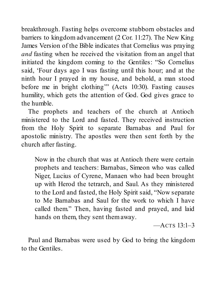breakthrough. Fasting helps overcome stubborn obstacles and barriers to kingdom advancement (2 Cor. 11:27). The New King James Version of the Bible indicates that Cornelius was praying *and* fasting when he received the visitation from an angel that initiated the kingdom coming to the Gentiles: "So Cornelius said, 'Four days ago I was fasting until this hour; and at the ninth hour I prayed in my house, and behold, a man stood before me in bright clothing'" (Acts 10:30). Fasting causes humility, which gets the attention of God. God gives grace to the humble.

The prophets and teachers of the church at Antioch ministered to the Lord and fasted. They received instruction from the Holy Spirit to separate Barnabas and Paul for apostolic ministry. The apostles were then sent forth by the church after fasting.

Now in the church that was at Antioch there were certain prophets and teachers: Barnabas, Simeon who was called Niger, Lucius of Cyrene, Manaen who had been brought up with Herod the tetrarch, and Saul. As they ministered to the Lord and fasted, the Holy Spirit said, "Now separate to Me Barnabas and Saul for the work to which I have called them." Then, having fasted and prayed, and laid hands on them, they sent themaway.

 $-$ ACTS 13:1–3

Paul and Barnabas were used by God to bring the kingdom to the Gentiles.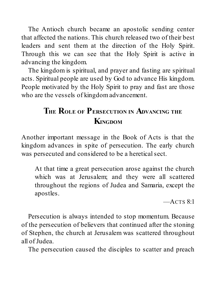The Antioch church became an apostolic sending center that affected the nations. This church released two of their best leaders and sent them at the direction of the Holy Spirit. Through this we can see that the Holy Spirit is active in advancing the kingdom.

The kingdom is spiritual, and prayer and fasting are spiritual acts. Spiritual people are used by God to advance His kingdom. People motivated by the Holy Spirit to pray and fast are those who are the vessels of kingdomadvancement.

## **THE ROLE OF PERSECUTION IN ADVANCING THE KINGDOM**

Another important message in the Book of Acts is that the kingdom advances in spite of persecution. The early church was persecuted and considered to be a heretical sect.

At that time a great persecution arose against the church which was at Jerusalem; and they were all scattered throughout the regions of Judea and Samaria, except the apostles

 $-$ ACTS 8:1

Persecution is always intended to stop momentum. Because of the persecution of believers that continued after the stoning of Stephen, the church at Jerusalem was scattered throughout all of Judea.

The persecution caused the disciples to scatter and preach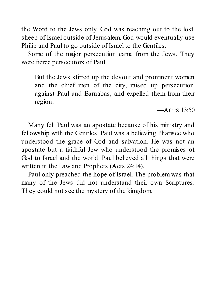the Word to the Jews only. God was reaching out to the lost sheep of Israel outside of Jerusalem. God would eventually use Philip and Paul to go outside of Israel to the Gentiles.

Some of the major persecution came from the Jews. They were fierce persecutors of Paul.

But the Jews stirred up the devout and prominent women and the chief men of the city, raised up persecution against Paul and Barnabas, and expelled them from their region.

—ACTS 13:50

Many felt Paul was an apostate because of his ministry and fellowship with the Gentiles. Paul was a believing Pharisee who understood the grace of God and salvation. He was not an apostate but a faithful Jew who understood the promises of God to Israel and the world. Paul believed all things that were written in the Law and Prophets (Acts 24:14).

Paul only preached the hope of Israel. The problem was that many of the Jews did not understand their own Scriptures. They could not see the mystery of the kingdom.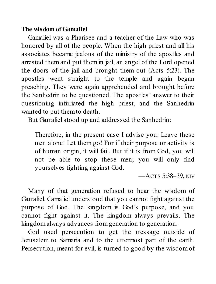#### **The wisdom of Gamaliel**

Gamaliel was a Pharisee and a teacher of the Law who was honored by all of the people. When the high priest and all his associates became jealous of the ministry of the apostles and arrested them and put them in jail, an angel of the Lord opened the doors of the jail and brought them out (Acts 5:23). The apostles went straight to the temple and again began preaching. They were again apprehended and brought before the Sanhedrin to be questioned. The apostles' answer to their questioning infuriated the high priest, and the Sanhedrin wanted to put themto death.

But Gamaliel stood up and addressed the Sanhedrin:

Therefore, in the present case I advise you: Leave these men alone! Let them go! For if their purpose or activity is of human origin, it will fail. But if it is from God, you will not be able to stop these men; you will only find yourselves fighting against God.

—ACTS 5:38–39, NIV

Many of that generation refused to hear the wisdom of Gamaliel. Gamaliel understood that you cannot fight against the purpose of God. The kingdom is God's purpose, and you cannot fight against it. The kingdom always prevails. The kingdom always advances from generation to generation.

God used persecution to get the message outside of Jerusalem to Samaria and to the uttermost part of the earth. Persecution, meant for evil, is turned to good by the wisdom of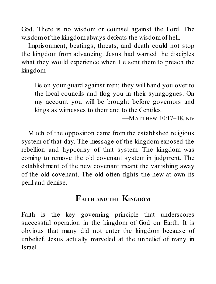God. There is no wisdom or counsel against the Lord. The wisdomof the kingdomalways defeats the wisdomof hell.

Imprisonment, beatings, threats, and death could not stop the kingdom from advancing. Jesus had warned the disciples what they would experience when He sent them to preach the kingdom.

Be on your guard against men; they will hand you over to the local councils and flog you in their synagogues. On my account you will be brought before governors and kings as witnesses to themand to the Gentiles.

—MATTHEW 10:17–18, NIV

Much of the opposition came from the established religious system of that day. The message of the kingdom exposed the rebellion and hypocrisy of that system. The kingdom was coming to remove the old covenant system in judgment. The establishment of the new covenant meant the vanishing away of the old covenant. The old often fights the new at own its peril and demise.

#### **FAITH AND THE KINGDOM**

Faith is the key governing principle that underscores successful operation in the kingdom of God on Earth. It is obvious that many did not enter the kingdom because of unbelief. Jesus actually marveled at the unbelief of many in Israel.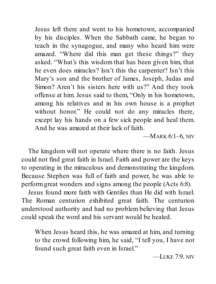Jesus left there and went to his hometown, accompanied by his disciples. When the Sabbath came, he began to teach in the synagogue, and many who heard him were amazed. "Where did this man get these things?" they asked. "What's this wisdom that has been given him, that he even does miracles? Isn't this the carpenter? Isn't this Mary's son and the brother of James, Joseph, Judas and Simon? Aren't his sisters here with us?" And they took offense at him. Jesus said to them, "Only in his hometown, among his relatives and in his own house is a prophet without honor." He could not do any miracles there, except lay his hands on a few sick people and heal them. And he was amazed at their lack of faith.<br>—MARK  $6:1-6$ , NIV

The kingdom will not operate where there is no faith. Jesus could not find great faith in Israel. Faith and power are the keys to operating in the miraculous and demonstrating the kingdom. Because Stephen was full of faith and power, he was able to perform great wonders and signs among the people (Acts 6:8).

Jesus found more faith with Gentiles than He did with Israel. The Roman centurion exhibited great faith. The centurion understood authority and had no problem believing that Jesus could speak the word and his servant would be healed.

When Jesus heard this, he was amazed at him, and turning to the crowd following him, he said, "I tell you, I have not found such great faith even in Israel."

 $-I$  LIKE 7:9 NIV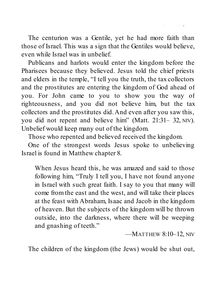The centurion was a Gentile, yet he had more faith than those of Israel. This was a sign that the Gentiles would believe, even while Israel was in unbelief.

Publicans and harlots would enter the kingdom before the Pharisees because they believed. Jesus told the chief priests and elders in the temple, "I tell you the truth, the tax collectors and the prostitutes are entering the kingdom of God ahead of you. For John came to you to show you the way of righteousness, and you did not believe him, but the tax collectors and the prostitutes did.And even after you saw this, you did not repent and believe him" (Matt. 21:31– 32, NIV). Unbelief would keep many out of the kingdom.

Those who repented and believed received the kingdom.

One of the strongest words Jesus spoke to unbelieving Israel is found in Matthew chapter 8.

When Jesus heard this, he was amazed and said to those following him, "Truly I tell you, I have not found anyone in Israel with such great faith. I say to you that many will come from the east and the west, and will take their places at the feast with Abraham, Isaac and Jacob in the kingdom of heaven. But the subjects of the kingdom will be thrown outside, into the darkness, where there will be weeping and gnashing of teeth."

—MATTHEW 8:10–12, NIV

 $\mathcal{L}=\mathcal{L}=\mathcal{L}+\mathcal{L}$ 

The children of the kingdom (the Jews) would be shut out,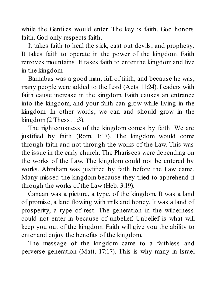while the Gentiles would enter. The key is faith. God honors faith. God only respects faith.

It takes faith to heal the sick, cast out devils, and prophesy. It takes faith to operate in the power of the kingdom. Faith removes mountains. It takes faith to enter the kingdom and live in the kingdom.

Barnabas was a good man, full of faith, and because he was, many people were added to the Lord (Acts 11:24). Leaders with faith cause increase in the kingdom. Faith causes an entrance into the kingdom, and your faith can grow while living in the kingdom. In other words, we can and should grow in the kingdom(2 Thess. 1:3).

The righteousness of the kingdom comes by faith. We are justified by faith (Rom. 1:17). The kingdom would come through faith and not through the works of the Law. This was the issue in the early church. The Pharisees were depending on the works of the Law. The kingdom could not be entered by works. Abraham was justified by faith before the Law came. Many missed the kingdom because they tried to apprehend it through the works of the Law (Heb. 3:19).

Canaan was a picture, a type, of the kingdom. It was a land of promise, a land flowing with milk and honey. It was a land of prosperity, a type of rest. The generation in the wilderness could not enter in because of unbelief. Unbelief is what will keep you out of the kingdom. Faith will give you the ability to enter and enjoy the benefits of the kingdom.

The message of the kingdom came to a faithless and perverse generation (Matt. 17:17). This is why many in Israel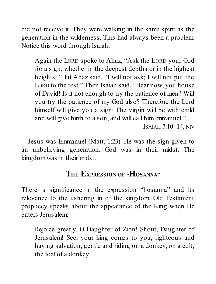did not receive it. They were walking in the same spirit as the generation in the wilderness. This had always been a problem. Notice this word through Isaiah:

Again the LORD spoke to Ahaz, "Ask the LORD your God for a sign, whether in the deepest depths or in the highest heights." But Ahaz said, "I will not ask; I will not put the LORD to the test." Then Isaiah said, "Hear now, you house of David! Is it not enough to try the patience of men? Will you try the patience of my God also? Therefore the Lord himself will give you a sign: The virgin will be with child and will give birth to a son, and will call himImmanuel."

—ISAIAH 7:10–14, NIV

Jesus was Emmanuel (Matt. 1:23). He was the sign given to an unbelieving generation. God was in their midst. The kingdomwas in their midst.

### **THE EXPRESSION OF "HOSANNA"**

There is significance in the expression "hosanna" and its relevance to the ushering in of the kingdom. Old Testament prophecy speaks about the appearance of the King when He enters Jerusalem:

Rejoice greatly, O Daughter of Zion! Shout, Daughter of Jerusalem! See, your king comes to you, righteous and having salvation, gentle and riding on a donkey, on a colt, the foal of a donkey.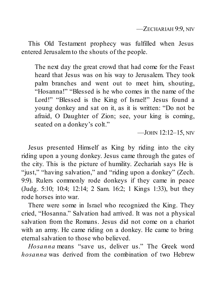This Old Testament prophecy was fulfilled when Jesus entered Jerusalemto the shouts of the people.

The next day the great crowd that had come for the Feast heard that Jesus was on his way to Jerusalem. They took palm branches and went out to meet him, shouting, "Hosanna!" "Blessed is he who comes in the name of the Lord!" "Blessed is the King of Israel!" Jesus found a young donkey and sat on it, as it is written: "Do not be afraid, O Daughter of Zion; see, your king is coming, seated on a donkey's colt."

—JOHN 12:12–15, NIV

Jesus presented Himself as King by riding into the city riding upon a young donkey. Jesus came through the gates of the city. This is the picture of humility. Zechariah says He is "just." "having salvation," and "riding upon a donkey" (Zech. 9:9). Rulers commonly rode donkeys if they came in peace (Judg. 5:10; 10:4; 12:14; 2 Sam. 16:2; 1 Kings 1:33), but they rode horses into war.

There were some in Israel who recognized the King. They cried, "Hosanna." Salvation had arrived. It was not a physical salvation from the Romans. Jesus did not come on a chariot with an army. He came riding on a donkey. He came to bring eternalsalvation to those who believed.

*Hosanna* means "save us, deliver us." The Greek word *hosanna* was derived from the combination of two Hebrew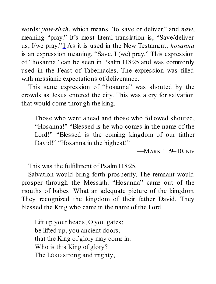words: *yaw-shah*, which means "to save or deliver," and *naw*, meaning "pray." It's most literal translation is, "Save/deliver us, I/we pray."1 As it is used in the New Testament, *hosanna* is an expression meaning, "Save, I (we) pray." This expression of "hosanna" can be seen in Psalm 118:25 and was commonly used in the Feast of Tabernacles. The expression was filled with messianic expectations of deliverance.

This same expression of "hosanna" was shouted by the crowds as Jesus entered the city. This was a cry for salvation that would come through the king.

Those who went ahead and those who followed shouted, "Hosanna!" "Blessed is he who comes in the name of the Lord!" "Blessed is the coming kingdom of our father David!" "Hosanna in the highest!"

—MARK 11:9–10, NIV

This was the fulfillment of Psalm118:25.

Salvation would bring forth prosperity. The remnant would prosper through the Messiah. "Hosanna" came out of the mouths of babes. What an adequate picture of the kingdom. They recognized the kingdom of their father David. They blessed the King who came in the name of the Lord.

Lift up your heads, O you gates; be lifted up, you ancient doors, that the King of glory may come in. Who is this King of glory? The LORD strong and mighty,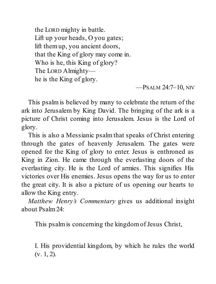the LORD mighty in battle. Lift up your heads, O you gates: lift themup, you ancient doors, that the King of glory may come in. Who is he, this King of glory? The LORD Almighty he is the King of glory.

—PSALM 24:7–10, NIV

This psalm is believed by many to celebrate the return of the ark into Jerusalem by King David. The bringing of the ark is a picture of Christ coming into Jerusalem. Jesus is the Lord of glory.

This is also a Messianic psalm that speaks of Christ entering through the gates of heavenly Jerusalem. The gates were opened for the King of glory to enter. Jesus is enthroned as King in Zion. He came through the everlasting doors of the everlasting city. He is the Lord of armies. This signifies His victories over His enemies. Jesus opens the way for us to enter the great city. It is also a picture of us opening our hearts to allow the King entry.

*Matthew Henry's Commentary* gives us additional insight about Psalm24:

This psalmis concerning the kingdomof Jesus Christ,

I. His providential kingdom, by which he rules the world (v. 1, 2).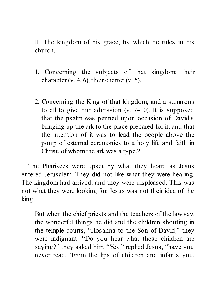II. The kingdom of his grace, by which he rules in his church.

- 1. Concerning the subjects of that kingdom; their character (v. 4, 6), their charter (v. 5).
- 2. Concerning the King of that kingdom; and a summons to all to give him admission  $(v. 7-10)$ . It is supposed that the psalm was penned upon occasion of David's bringing up the ark to the place prepared for it, and that the intention of it was to lead the people above the pomp of external ceremonies to a holy life and faith in Christ, of whomthe ark was a type.2

The Pharisees were upset by what they heard as Jesus entered Jerusalem. They did not like what they were hearing. The kingdom had arrived, and they were displeased. This was not what they were looking for. Jesus was not their idea of the king.

But when the chief priests and the teachers of the law saw the wonderful things he did and the children shouting in the temple courts, "Hosanna to the Son of David," they were indignant. "Do you hear what these children are saying?" they asked him. "Yes," replied Jesus, "have you never read, 'From the lips of children and infants you,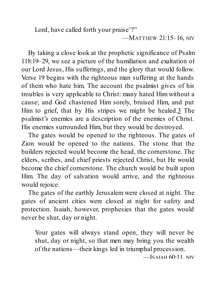Lord, have called forth your praise'?"

—MATTHEW 21:15–16, NIV

By taking a close look at the prophetic significance of Psalm 118:19–29, we see a picture of the humiliation and exaltation of our Lord Jesus, His sufferings, and the glory that would follow. Verse 19 begins with the righteous man suffering at the hands of them who hate him. The account the psalmist gives of his troubles is very applicable to Christ: many hated Him without a cause; and God chastened Him sorely, bruised Him, and put Him to grief, that by His stripes we might be healed.3 The psalmist's enemies are a description of the enemies of Christ. His enemies surrounded Him, but they would be destroyed.

The gates would be opened to the righteous. The gates of Zion would be opened to the nations. The stone that the builders rejected would become the head, the cornerstone. The elders, scribes, and chief priests rejected Christ, but He would become the chief cornerstone. The church would be built upon Him. The day of salvation would arrive, and the righteous would rejoice.

The gates of the earthly Jerusalem were closed at night. The gates of ancient cities were closed at night for safety and protection. Isaiah, however, prophesies that the gates would never be shut, day or night.

Your gates will always stand open, they will never be shut, day or night, so that men may bring you the wealth of the nations—their kings led in triumphal procession. —ISAIAH 60:11, NIV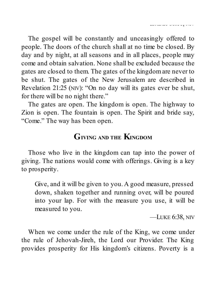—ISAIAH 60:11, NIV

The gospel will be constantly and unceasingly offered to people. The doors of the church shall at no time be closed. By day and by night, at all seasons and in all places, people may come and obtain salvation. None shall be excluded because the gates are closed to them. The gates of the kingdomare never to be shut. The gates of the New Jerusalem are described in Revelation 21:25 (NIV): "On no day will its gates ever be shut, for there will be no night there."

The gates are open. The kingdom is open. The highway to Zion is open. The fountain is open. The Spirit and bride say, "Come." The way has been open.

#### **GIVING AND THE KINGDOM**

Those who live in the kingdom can tap into the power of giving. The nations would come with offerings. Giving is a key to prosperity.

Give, and it will be given to you.A good measure, pressed down, shaken together and running over, will be poured into your lap. For with the measure you use, it will be measured to you.

—LUKE 6:38, NIV

When we come under the rule of the King, we come under the rule of Jehovah-Jireh, the Lord our Provider. The King provides prosperity for His kingdom's citizens. Poverty is a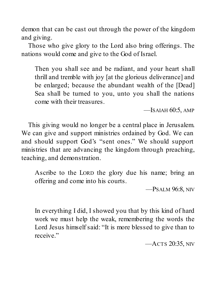demon that can be cast out through the power of the kingdom and giving.

Those who give glory to the Lord also bring offerings. The nations would come and give to the God of Israel.

Then you shall see and be radiant, and your heart shall thrill and tremble with joy [at the glorious deliverance] and be enlarged; because the abundant wealth of the [Dead] Sea shall be turned to you, unto you shall the nations come with their treasures.

—ISAIAH 60:5, AMP

This giving would no longer be a central place in Jerusalem. We can give and support ministries ordained by God. We can and should support God's "sent ones." We should support ministries that are advancing the kingdom through preaching, teaching, and demonstration.

Ascribe to the LORD the glory due his name; bring an offering and come into his courts.

—PSALM 96:8, NIV

In everything I did, I showed you that by this kind of hard work we must help the weak, remembering the words the Lord Jesus himself said: "It is more blessed to give than to receive."

—ACTS 20:35, NIV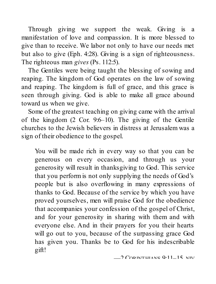Through giving we support the weak. Giving is a manifestation of love and compassion. It is more blessed to give than to receive. We labor not only to have our needs met but also to give (Eph. 4:28). Giving is a sign of righteousness. The righteous man *gives* (Ps. 112:5).

The Gentiles were being taught the blessing of sowing and reaping. The kingdom of God operates on the law of sowing and reaping. The kingdom is full of grace, and this grace is seen through giving. God is able to make all grace abound toward us when we give.

Some of the greatest teaching on giving came with the arrival of the kingdom (2 Cor. 9:6–10). The giving of the Gentile churches to the Jewish believers in distress at Jerusalem was a sign of their obedience to the gospel.

You will be made rich in every way so that you can be generous on every occasion, and through us your generosity will result in thanksgiving to God. This service that you performis not only supplying the needs of God's people but is also overflowing in many expressions of thanks to God. Because of the service by which you have proved yourselves, men will praise God for the obedience that accompanies your confession of the gospel of Christ, and for your generosity in sharing with them and with everyone else. And in their prayers for you their hearts will go out to you, because of the surpassing grace God has given you. Thanks be to God for his indescribable gift!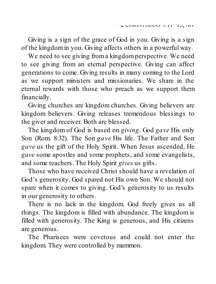Giving is a sign of the grace of God in you. Giving is a sign of the kingdomin you. Giving affects others in a powerful way.

We need to see giving froma kingdomperspective. We need to see giving from an eternal perspective. Giving can affect generations to come. Giving results in many coming to the Lord as we support ministers and missionaries. We share in the eternal rewards with those who preach as we support them financially.

Giving churches are kingdom churches. Giving believers are kingdom believers. Giving releases tremendous blessings to the giver and receiver. Both are blessed.

The kingdom of God is based on *giving*. God *gave* His only Son (Rom. 8:32). The Son *gave* His life. The Father and Son *gave* us the gift of the Holy Spirit. When Jesus ascended, He *gave* some apostles and some prophets, and some evangelists, and some teachers. The Holy Spirit *gives* us gifts.

Those who have received Christ should have a revelation of God's generosity. God spared not His own Son. We should not spare when it comes to giving. God's generosity to us results in our generosity to others.

There is no lack in the kingdom. God freely gives us all things. The kingdom is filled with abundance. The kingdom is filled with generosity. The King is generous, and His citizens are generous.

The Pharisees were covetous and could not enter the kingdom. They were controlled by mammon.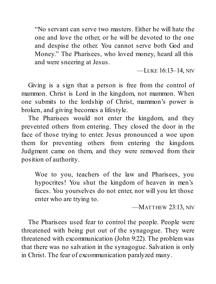"No servant can serve two masters. Either he will hate the one and love the other, or he will be devoted to the one and despise the other. You cannot serve both God and Money." The Pharisees, who loved money, heard all this and were sneering at Jesus.

—LUKE 16:13–14, NIV

Giving is a sign that a person is free from the control of mammon. Christ is Lord in the kingdom, not mammon. When one submits to the lordship of Christ, mammon's power is broken, and giving becomes a lifestyle.

The Pharisees would not enter the kingdom, and they prevented others from entering. They closed the door in the face of those trying to enter. Jesus pronounced a woe upon them for preventing others from entering the kingdom. Judgment came on them, and they were removed from their position of authority.

Woe to you, teachers of the law and Pharisees, you hypocrites! You shut the kingdom of heaven in men's faces. You yourselves do not enter, nor will you let those enter who are trying to.

—MATTHEW 23:13, NIV

The Pharisees used fear to control the people. People were threatened with being put out of the synagogue. They were threatened with excommunication (John 9:22). The problem was that there was no salvation in the synagogue. Salvation is only in Christ. The fear of excommunication paralyzed many.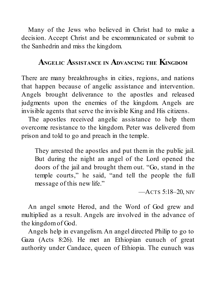Many of the Jews who believed in Christ had to make a decision. Accept Christ and be excommunicated or submit to the Sanhedrin and miss the kingdom.

#### **ANGELIC ASSISTANCE IN ADVANCING THE KINGDOM**

There are many breakthroughs in cities, regions, and nations that happen because of angelic assistance and intervention. Angels brought deliverance to the apostles and released judgments upon the enemies of the kingdom. Angels are invisible agents that serve the invisible King and His citizens.

The apostles received angelic assistance to help them overcome resistance to the kingdom. Peter was delivered from prison and told to go and preach in the temple.

They arrested the apostles and put them in the public jail. But during the night an angel of the Lord opened the doors of the jail and brought them out. "Go, stand in the temple courts," he said, "and tell the people the full message of this new life."

—ACTS 5:18–20, NIV

An angel smote Herod, and the Word of God grew and multiplied as a result. Angels are involved in the advance of the kingdomof God.

Angels help in evangelism. An angel directed Philip to go to Gaza (Acts 8:26). He met an Ethiopian eunuch of great authority under Candace, queen of Ethiopia. The eunuch was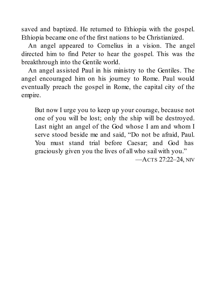saved and baptized. He returned to Ethiopia with the gospel. Ethiopia became one of the first nations to be Christianized.

An angel appeared to Cornelius in a vision. The angel directed him to find Peter to hear the gospel. This was the breakthrough into the Gentile world.

An angel assisted Paul in his ministry to the Gentiles. The angel encouraged him on his journey to Rome. Paul would eventually preach the gospel in Rome, the capital city of the empire.

But now I urge you to keep up your courage, because not one of you will be lost; only the ship will be destroyed. Last night an angel of the God whose I am and whom I serve stood beside me and said, "Do not be afraid, Paul. You must stand trial before Caesar; and God has graciously given you the lives of all who sail with you." —ACTS 27:22–24, NIV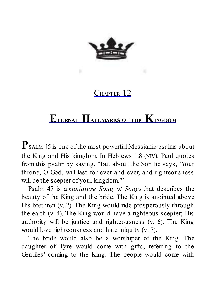

CHAPTER 12

# **ETERNAL HALLMARKS OF THE KINGDOM**

**P**SALM <sup>45</sup> is one of the most powerful Messianic psalms about the King and His kingdom. In Hebrews 1:8 (NIV), Paul quotes from this psalm by saying, "But about the Son he says, 'Your throne, O God, will last for ever and ever, and righteousness will be the scepter of your kingdom."

Psalm 45 is a *miniature Song of Songs* that describes the beauty of the King and the bride. The King is anointed above His brethren (v. 2). The King would ride prosperously through the earth (v. 4). The King would have a righteous scepter; His authority will be justice and righteousness (v. 6). The King would love righteousness and hate iniquity (v. 7).

The bride would also be a worshiper of the King. The daughter of Tyre would come with gifts, referring to the Gentiles' coming to the King. The people would come with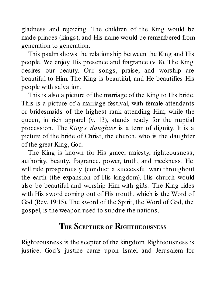gladness and rejoicing. The children of the King would be made princes (kings), and His name would be remembered from generation to generation.

This psalmshows the relationship between the King and His people. We enjoy His presence and fragrance (v. 8). The King desires our beauty. Our songs, praise, and worship are beautiful to Him. The King is beautiful, and He beautifies His people with salvation.

This is also a picture of the marriage of the King to His bride. This is a picture of a marriage festival, with female attendants or bridesmaids of the highest rank attending Him, while the queen, in rich apparel (v. 13), stands ready for the nuptial procession. The *King's daughter* is a term of dignity. It is a picture of the bride of Christ, the church, who is the daughter of the great King, God.

The King is known for His grace, majesty, righteousness, authority, beauty, fragrance, power, truth, and meekness. He will ride prosperously (conduct a successful war) throughout the earth (the expansion of His kingdom). His church would also be beautiful and worship Him with gifts. The King rides with His sword coming out of His mouth, which is the Word of God (Rev. 19:15). The sword of the Spirit, the Word of God, the gospel, is the weapon used to subdue the nations.

# **THE SCEPTHER OF RIGHTHEOUSNESS**

Righteousness is the scepter of the kingdom. Righteousness is justice. God's justice came upon Israel and Jerusalem for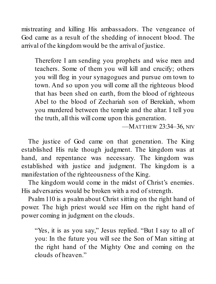mistreating and killing His ambassadors. The vengeance of God came as a result of the shedding of innocent blood. The arrival of the kingdomwould be the arrival of justice.

Therefore I am sending you prophets and wise men and teachers. Some of them you will kill and crucify; others you will flog in your synagogues and pursue om town to town. And so upon you will come all the righteous blood that has been shed on earth, from the blood of righteous Abel to the blood of Zechariah son of Berekiah, whom you murdered between the temple and the altar. I tell you the truth, all this will come upon this generation.

—MATTHEW 23:34–36, NIV

The justice of God came on that generation. The King established His rule though judgment. The kingdom was at hand, and repentance was necessary. The kingdom was established with justice and judgment. The kingdom is a manifestation of the righteousness of the King.

The kingdom would come in the midst of Christ's enemies. His adversaries would be broken with a rod of strength.

Psalm 110 is a psalm about Christ sitting on the right hand of power. The high priest would see Him on the right hand of power coming in judgment on the clouds.

"Yes, it is as you say," Jesus replied. "But I say to all of you: In the future you will see the Son of Man sitting at the right hand of the Mighty One and coming on the clouds of heaven."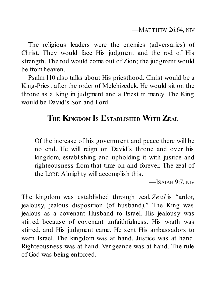—MATTHEW 26:64, NIV

The religious leaders were the enemies (adversaries) of Christ. They would face His judgment and the rod of His strength. The rod would come out of Zion; the judgment would be fromheaven.

Psalm 110 also talks about His priesthood. Christ would be a King-Priest after the order of Melchizedek. He would sit on the throne as a King in judgment and a Priest in mercy. The King would be David's Son and Lord.

#### **THE KINGDOM I<sup>S</sup> ESTABLISHED WITH ZEAL**

Of the increase of his government and peace there will be no end. He will reign on David's throne and over his kingdom, establishing and upholding it with justice and righteousness from that time on and forever. The zeal of the LORD Almighty will accomplish this.

—ISAIAH 9:7, NIV

The kingdom was established through zeal. *Zeal* is "ardor, jealousy, jealous disposition (of husband)." The King was jealous as a covenant Husband to Israel. His jealousy was stirred because of covenant unfaithfulness. His wrath was stirred, and His judgment came. He sent His ambassadors to warn Israel. The kingdom was at hand. Justice was at hand. Righteousness was at hand. Vengeance was at hand. The rule of God was being enforced.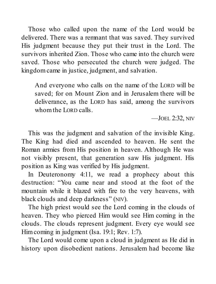Those who called upon the name of the Lord would be delivered. There was a remnant that was saved. They survived His judgment because they put their trust in the Lord. The survivors inherited Zion. Those who came into the church were saved. Those who persecuted the church were judged. The kingdomcame in justice, judgment, and salvation.

And everyone who calls on the name of the LORD will be saved; for on Mount Zion and in Jerusalem there will be deliverance, as the LORD has said, among the survivors whomthe LORD calls.

—JOEL 2:32, NIV

This was the judgment and salvation of the invisible King. The King had died and ascended to heaven. He sent the Roman armies from His position in heaven. Although He was not visibly present, that generation saw His judgment. His position as King was verified by His judgment.

In Deuteronomy 4:11, we read a prophecy about this destruction: "You came near and stood at the foot of the mountain while it blazed with fire to the very heavens, with black clouds and deep darkness" (NIV).

The high priest would see the Lord coming in the clouds of heaven. They who pierced Him would see Him coming in the clouds. The clouds represent judgment. Every eye would see Himcoming in judgment (Isa. 19:1; Rev. 1:7).

The Lord would come upon a cloud in judgment as He did in history upon disobedient nations. Jerusalem had become like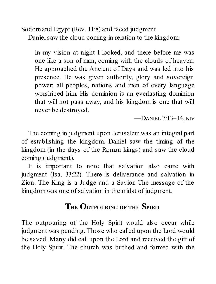Sodomand Egypt (Rev. 11:8) and faced judgment. Daniel saw the cloud coming in relation to the kingdom:

In my vision at night I looked, and there before me was one like a son of man, coming with the clouds of heaven. He approached the Ancient of Days and was led into his presence. He was given authority, glory and sovereign power; all peoples, nations and men of every language worshiped him. His dominion is an everlasting dominion that will not pass away, and his kingdom is one that will never be destroyed.

—DANIEL 7:13–14, NIV

The coming in judgment upon Jerusalem was an integral part of establishing the kingdom. Daniel saw the timing of the kingdom (in the days of the Roman kings) and saw the cloud coming (judgment).

It is important to note that salvation also came with judgment (Isa. 33:22). There is deliverance and salvation in Zion. The King is a Judge and a Savior. The message of the kingdomwas one of salvation in the midst of judgment.

## **THE OUTPOURING OF THE SPIRIT**

The outpouring of the Holy Spirit would also occur while judgment was pending. Those who called upon the Lord would be saved. Many did call upon the Lord and received the gift of the Holy Spirit. The church was birthed and formed with the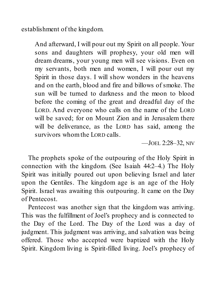establishment of the kingdom.

And afterward, I will pour out my Spirit on all people. Your sons and daughters will prophesy, your old men will dream dreams, your young men will see visions. Even on my servants, both men and women, I will pour out my Spirit in those days. I will show wonders in the heavens and on the earth, blood and fire and billows of smoke. The sun will be turned to darkness and the moon to blood before the coming of the great and dreadful day of the LORD. And everyone who calls on the name of the LORD will be saved; for on Mount Zion and in Jerusalem there will be deliverance, as the LORD has said, among the survivors whom the LORD calls.

—JOEL 2:28–32, NIV

The prophets spoke of the outpouring of the Holy Spirit in connection with the kingdom. (See Isaiah 44:2–4.) The Holy Spirit was initially poured out upon believing Israel and later upon the Gentiles. The kingdom age is an age of the Holy Spirit. Israel was awaiting this outpouring. It came on the Day of Pentecost.

Pentecost was another sign that the kingdom was arriving. This was the fulfillment of Joel's prophecy and is connected to the Day of the Lord. The Day of the Lord was a day of judgment. This judgment was arriving, and salvation was being offered. Those who accepted were baptized with the Holy Spirit. Kingdom living is Spirit-filled living. Joel's prophecy of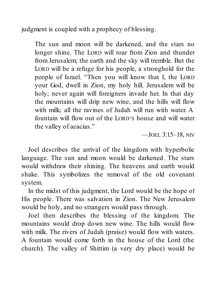judgment is coupled with a prophecy of blessing.

The sun and moon will be darkened, and the stars no longer shine. The LORD will roar from Zion and thunder from Jerusalem; the earth and the sky will tremble. But the LORD will be a refuge for his people, a stronghold for the people of Israel. "Then you will know that I, the LORD your God, dwell in Zion, my holy hill. Jerusalem will be holy; never again will foreigners invade her. In that day the mountains will drip new wine, and the hills will flow with milk; all the ravines of Judah will run with water. A fountain will flow out of the LORD'S house and will water the valley of acacias."

—JOEL 3:15–18, NIV

Joel describes the arrival of the kingdom with hyperbolic language. The sun and moon would be darkened. The stars would withdraw their shining. The heavens and earth would shake. This symbolizes the removal of the old covenant system.

In the midst of this judgment, the Lord would be the hope of His people. There was salvation in Zion. The New Jerusalem would be holy, and no strangers would pass through.

Joel then describes the blessing of the kingdom. The mountains would drop down new wine. The hills would flow with milk. The rivers of Judah (praise) would flow with waters. A fountain would come forth in the house of the Lord (the church). The valley of Shittim (a very dry place) would be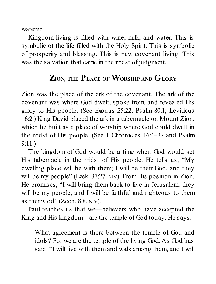watered.

Kingdom living is filled with wine, milk, and water. This is symbolic of the life filled with the Holy Spirit. This is symbolic of prosperity and blessing. This is new covenant living. This was the salvation that came in the midst of judgment.

# **ZION, THE PLACE OF WORSHIP AND GLORY**

Zion was the place of the ark of the covenant. The ark of the covenant was where God dwelt, spoke from, and revealed His glory to His people. (See Exodus 25:22; Psalm 80:1; Leviticus 16:2.) King David placed the ark in a tabernacle on Mount Zion, which he built as a place of worship where God could dwelt in the midst of His people. (See 1 Chronicles 16:4–37 and Psalm 9:11.)

The kingdom of God would be a time when God would set His tabernacle in the midst of His people. He tells us, "My dwelling place will be with them; I will be their God, and they will be my people" (Ezek. 37:27, NIV). From His position in Zion, He promises, "I will bring them back to live in Jerusalem; they will be my people, and I will be faithful and righteous to them as their God" (Zech. 8:8, NIV).

Paul teaches us that we—believers who have accepted the King and His kingdom—are the temple of God today. He says:

What agreement is there between the temple of God and idols? For we are the temple of the living God. As God has said: "I will live with them and walk among them, and I will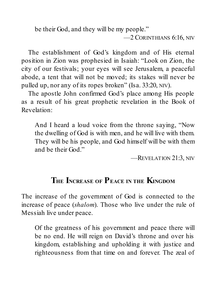be their God, and they will be my people."

—2 CORINTHIANS 6:16, NIV

The establishment of God's kingdom and of His eternal position in Zion was prophesied in Isaiah: "Look on Zion, the city of our festivals; your eyes will see Jerusalem, a peaceful abode, a tent that will not be moved; its stakes will never be pulled up, nor any of its ropes broken" (Isa. 33:20, NIV).

The apostle John confirmed God's place among His people as a result of his great prophetic revelation in the Book of Revelation:

And I heard a loud voice from the throne saying, "Now the dwelling of God is with men, and he will live with them. They will be his people, and God himself will be with them and be their God."

—REVELATION 21:3, NIV

### **THE INCREASE OF PEACE IN THE KINGDOM**

The increase of the government of God is connected to the increase of peace (*shalom*). Those who live under the rule of Messiah live under peace.

Of the greatness of his government and peace there will be no end. He will reign on David's throne and over his kingdom, establishing and upholding it with justice and righteousness from that time on and forever. The zeal of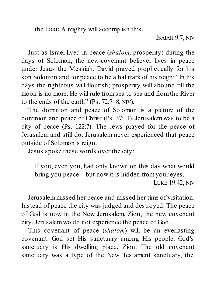the LORD Almighty will accomplish this.

—ISAIAH 9:7, NIV

Just as Israel lived in peace (*shalom*, prosperity) during the days of Solomon, the new-covenant believer lives in peace under Jesus the Messiah. David prayed prophetically for his son Solomon and for peace to be a hallmark of his reign: "In his days the righteous will flourish; prosperity will abound till the moon is no more. He will rule fromsea to sea and fromthe River to the ends of the earth" (Ps. 72:7–8, NIV).

The dominion and peace of Solomon is a picture of the dominion and peace of Christ (Ps. 37:11). Jerusalem was to be a city of peace (Ps. 122:7). The Jews prayed for the peace of Jerusalem and still do. Jerusalem never experienced that peace outside of Solomon's reign.

Jesus spoke these words over the city:

If you, even you, had only known on this day what would bring you peace—but now it is hidden fromyour eyes. —LUKE 19:42, NIV

Jerusalemmissed her peace and missed her time of visitation. Instead of peace the city was judged and destroyed. The peace of God is now in the New Jerusalem, Zion, the new covenant city. Jerusalemwould not experience the peace of God.

This covenant of peace (*shalom*) will be an everlasting covenant. God set His sanctuary among His people. God's sanctuary is His dwelling place, Zion. The old covenant sanctuary was a type of the New Testament sanctuary, the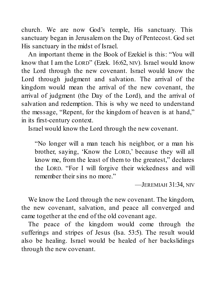church. We are now God's temple, His sanctuary. This sanctuary began in Jerusalemon the Day of Pentecost. God set His sanctuary in the midst of Israel.

An important theme in the Book of Ezekiel is this: "You will know that I am the LORD" (Ezek. 16:62, NIV). Israel would know the Lord through the new covenant. Israel would know the Lord through judgment and salvation. The arrival of the kingdom would mean the arrival of the new covenant, the arrival of judgment (the Day of the Lord), and the arrival of salvation and redemption. This is why we need to understand the message, "Repent, for the kingdom of heaven is at hand," in its first-century context.

Israel would know the Lord through the new covenant.

"No longer will a man teach his neighbor, or a man his brother, saying, 'Know the LORD,' because they will all know me, from the least of them to the greatest," declares the LORD. "For I will forgive their wickedness and will remember their sins no more."

—JEREMIAH 31:34, NIV

We know the Lord through the new covenant. The kingdom, the new covenant, salvation, and peace all converged and came together at the end of the old covenant age.

The peace of the kingdom would come through the sufferings and stripes of Jesus (Isa. 53:5). The result would also be healing. Israel would be healed of her backslidings through the new covenant.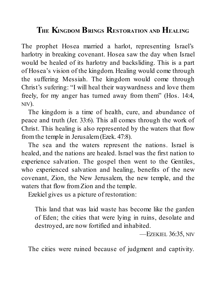## **THE KINGDOM BRINGS RESTORATION AND HEALING**

The prophet Hosea married a harlot, representing Israel's harlotry in breaking covenant. Hosea saw the day when Israel would be healed of its harlotry and backsliding. This is a part of Hosea's vision of the kingdom. Healing would come through the suffering Messiah. The kingdom would come through Christ's sufering: "I will heal their waywardness and love them freely, for my anger has turned away from them" (Hos. 14:4, NIV).

The kingdom is a time of health, cure, and abundance of peace and truth (Jer. 33:6). This all comes through the work of Christ. This healing is also represented by the waters that flow fromthe temple in Jerusalem(Ezek. 47:8).

The sea and the waters represent the nations. Israel is healed, and the nations are healed. Israel was the first nation to experience salvation. The gospel then went to the Gentiles, who experienced salvation and healing, benefits of the new covenant, Zion, the New Jerusalem, the new temple, and the waters that flow fromZion and the temple.

Ezekiel gives us a picture of restoration:

This land that was laid waste has become like the garden of Eden; the cities that were lying in ruins, desolate and destroyed, are now fortified and inhabited.

—EZEKIEL 36:35, NIV

The cities were ruined because of judgment and captivity.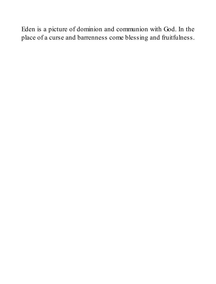Eden is a picture of dominion and communion with God. In the place of a curse and barrenness come blessing and fruitfulness.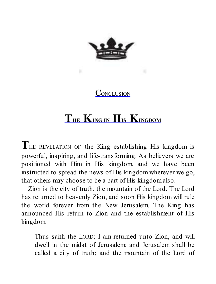

# $T$ **HE KING IN H<sub>IS</sub> KINGDOM**

**T**HE REVELATION OF the King establishing His kingdom is powerful, inspiring, and life-transforming. As believers we are positioned with Him in His kingdom, and we have been instructed to spread the news of His kingdom wherever we go, that others may choose to be a part of His kingdomalso.

Zion is the city of truth, the mountain of the Lord. The Lord has returned to heavenly Zion, and soon His kingdom will rule the world forever from the New Jerusalem. The King has announced His return to Zion and the establishment of His kingdom.

Thus saith the LORD; I am returned unto Zion, and will dwell in the midst of Jerusalem: and Jerusalem shall be called a city of truth; and the mountain of the Lord of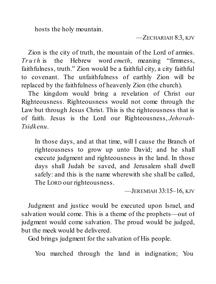hosts the holy mountain.

—ZECHARIAH 8:3, KJV

Zion is the city of truth, the mountain of the Lord of armies. *Tr u t h* is the Hebrew word *emeth*, meaning "firmness, faithfulness, truth." Zion would be a faithful city, a city faithful to covenant. The unfaithfulness of earthly Zion will be replaced by the faithfulness of heavenly Zion (the church).

The kingdom would bring a revelation of Christ our Righteousness. Righteousness would not come through the Law but through Jesus Christ. This is the righteousness that is of faith. Jesus is the Lord our Righteousness, *Jehovah-Tsidkenu*.

In those days, and at that time, will I cause the Branch of righteousness to grow up unto David; and he shall execute judgment and righteousness in the land. In those days shall Judah be saved, and Jerusalem shall dwell safely: and this is the name wherewith she shall be called, The LORD our righteousness.

 $-$ JEREMIAH 33:15–16, KJV

Judgment and justice would be executed upon Israel, and salvation would come. This is a theme of the prophets—out of judgment would come salvation. The proud would be judged, but the meek would be delivered.

God brings judgment for the salvation of His people.

You marched through the land in indignation; You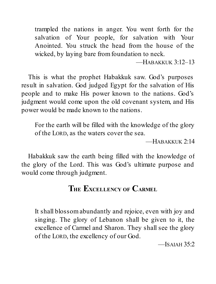trampled the nations in anger. You went forth for the salvation of Your people, for salvation with Your Anointed. You struck the head from the house of the wicked, by laying bare fromfoundation to neck.

—HABAKKUK 3:12–13

This is what the prophet Habakkuk saw. God's purposes result in salvation. God judged Egypt for the salvation of His people and to make His power known to the nations. God's judgment would come upon the old covenant system, and His power would be made known to the nations.

For the earth will be filled with the knowledge of the glory of the LORD, as the waters cover the sea.<br>—HABAKKUK 2:14

Habakkuk saw the earth being filled with the knowledge of the glory of the Lord. This was God's ultimate purpose and would come through judgment.

## **THE EXCELLENCY OF CARMEL**

It shall blossomabundantly and rejoice, even with joy and singing. The glory of Lebanon shall be given to it, the excellence of Carmel and Sharon. They shall see the glory of the LORD, the excellency of our God.

—ISAIAH 35:2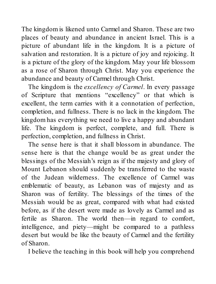The kingdom is likened unto Carmel and Sharon. These are two places of beauty and abundance in ancient Israel. This is a picture of abundant life in the kingdom. It is a picture of salvation and restoration. It is a picture of joy and rejoicing. It is a picture of the glory of the kingdom. May your life blossom as a rose of Sharon through Christ. May you experience the abundance and beauty of Carmel through Christ.

The kingdom is the *excellency of Carmel*. In every passage of Scripture that mentions "excellency" or that which is excellent, the term carries with it a connotation of perfection, completion, and fullness. There is no lack in the kingdom. The kingdom has everything we need to live a happy and abundant life. The kingdom is perfect, complete, and full. There is perfection, completion, and fullness in Christ.

The sense here is that it shall blossom in abundance. The sense here is that the change would be as great under the blessings of the Messiah's reign as if the majesty and glory of Mount Lebanon should suddenly be transferred to the waste of the Judean wilderness. The excellence of Carmel was emblematic of beauty, as Lebanon was of majesty and as Sharon was of fertility. The blessings of the times of the Messiah would be as great, compared with what had existed before, as if the desert were made as lovely as Carmel and as fertile as Sharon. The world then—in regard to comfort, intelligence, and piety—might be compared to a pathless desert but would be like the beauty of Carmel and the fertility of Sharon.

I believe the teaching in this book will help you comprehend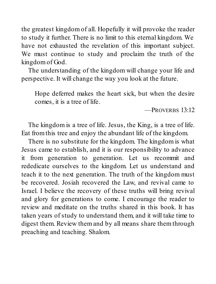the greatest kingdom of all. Hopefully it will provoke the reader to study it further. There is no limit to this eternal kingdom. We have not exhausted the revelation of this important subject. We must continue to study and proclaim the truth of the kingdomof God.

The understanding of the kingdom will change your life and perspective. It will change the way you look at the future.

Hope deferred makes the heart sick, but when the desire comes, it is a tree of life.

—PROVERBS 13:12

The kingdom is a tree of life. Jesus, the King, is a tree of life. Eat fromthis tree and enjoy the abundant life of the kingdom.

There is no substitute for the kingdom. The kingdom is what Jesus came to establish, and it is our responsibility to advance it from generation to generation. Let us recommit and rededicate ourselves to the kingdom. Let us understand and teach it to the next generation. The truth of the kingdom must be recovered. Josiah recovered the Law, and revival came to Israel. I believe the recovery of these truths will bring revival and glory for generations to come. I encourage the reader to review and meditate on the truths shared in this book. It has taken years of study to understand them, and it will take time to digest them. Review them and by all means share them through preaching and teaching. Shalom.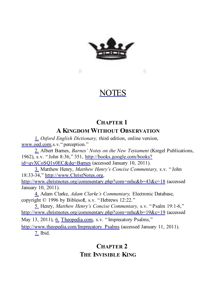

# **NOTES**

#### **CHAPTER 1 A KINGDOM WITHOUT OBSERVATION**

1. *Oxford English Dictionary,* third edition, online version,

www.oed.com, s. v. " perception."<br>
2. Albert Bames, *Barnes' Notes on the New Testament* (Kregel Publications,<br>
1962), s.v. "John 8:36," 351, <u>http://books.google.com/books?</u><br>
id=qvXCoSOIy0EC&dq=Bames (accessed January 10

4. Adam Clarke, *Adam Clarke's Commentary,* Electronic Database,

copyright © 1996 by Biblesoft, s.v. " Hebrews 12:22." 5. Henry, *Matthew Henry's Concise Commentary,* s.v. "Psalm 19:1-6," http://www.christnotes.org/commentary.php?com=mhc&b=19&c=19 (accessed

May 13, 2011), 6. Theopedia.com, s.v. "Imprecatory Psalms," http://www.theopedia.com/Imprecatory\_Psalms (accessed January 11, 2011).<br>
7. Ibid.

**CHAPTER 2 THE INVISIBLE KING**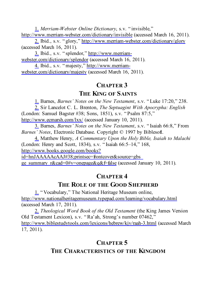http://www.merriam-webster.com/dictionary/invisible (accessed March 16, 2011). 2. Ibid., s.v. "glory," http://www.merriam-webster.com/dictionary/glory (accessed March 16, 2011). 3. Ibid., s.v. "splendor," http://www.merriam-

1. *Merriam-Webster Online Dictionary*, s.v. " invisible,"

webster.com/dictionary/splendor (accessed March 16, 2011).<br>
4. Ibid., s.v. "majesty," http://www.merriam-<br>webster.com/dictionary/majesty (accessed March 16, 2011).

**CHAPTER 3**

**THE KING OF SAINTS** 1. Barnes, *Barnes' Notes on the New Testament*, s.v. " Luke 17:20," 238. 2. Sir Lancelot C. L. Brenton, *The Septuagint With Apocrypha: English* (London: Samuel Bagster #38; Sons, 1851), s.v. "Psalm 87:5,"<br>http://www.cemarsh.com/lxx/ (accessed January 10, 2011).<br><u>3.</u> Bames, *Barnes' Notes on the New Testament*, s.v. "Isaiah 66:8," From

*Barnes' Notes*, Electronic Database. Copyright © 1997 by Biblesoft.  $\underline{4}$ . Matthew Henry, A Commentary Upon the Holy Bible, Isaiah to Malachi<br>(London: Henry and Scott, 1834), s.v. "Isaiah 66:5-14," 168,<br>http://www.books.google.com/books?

id=hnJAAAAAcAAJ#38;printsec=frontcover&source=gbs\_<br>ge\_summary\_r&cad=0#v=onepage&q&f=false (accessed January 10, 2011).

## **CHAPTER 4**

### **THE ROLE OF THE GOOD SHEPHERD**

1. " Vocabulary," The National Heritage Museum online,

http://www.nationalheritagemuseum.typepad.com/learning/vocabulary.html (accessed March 17, 2011).

2. *Theological Word Book of the Old Testament* (the King James Version<br>Old Testament Lexicon), s.v. "Ra'ah, Strong's number 07462,"<br>http://www.biblestudytools.com/lexicons/hebrew/kjy/raah-3.html (accessed March 17, 2011).

> **CHAPTER 5 THE CHARACTERISTICS OF THE KINGDOM**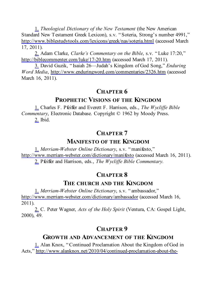1. *Theological Dictionary of the New Testament* (the New American Standard New Testament Greek Lexicon), s.v. "Soteria, Strong's number 4991," http://www.biblestudytools.com/lexicons/greek/nas/soteria.html (accessed March 17, 2011).

2. Adam Clarke, *Clarke's Commentary on the Bible*, s.v. " Luke 17:20,"

http://biblecommenter.com/luke/17-20.htm (accessed March 17, 2011).<br>
3. David Guzik, "Isaiah 26—Judah's Kingdom of God Song," *Enduring Word Media*, http://www.enduringword.com/commentaries/2326.htm (accessed March 16, 201

# **CHAPTER 6**

# **PROPHETIC VISIONS OF THE KINGDOM**

1. Charles F. Pfeiffer and Everett F. Harrison, eds., *The Wycliffe Bible Commentary*, Electronic Database. Copyright © 1962 by Moody Press. 2. Ibid.

## **CHAPTER 7**

## **MANIFESTO OF THE KINGDOM**

1. *Merriam-Webster Online Dictionary*, s.v. " manifesto," http://www.merriam-webster.com/dictionary/manifesto (accessed March 16, 2011).

2. Pfeiffer and Harrison, eds., *The Wycliffe Bible Commentary*.

## **CHAPTER 8**

**THE CHURCH AND THE KINGDOM**

1. *Merriam-Webster Online Dictionary*, s.v. " ambassador," http://www.merriam-webster.com/dictionary/ambassador (accessed March 16, 2011).

2. C. Peter Wagner, *Acts of the Holy Spirit* (Ventura, CA: Gospel Light,  $2000$ ),  $\overline{49}$ .

#### **CHAPTER 9**

**GROWTH AND ADVANCEMENT OF THE KINGDOM**

1. Alan Knox, "Continued Proclamation About the Kingdom of God in Acts," http://www.alanknox.net/2010/04/continued-proclamation-about-the-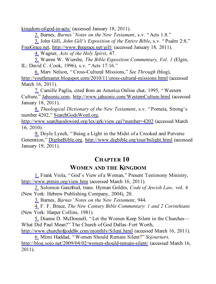kingdom-of-god-in-acts/ (accessed January 18, 2011). 2. Barnes, *Barnes' Notes on the New Testament*, s.v. " Acts 1:8." 3. John Gill, *John Gill's Exposition of the Entire Bible*, s.v. "Psalm 2:8," FreeGrace.net, http://www.freegrace.net/gill/ (accessed January 18, 2011).

4. Wagner, *Acts of the Holy Spirit*, 47. 5. Warren W. Wiersbe, *The Bible Exposition Commentary, Vol. 1* (Elgin, IL: David C. Cook, 1996), s.v. " Acts 17:16."

6. Marv Nelson, "Cross-Cultural Missions," *See Through* (blog), http://youthmaster.blogspot.com/2010/11/cross-cultural-missions.html (accessed March 16, 2011).

7. Camille Paglia, cited from an America Online chat, 1995, "Western Culture," Jahsonic.com, http://www.jahsonic.com/WesternCulture.html (accessed January 18, 2011).

8. *Theological Dictionary of the New Testament*, s.v. "Porneia, Strong's

number 4202," <u>SearchGodsWord.org,</u><br>http://www.searchgodsword.org/lex/grk/view.cgi?number=4202 (accessed March 16, 2010).

9. Doyle Lynch, "Being a Light in the Midst of a Crooked and Perverse Generation," DigtheBible.org*,* http://www.digbible.org/tour/bslight.html (accessed January 19, 2011).

# **CHAPTER 10**

**WOMEN AND THE KINGDOM** 1. Frank Viola, " God's View of a Woman," Present Testimony Ministry,

http://www.ptmin.org/view.htm (accessed March 16, 2011). 2. Solomon Ganzfried, trans. Hyman Goldin, *Code of Jewish Law,* vol. 4 (New York: Hebrew Publishing Company, 2004), 20.

3. Barnes, *Barnes' Notes on the New Testament*, 944.

4. F. F. Bruce, *The New Century Bible Commentary: 1 and 2 Corinthians* (New York: Harper Collins, 1981).

5. Dianne D. McDonnell, " Let the Women Keep Silent in the Churches— What Did Paul Mean?" The Church of God Dallas–Fort Worth,

http://www.churchofgoddfw.com/monthly/Silent.html (accessed March 16, 2011). 6. Mimi Haddad, "Women Should Remain Silent?" *Sojourners,*

http://blog.sojo.net/2009/04/02/women-should-remain-silent/ (accessed March 16, 2011).